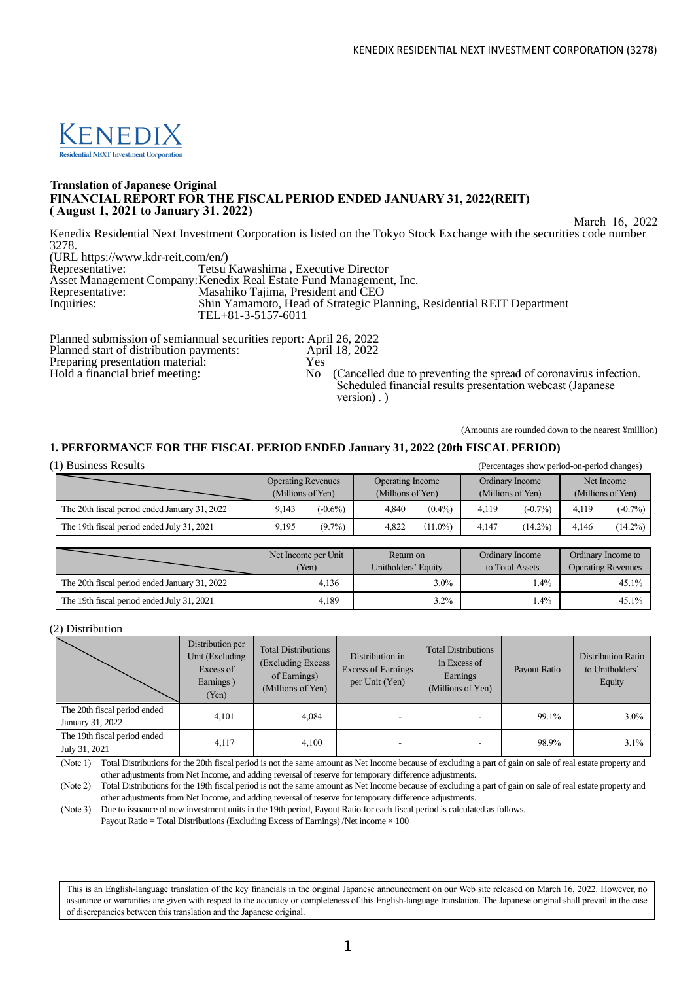

# **Translation of Japanese Original FINANCIAL REPORT FOR THE FISCAL PERIOD ENDED JANUARY 31, 2022(REIT) ( August 1, 2021 to January 31, 2022)**

March 16, 2022

Kenedix Residential Next Investment Corporation is listed on the Tokyo Stock Exchange with the securities code number 3278.

(URL https://www.kdr-reit.com/en/) Tetsu Kawashima , Executive Director Asset Management Company:Kenedix Real Estate Fund Management, Inc. Representative: Masahiko Tajima, President and CEO<br>Inquiries: Shin Yamamoto, Head of Strategic Pla Shin Yamamoto, Head of Strategic Planning, Residential REIT Department TEL+81-3-5157-6011

Planned submission of semiannual securities report: April 26, 2022<br>Planned start of distribution payments: April 18, 2022<br>Preparing presentation material: Yes Planned start of distribution payments: Preparing presentation material:  $Y_{es}$ <br>
Hold a financial brief meeting: No (Cancelled due to preventing the spread of coronavirus infection. Scheduled financial results presentation webcast (Japanese

(Amounts are rounded down to the nearest ¥million)

# **1. PERFORMANCE FOR THE FISCAL PERIOD ENDED January 31, 2022 (20th FISCAL PERIOD)**

(1) Business Results (Percentages show period-on-period changes)

|                                               | <b>Operating Revenues</b> |           | Operating Income  |            | Ordinary Income   |            |                   | Net Income |
|-----------------------------------------------|---------------------------|-----------|-------------------|------------|-------------------|------------|-------------------|------------|
|                                               | (Millions of Yen)         |           | (Millions of Yen) |            | (Millions of Yen) |            | (Millions of Yen) |            |
| The 20th fiscal period ended January 31, 2022 | 9.143                     | $-0.6\%$  | 4.840             | $(0.4\%)$  | 4.119             | $(-0.7\%)$ | 4.119             | $(-0.7\%)$ |
| The 19th fiscal period ended July 31, 2021    | 9.195                     | $(9.7\%)$ | 4.822             | $(11.0\%)$ | 4.147             | $(14.2\%)$ | 4.146             | $(14.2\%)$ |

version) . )

|                                               | Net Income per Unit<br>Yen) | Return on<br>Unitholders' Equity | <b>Ordinary Income</b><br>to Total Assets | Ordinary Income to<br><b>Operating Revenues</b> |  |
|-----------------------------------------------|-----------------------------|----------------------------------|-------------------------------------------|-------------------------------------------------|--|
| The 20th fiscal period ended January 31, 2022 | 4.136                       | 3.0%                             | $.4\%$                                    | 45.1%                                           |  |
| The 19th fiscal period ended July 31, 2021    | 4.189                       | $3.2\%$                          | $.4\%$                                    | 45.1%                                           |  |

(2) Distribution

|                                                  | Distribution per<br>Unit (Excluding<br>Excess of<br>Earnings)<br>(Yen) | <b>Total Distributions</b><br>(Excluding Excess)<br>of Earnings)<br>(Millions of Yen) | Distribution in<br><b>Excess of Earnings</b><br>per Unit (Yen) | <b>Total Distributions</b><br>in Excess of<br>Earnings<br>(Millions of Yen) | Payout Ratio | <b>Distribution Ratio</b><br>to Unitholders'<br>Equity |
|--------------------------------------------------|------------------------------------------------------------------------|---------------------------------------------------------------------------------------|----------------------------------------------------------------|-----------------------------------------------------------------------------|--------------|--------------------------------------------------------|
| The 20th fiscal period ended<br>January 31, 2022 | 4,101                                                                  | 4,084                                                                                 | ۰                                                              | -                                                                           | 99.1%        | $3.0\%$                                                |
| The 19th fiscal period ended<br>July 31, 2021    | 4,117                                                                  | 4,100                                                                                 | ۰                                                              |                                                                             | 98.9%        | $3.1\%$                                                |

(Note 1) Total Distributions for the 20th fiscal period is not the same amount as Net Income because of excluding a part of gain on sale of real estate property and other adjustments from Net Income, and adding reversal of reserve for temporary difference adjustments.

(Note 2) Total Distributions for the 19th fiscal period is not the same amount as Net Income because of excluding a part of gain on sale of real estate property and other adjustments from Net Income, and adding reversal of reserve for temporary difference adjustments.

(Note 3) Due to issuance of new investment units in the 19th period, Payout Ratio for each fiscal period is calculated as follows.

Payout Ratio = Total Distributions (Excluding Excess of Earnings) /Net income  $\times 100$ 

This is an English-language translation of the key financials in the original Japanese announcement on our Web site released on March 16, 2022. However, no assurance or warranties are given with respect to the accuracy or completeness of this English-language translation. The Japanese original shall prevail in the case of discrepancies between this translation and the Japanese original.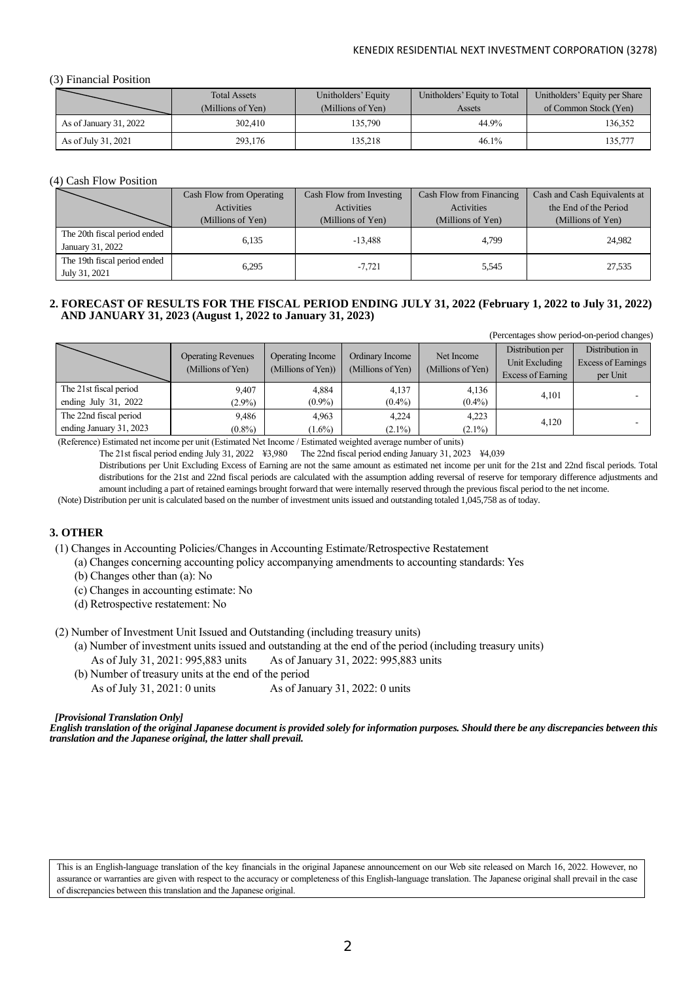# (3) Financial Position

|                        | <b>Total Assets</b> | Unitholders' Equity | Unitholders' Equity to Total | Unitholders' Equity per Share |
|------------------------|---------------------|---------------------|------------------------------|-------------------------------|
|                        | (Millions of Yen)   | (Millions of Yen)   | Assets                       | of Common Stock (Yen)         |
| As of January 31, 2022 | 302,410             | 135.790             | 44.9%                        | 136,352                       |
| As of July 31, 2021    | 293,176             | 135.218             | 46.1%                        | 135,777                       |

## (4) Cash Flow Position

|                              | Cash Flow from Operating | Cash Flow from Investing | Cash Flow from Financing | Cash and Cash Equivalents at |  |
|------------------------------|--------------------------|--------------------------|--------------------------|------------------------------|--|
|                              | Activities               | Activities               | Activities               | the End of the Period        |  |
|                              | (Millions of Yen)        | (Millions of Yen)        | (Millions of Yen)        | (Millions of Yen)            |  |
| The 20th fiscal period ended | 6.135                    | $-13.488$                | 4.799                    |                              |  |
| January 31, 2022             |                          |                          |                          | 24.982                       |  |
| The 19th fiscal period ended | 6,295                    | $-7.721$                 | 5,545                    | 27,535                       |  |
| July 31, 2021                |                          |                          |                          |                              |  |

# **2. FORECAST OF RESULTS FOR THE FISCAL PERIOD ENDING JULY 31, 2022 (February 1, 2022 to July 31, 2022) AND JANUARY 31, 2023 (August 1, 2022 to January 31, 2023)**

(Percentages show period-on-period changes)

|                         | <b>Operating Revenues</b><br>(Millions of Yen) | Operating Income<br>(Millions of Yen)) | Ordinary Income<br>(Millions of Yen) | Net Income<br>(Millions of Yen) | Distribution per<br>Unit Excluding<br>Excess of Earning | Distribution in<br>Excess of Earnings<br>per Unit |
|-------------------------|------------------------------------------------|----------------------------------------|--------------------------------------|---------------------------------|---------------------------------------------------------|---------------------------------------------------|
| The 21st fiscal period  | 9.407                                          | 4.884                                  | 4.137                                | 4,136                           | 4,101                                                   |                                                   |
| ending July $31, 2022$  | $(2.9\%)$                                      | $(0.9\%)$                              | $(0.4\%)$                            | $(0.4\%)$                       |                                                         |                                                   |
| The 22nd fiscal period  | 9.486                                          | 4.963                                  | 4.224                                | 4.223                           | 4,120                                                   |                                                   |
| ending January 31, 2023 | $(0.8\%)$                                      | $(1.6\%)$                              | $(2.1\%)$                            | $(2.1\%)$                       |                                                         |                                                   |

(Reference) Estimated net income per unit (Estimated Net Income / Estimated weighted average number of units)

The 21st fiscal period ending July 31, 2022 ¥3,980 The 22nd fiscal period ending January 31, 2023 ¥4,039

Distributions per Unit Excluding Excess of Earning are not the same amount as estimated net income per unit for the 21st and 22nd fiscal periods. Total distributions for the 21st and 22nd fiscal periods are calculated with the assumption adding reversal of reserve for temporary difference adjustments and amount including a part of retained earnings brought forward that were internally reserved through the previous fiscal period to the net income. (Note) Distribution per unit is calculated based on the number of investment units issued and outstanding totaled 1,045,758 as of today.

# **3. OTHER**

(1) Changes in Accounting Policies/Changes in Accounting Estimate/Retrospective Restatement

(a) Changes concerning accounting policy accompanying amendments to accounting standards: Yes

- (b) Changes other than (a): No
- (c) Changes in accounting estimate: No
- (d) Retrospective restatement: No

(2) Number of Investment Unit Issued and Outstanding (including treasury units)

(a) Number of investment units issued and outstanding at the end of the period (including treasury units)

As of July 31, 2021: 995,883 units As of January 31, 2022: 995,883 units

(b) Number of treasury units at the end of the period As of July 31, 2021: 0 units As of January 31, 2022: 0 units

# *[Provisional Translation Only]*

*English translation of the original Japanese document is provided solely for information purposes. Should there be any discrepancies between this translation and the Japanese original, the latter shall prevail.*

This is an English-language translation of the key financials in the original Japanese announcement on our Web site released on March 16, 2022. However, no assurance or warranties are given with respect to the accuracy or completeness of this English-language translation. The Japanese original shall prevail in the case of discrepancies between this translation and the Japanese original.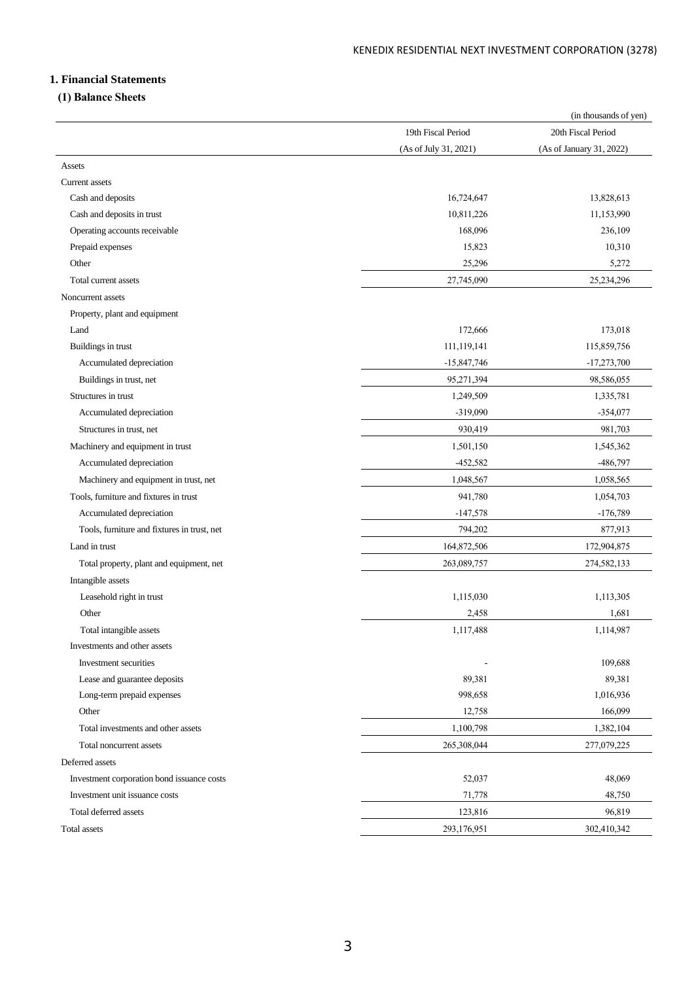# **1. Financial Statements**

# **(1) Balance Sheets**

|                                             |                       | (in thousands of yen)    |
|---------------------------------------------|-----------------------|--------------------------|
|                                             | 19th Fiscal Period    | 20th Fiscal Period       |
|                                             | (As of July 31, 2021) | (As of January 31, 2022) |
| Assets                                      |                       |                          |
| Current assets                              |                       |                          |
| Cash and deposits                           | 16,724,647            | 13,828,613               |
| Cash and deposits in trust                  | 10,811,226            | 11,153,990               |
| Operating accounts receivable               | 168,096               | 236,109                  |
| Prepaid expenses                            | 15,823                | 10,310                   |
| Other                                       | 25,296                | 5,272                    |
| Total current assets                        | 27,745,090            | 25,234,296               |
| Noncurrent assets                           |                       |                          |
| Property, plant and equipment               |                       |                          |
| Land                                        | 172,666               | 173,018                  |
| Buildings in trust                          | 111,119,141           | 115,859,756              |
| Accumulated depreciation                    | $-15,847,746$         | $-17,273,700$            |
| Buildings in trust, net                     | 95,271,394            | 98,586,055               |
| Structures in trust                         | 1,249,509             | 1,335,781                |
| Accumulated depreciation                    | $-319,090$            | $-354,077$               |
| Structures in trust, net                    | 930,419               | 981,703                  |
| Machinery and equipment in trust            | 1,501,150             | 1,545,362                |
| Accumulated depreciation                    | $-452,582$            | -486,797                 |
| Machinery and equipment in trust, net       | 1,048,567             | 1,058,565                |
| Tools, furniture and fixtures in trust      | 941,780               | 1,054,703                |
| Accumulated depreciation                    | $-147,578$            | $-176,789$               |
| Tools, furniture and fixtures in trust, net | 794,202               | 877,913                  |
| Land in trust                               | 164,872,506           | 172,904,875              |
| Total property, plant and equipment, net    | 263,089,757           | 274,582,133              |
| Intangible assets                           |                       |                          |
| Leasehold right in trust                    | 1,115,030             | 1,113,305                |
| Other                                       | 2,458                 | 1,681                    |
| Total intangible assets                     | 1,117,488             | 1,114,987                |
| Investments and other assets                |                       |                          |
| Investment securities                       |                       | 109,688                  |
| Lease and guarantee deposits                | 89,381                | 89,381                   |
| Long-term prepaid expenses                  | 998,658               | 1,016,936                |
| Other                                       | 12,758                | 166,099                  |
| Total investments and other assets          | 1,100,798             | 1,382,104                |
| Total noncurrent assets                     | 265,308,044           | 277,079,225              |
| Deferred assets                             |                       |                          |
| Investment corporation bond issuance costs  | 52,037                | 48,069                   |
| Investment unit issuance costs              | 71,778                | 48,750                   |
| Total deferred assets                       | 123,816               | 96,819                   |
| Total assets                                | 293,176,951           | 302,410,342              |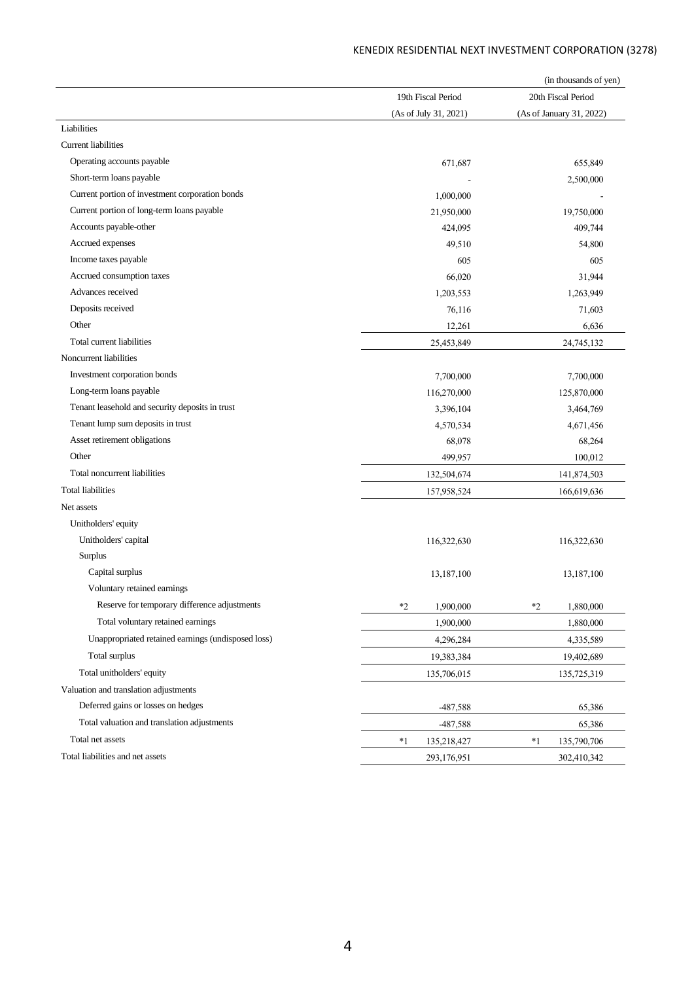| 19th Fiscal Period<br>20th Fiscal Period<br>(As of July 31, 2021)<br>(As of January 31, 2022)<br>Liabilities<br><b>Current liabilities</b><br>Operating accounts payable<br>671,687<br>655,849<br>Short-term loans payable<br>2,500,000<br>Current portion of investment corporation bonds<br>1,000,000<br>Current portion of long-term loans payable<br>21,950,000<br>19,750,000<br>Accounts payable-other<br>424,095<br>409,744<br>Accrued expenses<br>49,510<br>54,800<br>Income taxes payable<br>605<br>605<br>Accrued consumption taxes<br>66,020<br>31,944<br>Advances received<br>1,203,553<br>1,263,949<br>Deposits received<br>76,116<br>71,603<br>Other<br>12,261<br>6,636<br>Total current liabilities<br>25,453,849<br>24,745,132<br>Noncurrent liabilities<br>Investment corporation bonds<br>7,700,000<br>7,700,000<br>Long-term loans payable<br>116,270,000<br>125,870,000<br>Tenant leasehold and security deposits in trust<br>3,396,104<br>3,464,769<br>Tenant lump sum deposits in trust<br>4,570,534<br>4,671,456<br>Asset retirement obligations<br>68,078<br>68,264<br>Other<br>499,957<br>100,012<br>Total noncurrent liabilities<br>132,504,674<br>141,874,503<br><b>Total liabilities</b><br>157,958,524<br>166,619,636<br>Net assets<br>Unitholders' equity<br>Unitholders' capital<br>116,322,630<br>116,322,630<br>Surplus<br>Capital surplus<br>13,187,100<br>13,187,100<br>Voluntary retained earnings<br>Reserve for temporary difference adjustments<br>$*2$<br>$*2$<br>1,900,000<br>1,880,000<br>Total voluntary retained earnings<br>1,900,000<br>1,880,000<br>Unappropriated retained earnings (undisposed loss)<br>4,296,284<br>4,335,589<br>Total surplus<br>19,383,384<br>19,402,689<br>Total unitholders' equity<br>135,706,015<br>135,725,319<br>Valuation and translation adjustments<br>Deferred gains or losses on hedges<br>-487,588<br>65,386<br>Total valuation and translation adjustments<br>65,386<br>-487,588<br>Total net assets<br>$*1$<br>$^*1$<br>135,790,706<br>135,218,427 |                                  |             | (in thousands of yen) |
|-------------------------------------------------------------------------------------------------------------------------------------------------------------------------------------------------------------------------------------------------------------------------------------------------------------------------------------------------------------------------------------------------------------------------------------------------------------------------------------------------------------------------------------------------------------------------------------------------------------------------------------------------------------------------------------------------------------------------------------------------------------------------------------------------------------------------------------------------------------------------------------------------------------------------------------------------------------------------------------------------------------------------------------------------------------------------------------------------------------------------------------------------------------------------------------------------------------------------------------------------------------------------------------------------------------------------------------------------------------------------------------------------------------------------------------------------------------------------------------------------------------------------------------------------------------------------------------------------------------------------------------------------------------------------------------------------------------------------------------------------------------------------------------------------------------------------------------------------------------------------------------------------------------------------------------------------------------------------------------------------------------------------------------|----------------------------------|-------------|-----------------------|
|                                                                                                                                                                                                                                                                                                                                                                                                                                                                                                                                                                                                                                                                                                                                                                                                                                                                                                                                                                                                                                                                                                                                                                                                                                                                                                                                                                                                                                                                                                                                                                                                                                                                                                                                                                                                                                                                                                                                                                                                                                     |                                  |             |                       |
|                                                                                                                                                                                                                                                                                                                                                                                                                                                                                                                                                                                                                                                                                                                                                                                                                                                                                                                                                                                                                                                                                                                                                                                                                                                                                                                                                                                                                                                                                                                                                                                                                                                                                                                                                                                                                                                                                                                                                                                                                                     |                                  |             |                       |
|                                                                                                                                                                                                                                                                                                                                                                                                                                                                                                                                                                                                                                                                                                                                                                                                                                                                                                                                                                                                                                                                                                                                                                                                                                                                                                                                                                                                                                                                                                                                                                                                                                                                                                                                                                                                                                                                                                                                                                                                                                     |                                  |             |                       |
|                                                                                                                                                                                                                                                                                                                                                                                                                                                                                                                                                                                                                                                                                                                                                                                                                                                                                                                                                                                                                                                                                                                                                                                                                                                                                                                                                                                                                                                                                                                                                                                                                                                                                                                                                                                                                                                                                                                                                                                                                                     |                                  |             |                       |
|                                                                                                                                                                                                                                                                                                                                                                                                                                                                                                                                                                                                                                                                                                                                                                                                                                                                                                                                                                                                                                                                                                                                                                                                                                                                                                                                                                                                                                                                                                                                                                                                                                                                                                                                                                                                                                                                                                                                                                                                                                     |                                  |             |                       |
|                                                                                                                                                                                                                                                                                                                                                                                                                                                                                                                                                                                                                                                                                                                                                                                                                                                                                                                                                                                                                                                                                                                                                                                                                                                                                                                                                                                                                                                                                                                                                                                                                                                                                                                                                                                                                                                                                                                                                                                                                                     |                                  |             |                       |
|                                                                                                                                                                                                                                                                                                                                                                                                                                                                                                                                                                                                                                                                                                                                                                                                                                                                                                                                                                                                                                                                                                                                                                                                                                                                                                                                                                                                                                                                                                                                                                                                                                                                                                                                                                                                                                                                                                                                                                                                                                     |                                  |             |                       |
|                                                                                                                                                                                                                                                                                                                                                                                                                                                                                                                                                                                                                                                                                                                                                                                                                                                                                                                                                                                                                                                                                                                                                                                                                                                                                                                                                                                                                                                                                                                                                                                                                                                                                                                                                                                                                                                                                                                                                                                                                                     |                                  |             |                       |
|                                                                                                                                                                                                                                                                                                                                                                                                                                                                                                                                                                                                                                                                                                                                                                                                                                                                                                                                                                                                                                                                                                                                                                                                                                                                                                                                                                                                                                                                                                                                                                                                                                                                                                                                                                                                                                                                                                                                                                                                                                     |                                  |             |                       |
|                                                                                                                                                                                                                                                                                                                                                                                                                                                                                                                                                                                                                                                                                                                                                                                                                                                                                                                                                                                                                                                                                                                                                                                                                                                                                                                                                                                                                                                                                                                                                                                                                                                                                                                                                                                                                                                                                                                                                                                                                                     |                                  |             |                       |
|                                                                                                                                                                                                                                                                                                                                                                                                                                                                                                                                                                                                                                                                                                                                                                                                                                                                                                                                                                                                                                                                                                                                                                                                                                                                                                                                                                                                                                                                                                                                                                                                                                                                                                                                                                                                                                                                                                                                                                                                                                     |                                  |             |                       |
|                                                                                                                                                                                                                                                                                                                                                                                                                                                                                                                                                                                                                                                                                                                                                                                                                                                                                                                                                                                                                                                                                                                                                                                                                                                                                                                                                                                                                                                                                                                                                                                                                                                                                                                                                                                                                                                                                                                                                                                                                                     |                                  |             |                       |
|                                                                                                                                                                                                                                                                                                                                                                                                                                                                                                                                                                                                                                                                                                                                                                                                                                                                                                                                                                                                                                                                                                                                                                                                                                                                                                                                                                                                                                                                                                                                                                                                                                                                                                                                                                                                                                                                                                                                                                                                                                     |                                  |             |                       |
|                                                                                                                                                                                                                                                                                                                                                                                                                                                                                                                                                                                                                                                                                                                                                                                                                                                                                                                                                                                                                                                                                                                                                                                                                                                                                                                                                                                                                                                                                                                                                                                                                                                                                                                                                                                                                                                                                                                                                                                                                                     |                                  |             |                       |
|                                                                                                                                                                                                                                                                                                                                                                                                                                                                                                                                                                                                                                                                                                                                                                                                                                                                                                                                                                                                                                                                                                                                                                                                                                                                                                                                                                                                                                                                                                                                                                                                                                                                                                                                                                                                                                                                                                                                                                                                                                     |                                  |             |                       |
|                                                                                                                                                                                                                                                                                                                                                                                                                                                                                                                                                                                                                                                                                                                                                                                                                                                                                                                                                                                                                                                                                                                                                                                                                                                                                                                                                                                                                                                                                                                                                                                                                                                                                                                                                                                                                                                                                                                                                                                                                                     |                                  |             |                       |
|                                                                                                                                                                                                                                                                                                                                                                                                                                                                                                                                                                                                                                                                                                                                                                                                                                                                                                                                                                                                                                                                                                                                                                                                                                                                                                                                                                                                                                                                                                                                                                                                                                                                                                                                                                                                                                                                                                                                                                                                                                     |                                  |             |                       |
|                                                                                                                                                                                                                                                                                                                                                                                                                                                                                                                                                                                                                                                                                                                                                                                                                                                                                                                                                                                                                                                                                                                                                                                                                                                                                                                                                                                                                                                                                                                                                                                                                                                                                                                                                                                                                                                                                                                                                                                                                                     |                                  |             |                       |
|                                                                                                                                                                                                                                                                                                                                                                                                                                                                                                                                                                                                                                                                                                                                                                                                                                                                                                                                                                                                                                                                                                                                                                                                                                                                                                                                                                                                                                                                                                                                                                                                                                                                                                                                                                                                                                                                                                                                                                                                                                     |                                  |             |                       |
|                                                                                                                                                                                                                                                                                                                                                                                                                                                                                                                                                                                                                                                                                                                                                                                                                                                                                                                                                                                                                                                                                                                                                                                                                                                                                                                                                                                                                                                                                                                                                                                                                                                                                                                                                                                                                                                                                                                                                                                                                                     |                                  |             |                       |
|                                                                                                                                                                                                                                                                                                                                                                                                                                                                                                                                                                                                                                                                                                                                                                                                                                                                                                                                                                                                                                                                                                                                                                                                                                                                                                                                                                                                                                                                                                                                                                                                                                                                                                                                                                                                                                                                                                                                                                                                                                     |                                  |             |                       |
|                                                                                                                                                                                                                                                                                                                                                                                                                                                                                                                                                                                                                                                                                                                                                                                                                                                                                                                                                                                                                                                                                                                                                                                                                                                                                                                                                                                                                                                                                                                                                                                                                                                                                                                                                                                                                                                                                                                                                                                                                                     |                                  |             |                       |
|                                                                                                                                                                                                                                                                                                                                                                                                                                                                                                                                                                                                                                                                                                                                                                                                                                                                                                                                                                                                                                                                                                                                                                                                                                                                                                                                                                                                                                                                                                                                                                                                                                                                                                                                                                                                                                                                                                                                                                                                                                     |                                  |             |                       |
|                                                                                                                                                                                                                                                                                                                                                                                                                                                                                                                                                                                                                                                                                                                                                                                                                                                                                                                                                                                                                                                                                                                                                                                                                                                                                                                                                                                                                                                                                                                                                                                                                                                                                                                                                                                                                                                                                                                                                                                                                                     |                                  |             |                       |
|                                                                                                                                                                                                                                                                                                                                                                                                                                                                                                                                                                                                                                                                                                                                                                                                                                                                                                                                                                                                                                                                                                                                                                                                                                                                                                                                                                                                                                                                                                                                                                                                                                                                                                                                                                                                                                                                                                                                                                                                                                     |                                  |             |                       |
|                                                                                                                                                                                                                                                                                                                                                                                                                                                                                                                                                                                                                                                                                                                                                                                                                                                                                                                                                                                                                                                                                                                                                                                                                                                                                                                                                                                                                                                                                                                                                                                                                                                                                                                                                                                                                                                                                                                                                                                                                                     |                                  |             |                       |
|                                                                                                                                                                                                                                                                                                                                                                                                                                                                                                                                                                                                                                                                                                                                                                                                                                                                                                                                                                                                                                                                                                                                                                                                                                                                                                                                                                                                                                                                                                                                                                                                                                                                                                                                                                                                                                                                                                                                                                                                                                     |                                  |             |                       |
|                                                                                                                                                                                                                                                                                                                                                                                                                                                                                                                                                                                                                                                                                                                                                                                                                                                                                                                                                                                                                                                                                                                                                                                                                                                                                                                                                                                                                                                                                                                                                                                                                                                                                                                                                                                                                                                                                                                                                                                                                                     |                                  |             |                       |
|                                                                                                                                                                                                                                                                                                                                                                                                                                                                                                                                                                                                                                                                                                                                                                                                                                                                                                                                                                                                                                                                                                                                                                                                                                                                                                                                                                                                                                                                                                                                                                                                                                                                                                                                                                                                                                                                                                                                                                                                                                     |                                  |             |                       |
|                                                                                                                                                                                                                                                                                                                                                                                                                                                                                                                                                                                                                                                                                                                                                                                                                                                                                                                                                                                                                                                                                                                                                                                                                                                                                                                                                                                                                                                                                                                                                                                                                                                                                                                                                                                                                                                                                                                                                                                                                                     |                                  |             |                       |
|                                                                                                                                                                                                                                                                                                                                                                                                                                                                                                                                                                                                                                                                                                                                                                                                                                                                                                                                                                                                                                                                                                                                                                                                                                                                                                                                                                                                                                                                                                                                                                                                                                                                                                                                                                                                                                                                                                                                                                                                                                     |                                  |             |                       |
|                                                                                                                                                                                                                                                                                                                                                                                                                                                                                                                                                                                                                                                                                                                                                                                                                                                                                                                                                                                                                                                                                                                                                                                                                                                                                                                                                                                                                                                                                                                                                                                                                                                                                                                                                                                                                                                                                                                                                                                                                                     |                                  |             |                       |
|                                                                                                                                                                                                                                                                                                                                                                                                                                                                                                                                                                                                                                                                                                                                                                                                                                                                                                                                                                                                                                                                                                                                                                                                                                                                                                                                                                                                                                                                                                                                                                                                                                                                                                                                                                                                                                                                                                                                                                                                                                     |                                  |             |                       |
|                                                                                                                                                                                                                                                                                                                                                                                                                                                                                                                                                                                                                                                                                                                                                                                                                                                                                                                                                                                                                                                                                                                                                                                                                                                                                                                                                                                                                                                                                                                                                                                                                                                                                                                                                                                                                                                                                                                                                                                                                                     |                                  |             |                       |
|                                                                                                                                                                                                                                                                                                                                                                                                                                                                                                                                                                                                                                                                                                                                                                                                                                                                                                                                                                                                                                                                                                                                                                                                                                                                                                                                                                                                                                                                                                                                                                                                                                                                                                                                                                                                                                                                                                                                                                                                                                     |                                  |             |                       |
|                                                                                                                                                                                                                                                                                                                                                                                                                                                                                                                                                                                                                                                                                                                                                                                                                                                                                                                                                                                                                                                                                                                                                                                                                                                                                                                                                                                                                                                                                                                                                                                                                                                                                                                                                                                                                                                                                                                                                                                                                                     |                                  |             |                       |
|                                                                                                                                                                                                                                                                                                                                                                                                                                                                                                                                                                                                                                                                                                                                                                                                                                                                                                                                                                                                                                                                                                                                                                                                                                                                                                                                                                                                                                                                                                                                                                                                                                                                                                                                                                                                                                                                                                                                                                                                                                     |                                  |             |                       |
|                                                                                                                                                                                                                                                                                                                                                                                                                                                                                                                                                                                                                                                                                                                                                                                                                                                                                                                                                                                                                                                                                                                                                                                                                                                                                                                                                                                                                                                                                                                                                                                                                                                                                                                                                                                                                                                                                                                                                                                                                                     |                                  |             |                       |
|                                                                                                                                                                                                                                                                                                                                                                                                                                                                                                                                                                                                                                                                                                                                                                                                                                                                                                                                                                                                                                                                                                                                                                                                                                                                                                                                                                                                                                                                                                                                                                                                                                                                                                                                                                                                                                                                                                                                                                                                                                     |                                  |             |                       |
|                                                                                                                                                                                                                                                                                                                                                                                                                                                                                                                                                                                                                                                                                                                                                                                                                                                                                                                                                                                                                                                                                                                                                                                                                                                                                                                                                                                                                                                                                                                                                                                                                                                                                                                                                                                                                                                                                                                                                                                                                                     |                                  |             |                       |
|                                                                                                                                                                                                                                                                                                                                                                                                                                                                                                                                                                                                                                                                                                                                                                                                                                                                                                                                                                                                                                                                                                                                                                                                                                                                                                                                                                                                                                                                                                                                                                                                                                                                                                                                                                                                                                                                                                                                                                                                                                     | Total liabilities and net assets | 293,176,951 | 302,410,342           |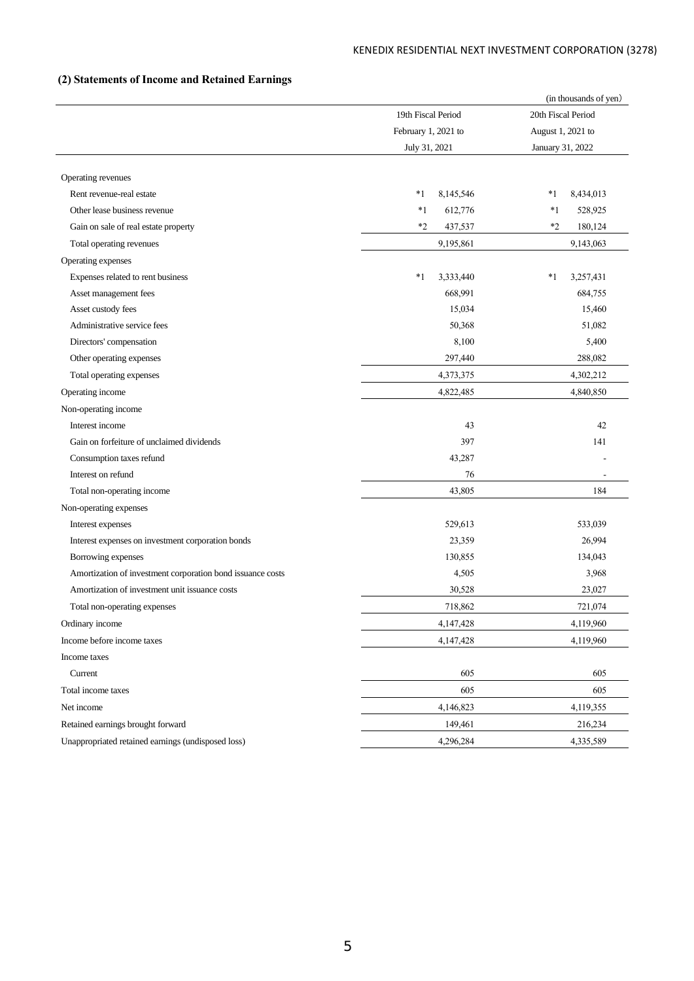# **(2) Statements of Income and Retained Earnings**

|                                                            |                                           |               | (in thousands of yen) |                  |  |
|------------------------------------------------------------|-------------------------------------------|---------------|-----------------------|------------------|--|
|                                                            | 19th Fiscal Period<br>February 1, 2021 to |               | 20th Fiscal Period    |                  |  |
|                                                            |                                           |               | August 1, 2021 to     |                  |  |
|                                                            |                                           | July 31, 2021 |                       | January 31, 2022 |  |
|                                                            |                                           |               |                       |                  |  |
| Operating revenues                                         |                                           |               |                       |                  |  |
| Rent revenue-real estate                                   | *1                                        | 8,145,546     | *1                    | 8,434,013        |  |
| Other lease business revenue                               | $*1$                                      | 612,776       | $*1$                  | 528,925          |  |
| Gain on sale of real estate property                       | $*2$                                      | 437,537       | $*2$                  | 180,124          |  |
| Total operating revenues                                   |                                           | 9,195,861     |                       | 9,143,063        |  |
| Operating expenses                                         |                                           |               |                       |                  |  |
| Expenses related to rent business                          | $*1$                                      | 3,333,440     | *1                    | 3,257,431        |  |
| Asset management fees                                      |                                           | 668,991       |                       | 684,755          |  |
| Asset custody fees                                         |                                           | 15,034        |                       | 15,460           |  |
| Administrative service fees                                |                                           | 50,368        |                       | 51,082           |  |
| Directors' compensation                                    |                                           | 8,100         |                       | 5,400            |  |
| Other operating expenses                                   |                                           | 297,440       |                       | 288,082          |  |
| Total operating expenses                                   |                                           | 4,373,375     |                       | 4,302,212        |  |
| Operating income                                           |                                           | 4,822,485     |                       | 4,840,850        |  |
| Non-operating income                                       |                                           |               |                       |                  |  |
| Interest income                                            |                                           | 43            |                       | 42               |  |
| Gain on forfeiture of unclaimed dividends                  |                                           | 397           |                       | 141              |  |
| Consumption taxes refund                                   |                                           | 43,287        |                       |                  |  |
| Interest on refund                                         |                                           | 76            |                       | $\overline{a}$   |  |
| Total non-operating income                                 |                                           | 43,805        |                       | 184              |  |
| Non-operating expenses                                     |                                           |               |                       |                  |  |
| Interest expenses                                          |                                           | 529,613       |                       | 533,039          |  |
| Interest expenses on investment corporation bonds          |                                           | 23,359        |                       | 26,994           |  |
| Borrowing expenses                                         |                                           | 130,855       |                       | 134,043          |  |
| Amortization of investment corporation bond issuance costs |                                           | 4,505         |                       | 3,968            |  |
| Amortization of investment unit issuance costs             |                                           | 30,528        |                       | 23,027           |  |
| Total non-operating expenses                               |                                           | 718,862       |                       | 721,074          |  |
| Ordinary income                                            |                                           | 4,147,428     |                       | 4,119,960        |  |
| Income before income taxes                                 |                                           | 4,147,428     |                       | 4,119,960        |  |
| Income taxes                                               |                                           |               |                       |                  |  |
| Current                                                    |                                           | 605           |                       | 605              |  |
| Total income taxes                                         |                                           | 605           |                       | 605              |  |
| Net income                                                 |                                           | 4,146,823     |                       | 4,119,355        |  |
| Retained earnings brought forward                          |                                           | 149,461       |                       | 216,234          |  |
| Unappropriated retained earnings (undisposed loss)         |                                           | 4,296,284     |                       | 4,335,589        |  |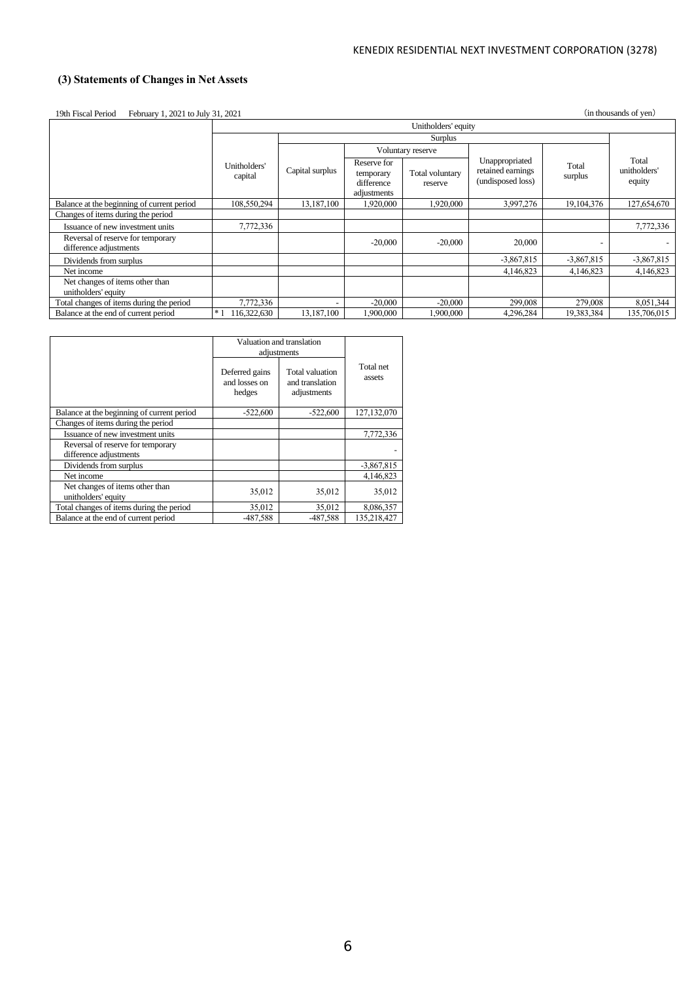# **(3) Statements of Changes in Net Assets**

19th Fiscal Period February 1, 2021 to July 31, 2021 (in thousands of yen)

|                                                             | Unitholders' equity     |                          |                                                       |                            |                                                          |                  |                                 |
|-------------------------------------------------------------|-------------------------|--------------------------|-------------------------------------------------------|----------------------------|----------------------------------------------------------|------------------|---------------------------------|
|                                                             |                         |                          |                                                       | Surplus                    |                                                          |                  |                                 |
|                                                             |                         |                          |                                                       | Voluntary reserve          |                                                          |                  |                                 |
|                                                             | Unitholders'<br>capital | Capital surplus          | Reserve for<br>temporary<br>difference<br>adjustments | Total voluntary<br>reserve | Unappropriated<br>retained earnings<br>(undisposed loss) | Total<br>surplus | Total<br>unitholders'<br>equity |
| Balance at the beginning of current period                  | 108,550,294             | 13,187,100               | 1,920,000                                             | 1,920,000                  | 3,997,276                                                | 19, 104, 376     | 127,654,670                     |
| Changes of items during the period                          |                         |                          |                                                       |                            |                                                          |                  |                                 |
| Issuance of new investment units                            | 7,772,336               |                          |                                                       |                            |                                                          |                  | 7,772,336                       |
| Reversal of reserve for temporary<br>difference adjustments |                         |                          | $-20,000$                                             | $-20,000$                  | 20,000                                                   |                  |                                 |
| Dividends from surplus                                      |                         |                          |                                                       |                            | $-3,867,815$                                             | $-3,867,815$     | $-3,867,815$                    |
| Net income                                                  |                         |                          |                                                       |                            | 4.146.823                                                | 4.146.823        | 4,146,823                       |
| Net changes of items other than<br>unitholders' equity      |                         |                          |                                                       |                            |                                                          |                  |                                 |
| Total changes of items during the period                    | 7,772,336               | $\overline{\phantom{a}}$ | $-20,000$                                             | $-20,000$                  | 299,008                                                  | 279,008          | 8,051,344                       |
| Balance at the end of current period                        | $*1$<br>116,322,630     | 13,187,100               | 1,900,000                                             | 1.900.000                  | 4.296.284                                                | 19,383,384       | 135,706,015                     |

|                                                             |                                           | Valuation and translation<br>adjustments          |                     |  |
|-------------------------------------------------------------|-------------------------------------------|---------------------------------------------------|---------------------|--|
|                                                             | Deferred gains<br>and losses on<br>hedges | Total valuation<br>and translation<br>adjustments | Total net<br>assets |  |
| Balance at the beginning of current period                  | $-522,600$                                | $-522,600$                                        | 127,132,070         |  |
| Changes of items during the period                          |                                           |                                                   |                     |  |
| Issuance of new investment units                            |                                           |                                                   | 7,772,336           |  |
| Reversal of reserve for temporary<br>difference adjustments |                                           |                                                   |                     |  |
| Dividends from surplus                                      |                                           |                                                   | $-3,867,815$        |  |
| Net income                                                  |                                           |                                                   | 4,146,823           |  |
| Net changes of items other than<br>unitholders' equity      | 35,012                                    | 35,012                                            | 35,012              |  |
| Total changes of items during the period                    | 35,012                                    | 35,012                                            | 8,086,357           |  |
| Balance at the end of current period                        | -487,588                                  | -487.588                                          | 135.218.427         |  |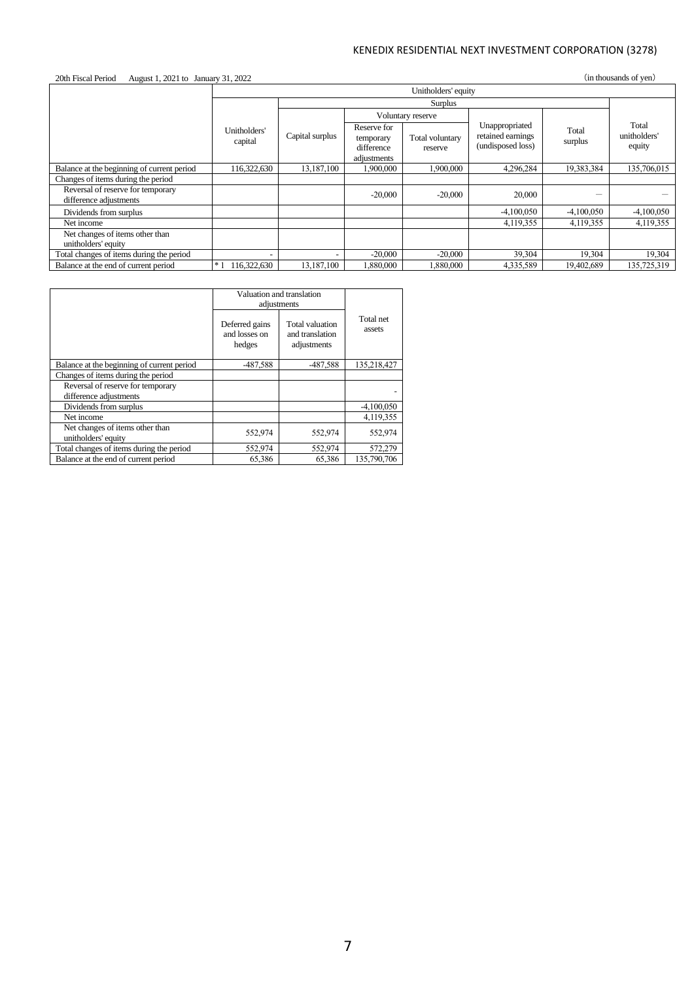| (in thousands of yen)<br>20th Fiscal Period<br>August 1, 2021 to January 31, 2022 |                          |                          |                                                       |                            |                                                          |                  |                                 |
|-----------------------------------------------------------------------------------|--------------------------|--------------------------|-------------------------------------------------------|----------------------------|----------------------------------------------------------|------------------|---------------------------------|
|                                                                                   |                          |                          |                                                       |                            |                                                          |                  |                                 |
|                                                                                   |                          |                          |                                                       | Surplus                    |                                                          |                  |                                 |
|                                                                                   |                          |                          |                                                       | Voluntary reserve          |                                                          |                  |                                 |
|                                                                                   | Unitholders'<br>capital  | Capital surplus          | Reserve for<br>temporary<br>difference<br>adjustments | Total voluntary<br>reserve | Unappropriated<br>retained earnings<br>(undisposed loss) | Total<br>surplus | Total<br>unitholders'<br>equity |
| Balance at the beginning of current period                                        | 116,322,630              | 13,187,100               | 1,900,000                                             | 1,900,000                  | 4,296,284                                                | 19,383,384       | 135,706,015                     |
| Changes of items during the period                                                |                          |                          |                                                       |                            |                                                          |                  |                                 |
| Reversal of reserve for temporary<br>difference adjustments                       |                          |                          | $-20,000$                                             | $-20,000$                  | 20,000                                                   |                  |                                 |
| Dividends from surplus                                                            |                          |                          |                                                       |                            | $-4,100,050$                                             | $-4,100,050$     | $-4,100,050$                    |
| Net income                                                                        |                          |                          |                                                       |                            | 4,119,355                                                | 4,119,355        | 4,119,355                       |
| Net changes of items other than<br>unitholders' equity                            |                          |                          |                                                       |                            |                                                          |                  |                                 |
| Total changes of items during the period                                          | $\overline{\phantom{0}}$ | $\overline{\phantom{a}}$ | $-20,000$                                             | $-20,000$                  | 39,304                                                   | 19,304           | 19,304                          |
| Balance at the end of current period                                              | $*1$<br>116,322,630      | 13,187,100               | 1,880,000                                             | 1,880,000                  | 4,335,589                                                | 19,402,689       | 135,725,319                     |

|                                                             | Valuation and translation<br>adjustments  |                                                   |                     |
|-------------------------------------------------------------|-------------------------------------------|---------------------------------------------------|---------------------|
|                                                             | Deferred gains<br>and losses on<br>hedges | Total valuation<br>and translation<br>adjustments | Total net<br>assets |
| Balance at the beginning of current period                  | -487,588                                  | -487,588                                          | 135.218.427         |
| Changes of items during the period                          |                                           |                                                   |                     |
| Reversal of reserve for temporary<br>difference adjustments |                                           |                                                   |                     |
| Dividends from surplus                                      |                                           |                                                   | $-4,100,050$        |
| Net income                                                  |                                           |                                                   | 4,119,355           |
| Net changes of items other than<br>unitholders' equity      | 552,974                                   | 552,974                                           | 552,974             |
| Total changes of items during the period                    | 552,974                                   | 552,974                                           | 572,279             |
| Balance at the end of current period                        | 65,386                                    | 65,386                                            | 135,790,706         |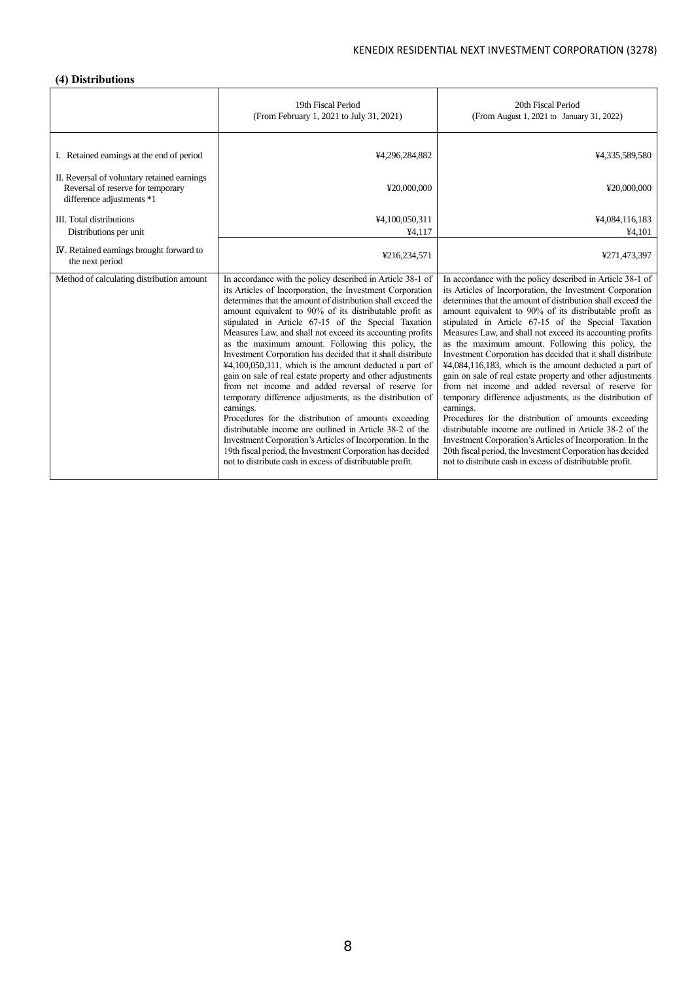# **(4) Distributions**

|                                                                                                               | 19th Fiscal Period<br>(From February 1, 2021 to July 31, 2021)                                                                                                                                                                                                                                                                                                                                                                                                                                                                                                                                                                                                                                                                                                                                                                                                                                                                                                                                                                                                  | 20th Fiscal Period<br>(From August 1, 2021 to January 31, 2022)                                                                                                                                                                                                                                                                                                                                                                                                                                                                                                                                                                                                                                                                                                                                                                                                                                                                                                                                                                                              |
|---------------------------------------------------------------------------------------------------------------|-----------------------------------------------------------------------------------------------------------------------------------------------------------------------------------------------------------------------------------------------------------------------------------------------------------------------------------------------------------------------------------------------------------------------------------------------------------------------------------------------------------------------------------------------------------------------------------------------------------------------------------------------------------------------------------------------------------------------------------------------------------------------------------------------------------------------------------------------------------------------------------------------------------------------------------------------------------------------------------------------------------------------------------------------------------------|--------------------------------------------------------------------------------------------------------------------------------------------------------------------------------------------------------------------------------------------------------------------------------------------------------------------------------------------------------------------------------------------------------------------------------------------------------------------------------------------------------------------------------------------------------------------------------------------------------------------------------------------------------------------------------------------------------------------------------------------------------------------------------------------------------------------------------------------------------------------------------------------------------------------------------------------------------------------------------------------------------------------------------------------------------------|
| I. Retained earnings at the end of period                                                                     | ¥4,296,284,882                                                                                                                                                                                                                                                                                                                                                                                                                                                                                                                                                                                                                                                                                                                                                                                                                                                                                                                                                                                                                                                  | ¥4,335,589,580                                                                                                                                                                                                                                                                                                                                                                                                                                                                                                                                                                                                                                                                                                                                                                                                                                                                                                                                                                                                                                               |
| II. Reversal of voluntary retained earnings<br>Reversal of reserve for temporary<br>difference adjustments *1 | ¥20,000,000                                                                                                                                                                                                                                                                                                                                                                                                                                                                                                                                                                                                                                                                                                                                                                                                                                                                                                                                                                                                                                                     | ¥20,000,000                                                                                                                                                                                                                                                                                                                                                                                                                                                                                                                                                                                                                                                                                                                                                                                                                                                                                                                                                                                                                                                  |
| <b>III.</b> Total distributions                                                                               | ¥4,100,050,311                                                                                                                                                                                                                                                                                                                                                                                                                                                                                                                                                                                                                                                                                                                                                                                                                                                                                                                                                                                                                                                  | ¥4,084,116,183                                                                                                                                                                                                                                                                                                                                                                                                                                                                                                                                                                                                                                                                                                                                                                                                                                                                                                                                                                                                                                               |
| Distributions per unit                                                                                        | ¥4.117                                                                                                                                                                                                                                                                                                                                                                                                                                                                                                                                                                                                                                                                                                                                                                                                                                                                                                                                                                                                                                                          | ¥4,101                                                                                                                                                                                                                                                                                                                                                                                                                                                                                                                                                                                                                                                                                                                                                                                                                                                                                                                                                                                                                                                       |
| <b>IV</b> . Retained earnings brought forward to<br>the next period                                           | ¥216,234,571                                                                                                                                                                                                                                                                                                                                                                                                                                                                                                                                                                                                                                                                                                                                                                                                                                                                                                                                                                                                                                                    | ¥271,473,397                                                                                                                                                                                                                                                                                                                                                                                                                                                                                                                                                                                                                                                                                                                                                                                                                                                                                                                                                                                                                                                 |
| Method of calculating distribution amount                                                                     | In accordance with the policy described in Article 38-1 of<br>its Articles of Incorporation, the Investment Corporation<br>determines that the amount of distribution shall exceed the<br>amount equivalent to 90% of its distributable profit as<br>stipulated in Article 67-15 of the Special Taxation<br>Measures Law, and shall not exceed its accounting profits<br>as the maximum amount. Following this policy, the<br>Investment Corporation has decided that it shall distribute<br>$44,100,050,311$ , which is the amount deducted a part of<br>gain on sale of real estate property and other adjustments<br>from net income and added reversal of reserve for<br>temporary difference adjustments, as the distribution of<br>earnings.<br>Procedures for the distribution of amounts exceeding<br>distributable income are outlined in Article 38-2 of the<br>Investment Corporation's Articles of Incorporation. In the<br>19th fiscal period, the Investment Corporation has decided<br>not to distribute cash in excess of distributable profit. | In accordance with the policy described in Article 38-1 of<br>its Articles of Incorporation, the Investment Corporation<br>determines that the amount of distribution shall exceed the<br>amount equivalent to 90% of its distributable profit as<br>stipulated in Article 67-15 of the Special Taxation<br>Measures Law, and shall not exceed its accounting profits<br>as the maximum amount. Following this policy, the<br>Investment Corporation has decided that it shall distribute<br>¥4,084,116,183, which is the amount deducted a part of<br>gain on sale of real estate property and other adjustments<br>from net income and added reversal of reserve for<br>temporary difference adjustments, as the distribution of<br>earnings.<br>Procedures for the distribution of amounts exceeding<br>distributable income are outlined in Article 38-2 of the<br>Investment Corporation's Articles of Incorporation. In the<br>20th fiscal period, the Investment Corporation has decided<br>not to distribute cash in excess of distributable profit. |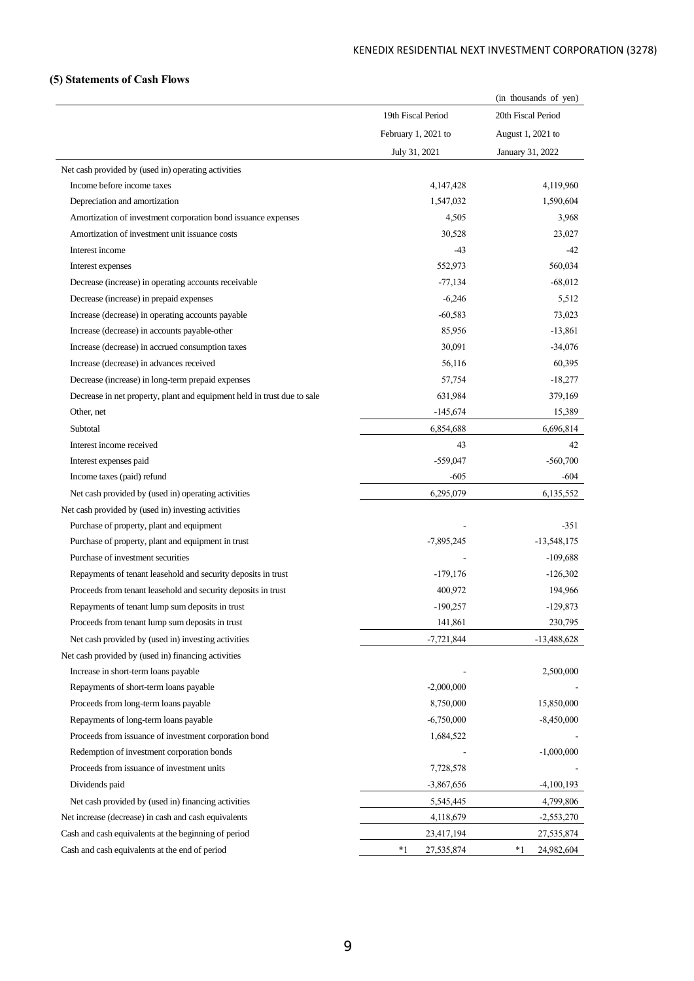# **(5) Statements of Cash Flows**

|                                                                         |                     | (in thousands of yen) |
|-------------------------------------------------------------------------|---------------------|-----------------------|
|                                                                         | 19th Fiscal Period  | 20th Fiscal Period    |
|                                                                         | February 1, 2021 to | August 1, 2021 to     |
|                                                                         | July 31, 2021       | January 31, 2022      |
| Net cash provided by (used in) operating activities                     |                     |                       |
| Income before income taxes                                              | 4,147,428           | 4,119,960             |
| Depreciation and amortization                                           | 1,547,032           | 1,590,604             |
| Amortization of investment corporation bond issuance expenses           | 4,505               | 3,968                 |
| Amortization of investment unit issuance costs                          | 30,528              | 23,027                |
| Interest income                                                         | -43                 | $-42$                 |
| Interest expenses                                                       | 552,973             | 560,034               |
| Decrease (increase) in operating accounts receivable                    | $-77,134$           | $-68,012$             |
| Decrease (increase) in prepaid expenses                                 | $-6,246$            | 5,512                 |
| Increase (decrease) in operating accounts payable                       | $-60,583$           | 73,023                |
| Increase (decrease) in accounts payable-other                           | 85,956              | $-13,861$             |
| Increase (decrease) in accrued consumption taxes                        | 30,091              | $-34,076$             |
| Increase (decrease) in advances received                                | 56,116              | 60,395                |
| Decrease (increase) in long-term prepaid expenses                       | 57,754              | $-18,277$             |
| Decrease in net property, plant and equipment held in trust due to sale | 631,984             | 379,169               |
| Other, net                                                              | $-145,674$          | 15,389                |
| Subtotal                                                                | 6,854,688           | 6,696,814             |
| Interest income received                                                | 43                  | 42                    |
| Interest expenses paid                                                  | $-559,047$          | $-560,700$            |
| Income taxes (paid) refund                                              | $-605$              | -604                  |
| Net cash provided by (used in) operating activities                     | 6,295,079           | 6,135,552             |
| Net cash provided by (used in) investing activities                     |                     |                       |
| Purchase of property, plant and equipment                               |                     | $-351$                |
| Purchase of property, plant and equipment in trust                      | $-7,895,245$        | $-13,548,175$         |
| Purchase of investment securities                                       |                     | $-109,688$            |
| Repayments of tenant leasehold and security deposits in trust           | $-179,176$          | $-126,302$            |
| Proceeds from tenant leasehold and security deposits in trust           | 400,972             | 194,966               |
| Repayments of tenant lump sum deposits in trust                         | $-190,257$          | $-129,873$            |
| Proceeds from tenant lump sum deposits in trust                         | 141,861             | 230,795               |
| Net cash provided by (used in) investing activities                     | $-7,721,844$        | $-13,488,628$         |
| Net cash provided by (used in) financing activities                     |                     |                       |
| Increase in short-term loans payable                                    |                     | 2,500,000             |
| Repayments of short-term loans payable                                  | $-2,000,000$        |                       |
| Proceeds from long-term loans payable                                   | 8,750,000           | 15,850,000            |
| Repayments of long-term loans payable                                   | $-6,750,000$        | $-8,450,000$          |
| Proceeds from issuance of investment corporation bond                   | 1,684,522           |                       |
| Redemption of investment corporation bonds                              |                     | $-1,000,000$          |
| Proceeds from issuance of investment units                              | 7,728,578           |                       |
| Dividends paid                                                          | $-3,867,656$        | $-4,100,193$          |
| Net cash provided by (used in) financing activities                     | 5,545,445           | 4,799,806             |
| Net increase (decrease) in cash and cash equivalents                    | 4,118,679           | $-2,553,270$          |
| Cash and cash equivalents at the beginning of period                    | 23,417,194          | 27,535,874            |
| Cash and cash equivalents at the end of period                          | $*1$<br>27,535,874  | *1<br>24,982,604      |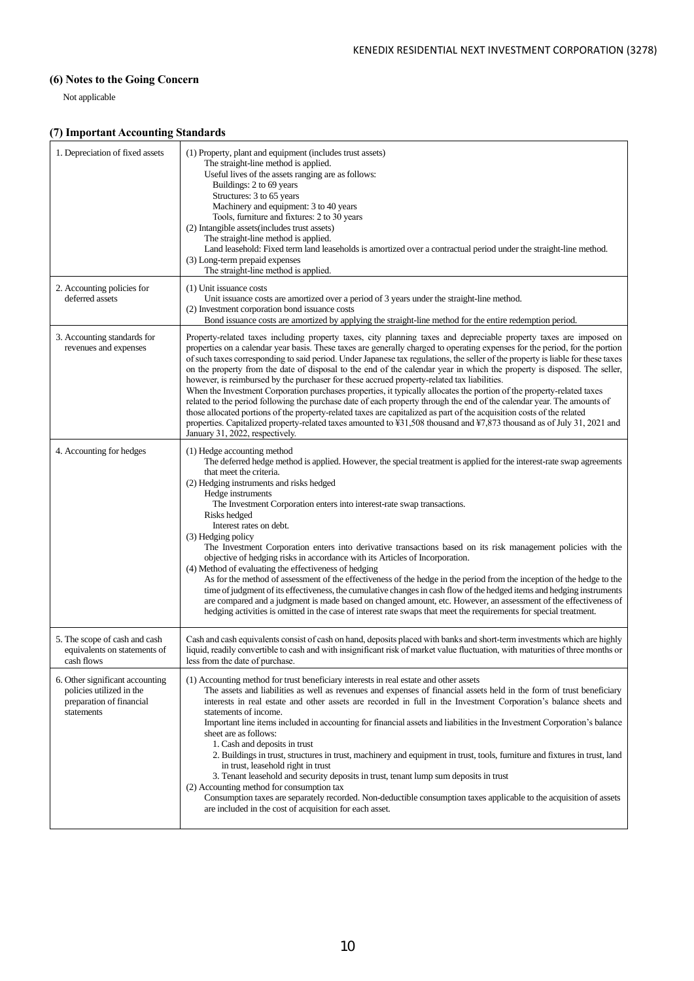# **(6) Notes to the Going Concern**

Not applicable

# **(7) Important Accounting Standards**

| 1. Depreciation of fixed assets                                                                       | (1) Property, plant and equipment (includes trust assets)<br>The straight-line method is applied.<br>Useful lives of the assets ranging are as follows:<br>Buildings: 2 to 69 years<br>Structures: 3 to 65 years<br>Machinery and equipment: 3 to 40 years<br>Tools, furniture and fixtures: 2 to 30 years<br>(2) Intangible assets (includes trust assets)<br>The straight-line method is applied.<br>Land leasehold: Fixed term land leaseholds is amortized over a contractual period under the straight-line method.<br>(3) Long-term prepaid expenses<br>The straight-line method is applied.                                                                                                                                                                                                                                                                                                                                                                                                                                                                                                                                                             |
|-------------------------------------------------------------------------------------------------------|----------------------------------------------------------------------------------------------------------------------------------------------------------------------------------------------------------------------------------------------------------------------------------------------------------------------------------------------------------------------------------------------------------------------------------------------------------------------------------------------------------------------------------------------------------------------------------------------------------------------------------------------------------------------------------------------------------------------------------------------------------------------------------------------------------------------------------------------------------------------------------------------------------------------------------------------------------------------------------------------------------------------------------------------------------------------------------------------------------------------------------------------------------------|
| 2. Accounting policies for<br>deferred assets                                                         | (1) Unit issuance costs<br>Unit issuance costs are amortized over a period of 3 years under the straight-line method.<br>(2) Investment corporation bond issuance costs<br>Bond issuance costs are amortized by applying the straight-line method for the entire redemption period.                                                                                                                                                                                                                                                                                                                                                                                                                                                                                                                                                                                                                                                                                                                                                                                                                                                                            |
| 3. Accounting standards for<br>revenues and expenses                                                  | Property-related taxes including property taxes, city planning taxes and depreciable property taxes are imposed on<br>properties on a calendar year basis. These taxes are generally charged to operating expenses for the period, for the portion<br>of such taxes corresponding to said period. Under Japanese tax regulations, the seller of the property is liable for these taxes<br>on the property from the date of disposal to the end of the calendar year in which the property is disposed. The seller,<br>however, is reimbursed by the purchaser for these accrued property-related tax liabilities.<br>When the Investment Corporation purchases properties, it typically allocates the portion of the property-related taxes<br>related to the period following the purchase date of each property through the end of the calendar year. The amounts of<br>those allocated portions of the property-related taxes are capitalized as part of the acquisition costs of the related<br>properties. Capitalized property-related taxes amounted to ¥31,508 thousand and ¥7,873 thousand as of July 31, 2021 and<br>January 31, 2022, respectively. |
| 4. Accounting for hedges                                                                              | (1) Hedge accounting method<br>The deferred hedge method is applied. However, the special treatment is applied for the interest-rate swap agreements<br>that meet the criteria.<br>(2) Hedging instruments and risks hedged<br>Hedge instruments<br>The Investment Corporation enters into interest-rate swap transactions.<br>Risks hedged<br>Interest rates on debt.<br>(3) Hedging policy<br>The Investment Corporation enters into derivative transactions based on its risk management policies with the<br>objective of hedging risks in accordance with its Articles of Incorporation.<br>(4) Method of evaluating the effectiveness of hedging<br>As for the method of assessment of the effectiveness of the hedge in the period from the inception of the hedge to the<br>time of judgment of its effectiveness, the cumulative changes in cash flow of the hedged items and hedging instruments<br>are compared and a judgment is made based on changed amount, etc. However, an assessment of the effectiveness of<br>hedging activities is omitted in the case of interest rate swaps that meet the requirements for special treatment.           |
| 5. The scope of cash and cash<br>equivalents on statements of<br>cash flows                           | Cash and cash equivalents consist of cash on hand, deposits placed with banks and short-term investments which are highly<br>liquid, readily convertible to cash and with insignificant risk of market value fluctuation, with maturities of three months or<br>less from the date of purchase.                                                                                                                                                                                                                                                                                                                                                                                                                                                                                                                                                                                                                                                                                                                                                                                                                                                                |
| 6. Other significant accounting<br>policies utilized in the<br>preparation of financial<br>statements | (1) Accounting method for trust beneficiary interests in real estate and other assets<br>The assets and liabilities as well as revenues and expenses of financial assets held in the form of trust beneficiary<br>interests in real estate and other assets are recorded in full in the Investment Corporation's balance sheets and<br>statements of income.<br>Important line items included in accounting for financial assets and liabilities in the Investment Corporation's balance<br>sheet are as follows:<br>1. Cash and deposits in trust<br>2. Buildings in trust, structures in trust, machinery and equipment in trust, tools, furniture and fixtures in trust, land<br>in trust, leasehold right in trust<br>3. Tenant leasehold and security deposits in trust, tenant lump sum deposits in trust<br>(2) Accounting method for consumption tax<br>Consumption taxes are separately recorded. Non-deductible consumption taxes applicable to the acquisition of assets<br>are included in the cost of acquisition for each asset.                                                                                                                 |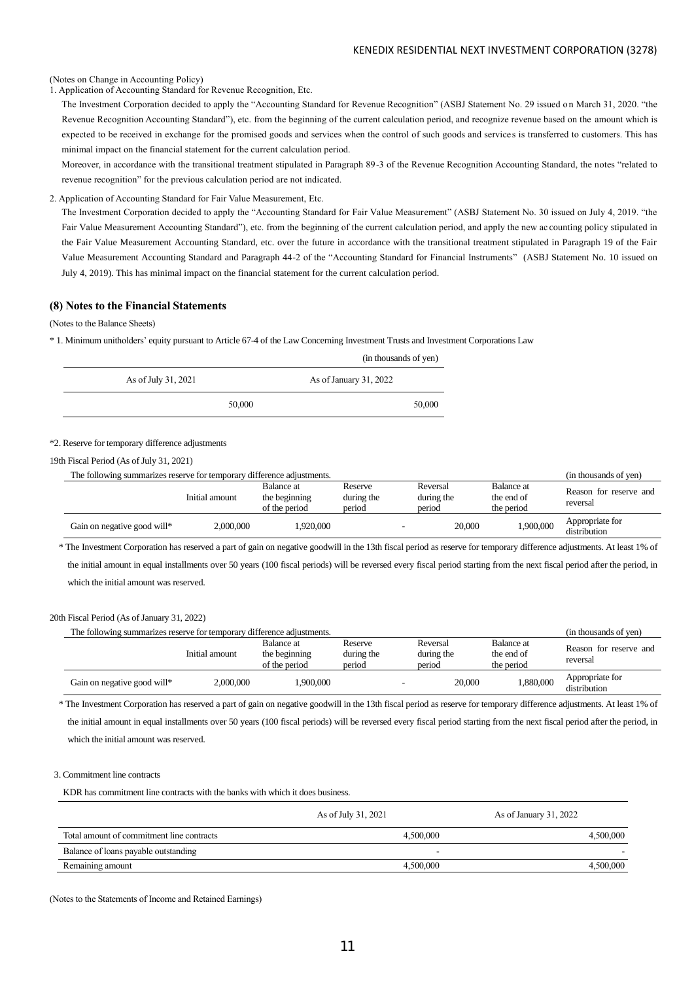#### (Notes on Change in Accounting Policy)

1. Application of Accounting Standard for Revenue Recognition, Etc.

The Investment Corporation decided to apply the "Accounting Standard for Revenue Recognition" (ASBJ Statement No. 29 issued o n March 31, 2020. "the Revenue Recognition Accounting Standard"), etc. from the beginning of the current calculation period, and recognize revenue based on the amount which is expected to be received in exchange for the promised goods and services when the control of such goods and services is transferred to customers. This has minimal impact on the financial statement for the current calculation period.

Moreover, in accordance with the transitional treatment stipulated in Paragraph 89-3 of the Revenue Recognition Accounting Standard, the notes "related to revenue recognition" for the previous calculation period are not indicated.

# 2. Application of Accounting Standard for Fair Value Measurement, Etc.

The Investment Corporation decided to apply the "Accounting Standard for Fair Value Measurement" (ASBJ Statement No. 30 issued on July 4, 2019. "the Fair Value Measurement Accounting Standard"), etc. from the beginning of the current calculation period, and apply the new ac counting policy stipulated in the Fair Value Measurement Accounting Standard, etc. over the future in accordance with the transitional treatment stipulated in Paragraph 19 of the Fair Value Measurement Accounting Standard and Paragraph 44-2 of the "Accounting Standard for Financial Instruments" (ASBJ Statement No. 10 issued on July 4, 2019). This has minimal impact on the financial statement for the current calculation period.

# **(8) Notes to the Financial Statements**

## (Notes to the Balance Sheets)

\* 1. Minimum unitholders' equity pursuant to Article 67-4 of the Law Concerning Investment Trusts and Investment Corporations Law

|                     |        | (in thousands of yen)  |
|---------------------|--------|------------------------|
| As of July 31, 2021 |        | As of January 31, 2022 |
|                     | 50,000 | 50,000                 |

#### \*2. Reserve for temporary difference adjustments

19th Fiscal Period (As of July 31, 2021)

| The following summarizes reserve for temporary difference adjustments. |                |                                              |                                 |                                  |                                               | (in thousands of yen)              |
|------------------------------------------------------------------------|----------------|----------------------------------------------|---------------------------------|----------------------------------|-----------------------------------------------|------------------------------------|
|                                                                        | Initial amount | Balance at<br>the beginning<br>of the period | Reserve<br>during the<br>period | Reversal<br>during the<br>period | <b>Balance</b> at<br>the end of<br>the period | Reason for reserve and<br>reversal |
| Gain on negative good will*                                            | 2,000,000      | .920.000                                     |                                 | 20,000                           | 1,900,000                                     | Appropriate for<br>distribution    |

\* The Investment Corporation has reserved a part of gain on negative goodwill in the 13th fiscal period as reserve for temporary difference adjustments. At least 1% of the initial amount in equal installments over 50 years (100 fiscal periods) will be reversed every fiscal period starting from the next fiscal period after the period, in which the initial amount was reserved.

## 20th Fiscal Period (As of January 31, 2022)

| The following summarizes reserve for temporary difference adjustments. |                |                                              |                                 |                                  |                                               | (in thousands of yen)              |
|------------------------------------------------------------------------|----------------|----------------------------------------------|---------------------------------|----------------------------------|-----------------------------------------------|------------------------------------|
|                                                                        | Initial amount | Balance at<br>the beginning<br>of the period | Reserve<br>during the<br>period | Reversal<br>during the<br>period | <b>Balance</b> at<br>the end of<br>the period | Reason for reserve and<br>reversal |
| Gain on negative good will*                                            | 2,000,000      | .900.000                                     |                                 | 20,000                           | 1,880,000                                     | Appropriate for<br>distribution    |

\* The Investment Corporation has reserved a part of gain on negative goodwill in the 13th fiscal period as reserve for temporary difference adjustments. At least 1% of the initial amount in equal installments over 50 years (100 fiscal periods) will be reversed every fiscal period starting from the next fiscal period after the period, in which the initial amount was reserved.

## 3. Commitment line contracts

KDR has commitment line contracts with the banks with which it does business.

|                                           | As of July 31, 2021 | As of January 31, 2022 |
|-------------------------------------------|---------------------|------------------------|
| Total amount of commitment line contracts | 4,500,000           | 4,500,000              |
| Balance of loans payable outstanding      |                     |                        |
| Remaining amount                          | 4,500,000           | 4,500,000              |

(Notes to the Statements of Income and Retained Earnings)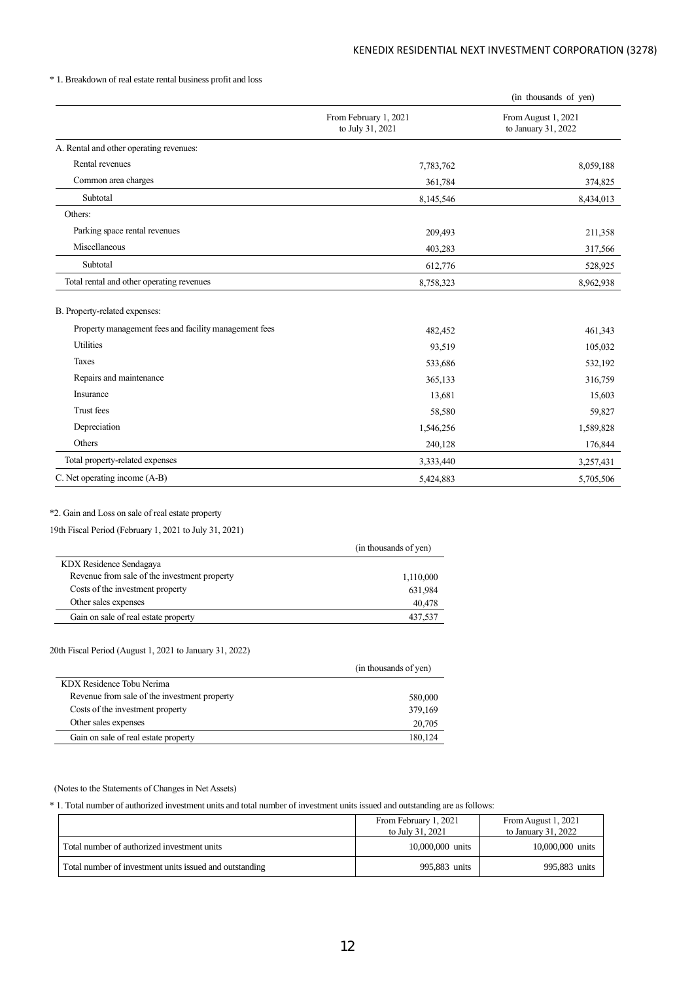# \* 1. Breakdown of real estate rental business profit and loss

|                                                       |                                           | (in thousands of yen)                      |
|-------------------------------------------------------|-------------------------------------------|--------------------------------------------|
|                                                       | From February 1, 2021<br>to July 31, 2021 | From August 1, 2021<br>to January 31, 2022 |
| A. Rental and other operating revenues:               |                                           |                                            |
| Rental revenues                                       | 7,783,762                                 | 8,059,188                                  |
| Common area charges                                   | 361,784                                   | 374,825                                    |
| Subtotal                                              | 8,145,546                                 | 8,434,013                                  |
| Others:                                               |                                           |                                            |
| Parking space rental revenues                         | 209,493                                   | 211,358                                    |
| Miscellaneous                                         | 403,283                                   | 317,566                                    |
| Subtotal                                              | 612,776                                   | 528,925                                    |
| Total rental and other operating revenues             | 8,758,323                                 | 8,962,938                                  |
| B. Property-related expenses:                         |                                           |                                            |
| Property management fees and facility management fees | 482,452                                   | 461,343                                    |
| <b>Utilities</b>                                      | 93,519                                    | 105,032                                    |
| Taxes                                                 | 533,686                                   | 532,192                                    |
| Repairs and maintenance                               | 365,133                                   | 316,759                                    |
| Insurance                                             | 13,681                                    | 15,603                                     |
| Trust fees                                            | 58,580                                    | 59,827                                     |
| Depreciation                                          | 1,546,256                                 | 1,589,828                                  |
| Others                                                | 240,128                                   | 176,844                                    |
| Total property-related expenses                       | 3,333,440                                 | 3,257,431                                  |
| C. Net operating income (A-B)                         | 5,424,883                                 | 5,705,506                                  |

# \*2. Gain and Loss on sale of real estate property

# 19th Fiscal Period (February 1, 2021 to July 31, 2021)

|                                              | (in thousands of yen) |
|----------------------------------------------|-----------------------|
| KDX Residence Sendagaya                      |                       |
| Revenue from sale of the investment property | 1,110,000             |
| Costs of the investment property             | 631,984               |
| Other sales expenses                         | 40.478                |
| Gain on sale of real estate property         | 437,537               |

# 20th Fiscal Period (August 1, 2021 to January 31, 2022)

|                                              | (in thousands of yen) |
|----------------------------------------------|-----------------------|
| KDX Residence Tobu Nerima                    |                       |
| Revenue from sale of the investment property | 580,000               |
| Costs of the investment property             | 379,169               |
| Other sales expenses                         | 20,705                |
| Gain on sale of real estate property         | 180.124               |

# (Notes to the Statements of Changes in Net Assets)

\* 1. Total number of authorized investment units and total number of investment units issued and outstanding are as follows:

|                                                         | From February 1, 2021<br>to July 31, 2021 | From August 1, 2021<br>to January 31, 2022 |
|---------------------------------------------------------|-------------------------------------------|--------------------------------------------|
| Total number of authorized investment units             | 10,000,000 units                          | 10,000,000 units                           |
| Total number of investment units issued and outstanding | 995,883 units                             | 995,883 units                              |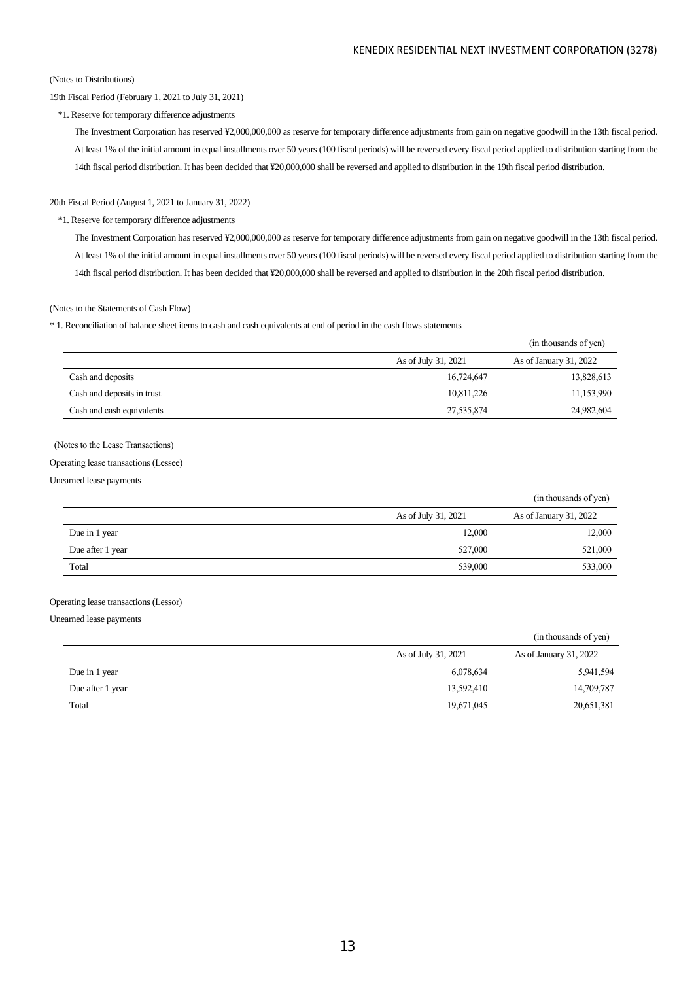### (Notes to Distributions)

# 19th Fiscal Period (February 1, 2021 to July 31, 2021)

\*1. Reserve for temporary difference adjustments

The Investment Corporation has reserved ¥2,000,000,000 as reserve for temporary difference adjustments from gain on negative goodwill in the 13th fiscal period. At least 1% of the initial amount in equal installments over 50 years (100 fiscal periods) will be reversed every fiscal period applied to distribution starting from the 14th fiscal period distribution. It has been decided that ¥20,000,000 shall be reversed and applied to distribution in the 19th fiscal period distribution.

#### 20th Fiscal Period (August 1, 2021 to January 31, 2022)

# \*1. Reserve for temporary difference adjustments

The Investment Corporation has reserved ¥2,000,000,000 as reserve for temporary difference adjustments from gain on negative goodwill in the 13th fiscal period. At least 1% of the initial amount in equal installments over 50 years (100 fiscal periods) will be reversed every fiscal period applied to distribution starting from the 14th fiscal period distribution. It has been decided that ¥20,000,000 shall be reversed and applied to distribution in the 20th fiscal period distribution.

#### (Notes to the Statements of Cash Flow)

\* 1. Reconciliation of balance sheet items to cash and cash equivalents at end of period in the cash flows statements

|                            |                     | (in thousands of yen)  |
|----------------------------|---------------------|------------------------|
|                            | As of July 31, 2021 | As of January 31, 2022 |
| Cash and deposits          | 16,724,647          | 13,828,613             |
| Cash and deposits in trust | 10,811,226          | 11,153,990             |
| Cash and cash equivalents  | 27,535,874          | 24,982,604             |

# (Notes to the Lease Transactions)

#### Operating lease transactions (Lessee)

Unearned lease payments

|                  |                     | (in thousands of yen)  |
|------------------|---------------------|------------------------|
|                  | As of July 31, 2021 | As of January 31, 2022 |
| Due in 1 year    | 12,000              | 12,000                 |
| Due after 1 year | 527,000             | 521,000                |
| Total            | 539,000             | 533,000                |

## Operating lease transactions (Lessor)

Unearned lease payments

|                  |                     | (in thousands of yen)  |
|------------------|---------------------|------------------------|
|                  | As of July 31, 2021 | As of January 31, 2022 |
| Due in 1 year    | 6,078,634           | 5,941,594              |
| Due after 1 year | 13,592,410          | 14,709,787             |
| Total            | 19,671,045          | 20,651,381             |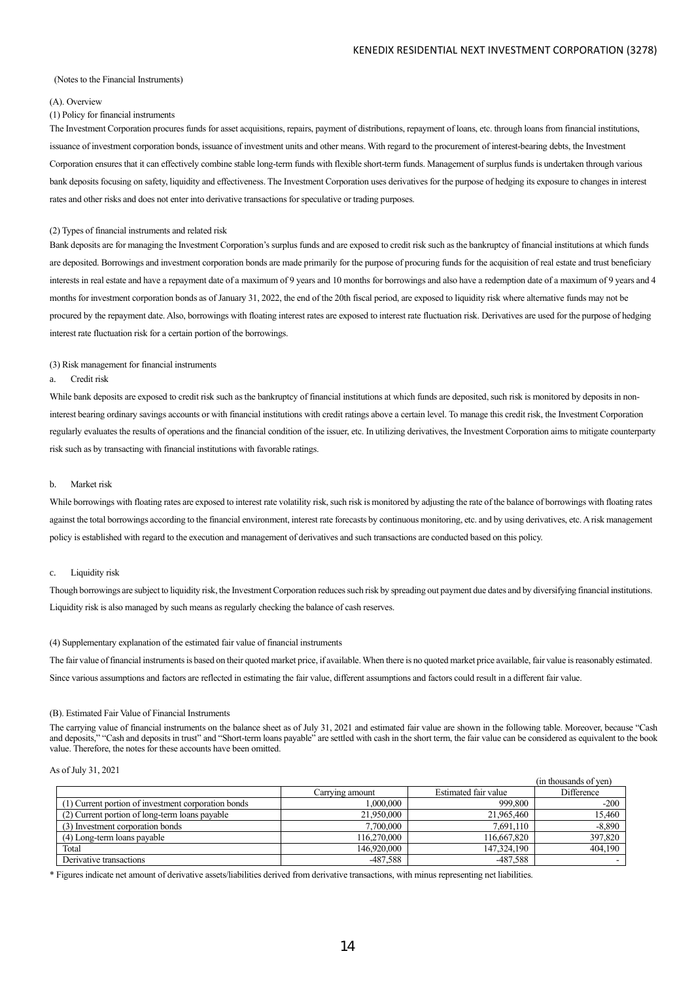#### (Notes to the Financial Instruments)

#### (A). Overview

## (1) Policy for financial instruments

The Investment Corporation procures funds for asset acquisitions, repairs, payment of distributions, repayment of loans, etc. through loans from financial institutions, issuance of investment corporation bonds, issuance of investment units and other means. With regard to the procurement of interest-bearing debts, the Investment Corporation ensures that it can effectively combine stable long-term funds with flexible short-term funds. Management of surplus funds is undertaken through various bank deposits focusing on safety, liquidity and effectiveness. The Investment Corporation uses derivatives for the purpose of hedging its exposure to changes in interest rates and other risks and does not enter into derivative transactions for speculative or trading purposes.

#### (2) Types of financial instruments and related risk

Bank deposits are for managing the Investment Corporation's surplus funds and are exposed to credit risk such asthe bankruptcy of financial institutions at which funds are deposited. Borrowings and investment corporation bonds are made primarily for the purpose of procuring funds for the acquisition of real estate and trust beneficiary interests in real estate and have a repayment date of a maximum of 9 years and 10 months for borrowings and also have a redemption date of a maximum of 9 years and 4 months for investment corporation bonds as of January 31, 2022, the end of the 20th fiscal period, are exposed to liquidity risk where alternative funds may not be procured by the repayment date. Also, borrowings with floating interest rates are exposed to interest rate fluctuation risk. Derivatives are used for the purpose of hedging interest rate fluctuation risk for a certain portion of the borrowings.

#### (3) Risk management for financial instruments

#### a. Credit risk

While bank deposits are exposed to credit risk such as the bankruptcy of financial institutions at which funds are deposited, such risk is monitored by deposits in noninterest bearing ordinary savings accounts or with financial institutions with credit ratings above a certain level. To manage this credit risk, the Investment Corporation regularly evaluates the results of operations and the financial condition of the issuer, etc. In utilizing derivatives, the Investment Corporation aims to mitigate counterparty risk such as by transacting with financial institutions with favorable ratings.

#### b. Market risk

While borrowings with floating rates are exposed to interest rate volatility risk, such risk is monitored by adjusting the rate of the balance of borrowings with floating rates against the total borrowings according to the financial environment, interest rate forecasts by continuous monitoring, etc. and by using derivatives, etc. A risk management policy is established with regard to the execution and management of derivatives and such transactions are conducted based on this policy.

#### c. Liquidity risk

Though borrowings are subject to liquidity risk, the Investment Corporation reduces such risk by spreading out payment due dates and by diversifying financial institutions. Liquidity risk is also managed by such means as regularly checking the balance of cash reserves.

#### (4) Supplementary explanation of the estimated fair value of financial instruments

The fair value of financial instruments is based on their quoted market price, if available. When there is no quoted market price available, fair value is reasonably estimated. Since various assumptions and factors are reflected in estimating the fair value, different assumptions and factors could result in a different fair value.

#### (B). Estimated Fair Value of Financial Instruments

The carrying value of financial instruments on the balance sheet as of July 31, 2021 and estimated fair value are shown in the following table. Moreover, because "Cash and deposits," "Cash and deposits in trust" and "Short-term loans payable" are settled with cash in the short term, the fair value can be considered as equivalent to the book value. Therefore, the notes for these accounts have been omitted.

## As of July 31, 2021

|                                                     |                 |                      | (in thousands of ven) |
|-----------------------------------------------------|-----------------|----------------------|-----------------------|
|                                                     | Carrving amount | Estimated fair value | Difference            |
| (1) Current portion of investment corporation bonds | 1.000.000       | 999,800              | $-200$                |
| (2) Current portion of long-term loans payable      | 21,950,000      | 21,965,460           | 15.460                |
| (3) Investment corporation bonds                    | 7,700,000       | 7.691.110            | $-8,890$              |
| (4) Long-term loans payable                         | 116.270,000     | 116.667.820          | 397,820               |
| Total                                               | 146,920,000     | 147,324,190          | 404.190               |
| Derivative transactions                             | -487,588        | $-487,588$           |                       |

\* Figures indicate net amount of derivative assets/liabilities derived from derivative transactions, with minus representing net liabilities.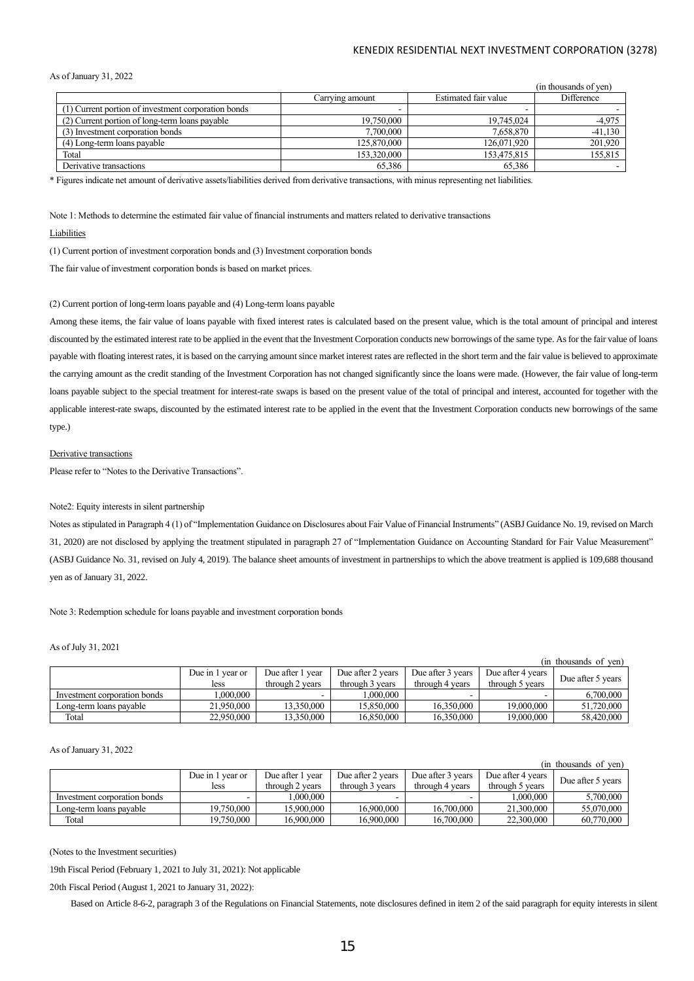As of January 31, 2022

|                                                     |                 |                      | (in thousands of ven) |
|-----------------------------------------------------|-----------------|----------------------|-----------------------|
|                                                     | Carrying amount | Estimated fair value | Difference            |
| (1) Current portion of investment corporation bonds |                 | -                    |                       |
| (2) Current portion of long-term loans payable      | 19,750,000      | 19,745,024           | -4,975                |
| (3) Investment corporation bonds                    | 7,700,000       | 7.658.870            | $-41,130$             |
| (4) Long-term loans payable                         | 125,870,000     | 126,071,920          | 201,920               |
| Total                                               | 153,320,000     | 153,475,815          | 155,815               |
| Derivative transactions                             | 65,386          | 65,386               |                       |

\* Figures indicate net amount of derivative assets/liabilities derived from derivative transactions, with minus representing net liabilities.

Note 1: Methods to determine the estimated fair value of financial instruments and matters related to derivative transactions

#### **Liabilities**

(1) Current portion of investment corporation bonds and (3) Investment corporation bonds

The fair value of investment corporation bonds is based on market prices.

#### (2) Current portion of long-term loans payable and (4) Long-term loans payable

Among these items, the fair value of loans payable with fixed interest rates is calculated based on the present value, which is the total amount of principal and interest discounted by the estimated interest rate to be applied in the event that the Investment Corporation conducts new borrowings of the same type. As for the fair value of loans payable with floating interest rates, it is based on the carrying amount since market interest rates are reflected in the short term and the fair value is believed to approximate the carrying amount as the credit standing of the Investment Corporation has not changed significantly since the loans were made. (However, the fair value of long-term loans payable subject to the special treatment for interest-rate swaps is based on the present value of the total of principal and interest, accounted for together with the applicable interest-rate swaps, discounted by the estimated interest rate to be applied in the event that the Investment Corporation conducts new borrowings of the same type.)

#### Derivative transactions

Please refer to "Notes to the Derivative Transactions".

## Note2: Equity interests in silent partnership

Notes as stipulated in Paragraph 4 (1) of "Implementation Guidance on Disclosures about Fair Value of Financial Instruments" (ASBJ Guidance No. 19, revised on March 31, 2020) are not disclosed by applying the treatment stipulated in paragraph 27 of "Implementation Guidance on Accounting Standard for Fair Value Measurement" (ASBJ Guidance No. 31, revised on July 4, 2019). The balance sheet amounts of investment in partnerships to which the above treatment is applied is 109,688 thousand yen as of January 31, 2022.

Note 3: Redemption schedule for loans payable and investment corporation bonds

# As of July 31, 2021

|                              |                  |                  |                   |                   |                   | (in thousands of ven) |
|------------------------------|------------------|------------------|-------------------|-------------------|-------------------|-----------------------|
|                              | Due in 1 year or | Due after 1 year | Due after 2 years | Due after 3 years | Due after 4 years | Due after 5 years     |
|                              | less             | through 2 years  | through 3 years   | through 4 years   | through 5 years   |                       |
| Investment corporation bonds | .000.000         |                  | 1.000.000         |                   |                   | 6,700,000             |
| Long-term loans pavable      | 21,950,000       | 13.350.000       | 15,850,000        | 16.350.000        | 19,000,000        | 51,720,000            |
| Total                        | 22,950,000       | 13.350.000       | 16,850,000        | 16.350.000        | 19,000,000        | 58,420,000            |

#### As of January 31, 2022

|                              |                  |                  |                   |                   |                   | (in thousands of ven) |
|------------------------------|------------------|------------------|-------------------|-------------------|-------------------|-----------------------|
|                              | Due in 1 year or | Due after 1 year | Due after 2 years | Due after 3 years | Due after 4 years |                       |
|                              | less             | through 2 years  | through 3 years   | through 4 years   | through 5 years   | Due after 5 years     |
| Investment corporation bonds |                  | 000,000          |                   |                   | .000.000          | 5,700,000             |
| Long-term loans payable      | 19,750,000       | 15,900,000       | 16.900.000        | 16,700,000        | 21,300,000        | 55,070,000            |
| Total                        | 19,750,000       | 16.900.000       | 16.900,000        | 16,700,000        | 22,300,000        | 60,770,000            |

(Notes to the Investment securities)

19th Fiscal Period (February 1, 2021 to July 31, 2021): Not applicable

20th Fiscal Period (August 1, 2021 to January 31, 2022):

Based on Article 8-6-2, paragraph 3 of the Regulations on Financial Statements, note disclosures defined in item 2 of the said paragraph for equity interests in silent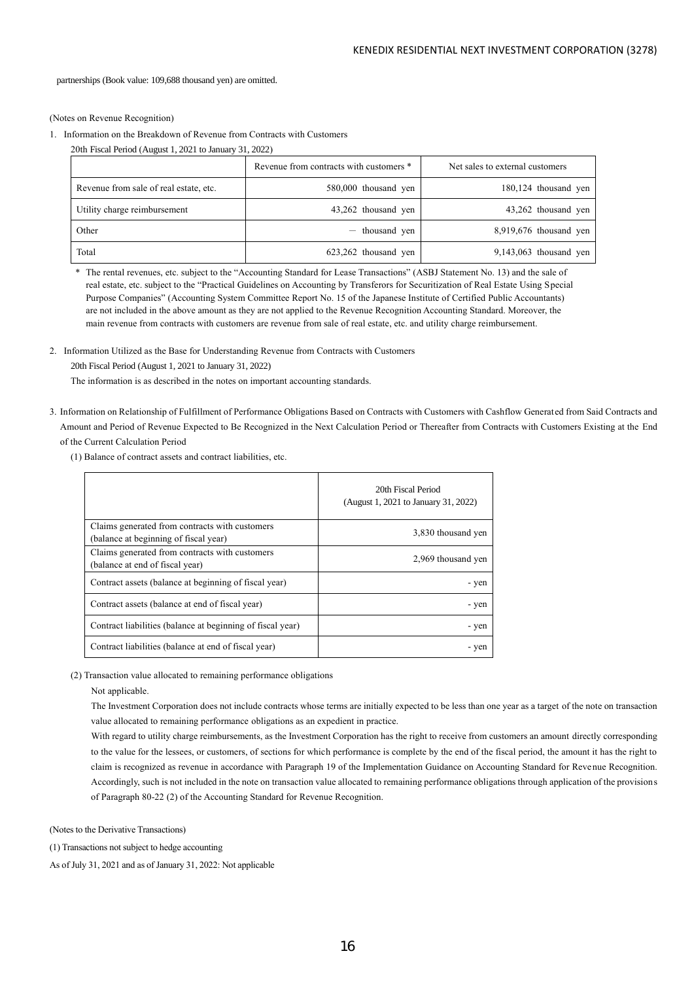partnerships (Book value: 109,688 thousand yen) are omitted.

(Notes on Revenue Recognition)

1. Information on the Breakdown of Revenue from Contracts with Customers

|                                        | Revenue from contracts with customers * | Net sales to external customers |
|----------------------------------------|-----------------------------------------|---------------------------------|
| Revenue from sale of real estate, etc. | 580,000 thousand yen                    | 180,124 thousand yen            |
| Utility charge reimbursement           | 43,262 thousand yen                     | 43,262 thousand yen             |
| Other                                  | $-$ thousand yen                        | $8,919,676$ thousand yen        |
| Total                                  | 623,262 thousand yen                    | $9,143,063$ thousand yen        |

\* The rental revenues, etc. subject to the "Accounting Standard for Lease Transactions" (ASBJ Statement No. 13) and the sale of real estate, etc. subject to the "Practical Guidelines on Accounting by Transferors for Securitization of Real Estate Using Special Purpose Companies" (Accounting System Committee Report No. 15 of the Japanese Institute of Certified Public Accountants) are not included in the above amount as they are not applied to the Revenue Recognition Accounting Standard. Moreover, the main revenue from contracts with customers are revenue from sale of real estate, etc. and utility charge reimbursement.

2. Information Utilized as the Base for Understanding Revenue from Contracts with Customers

20th Fiscal Period (August 1, 2021 to January 31, 2022)

The information is as described in the notes on important accounting standards.

- 3. Information on Relationship of Fulfillment of Performance Obligations Based on Contracts with Customers with Cashflow Generated from Said Contracts and Amount and Period of Revenue Expected to Be Recognized in the Next Calculation Period or Thereafter from Contracts with Customers Existing at the End of the Current Calculation Period
	- (1) Balance of contract assets and contract liabilities, etc.

|                                                                                         | 20th Fiscal Period<br>(August 1, 2021 to January 31, 2022) |
|-----------------------------------------------------------------------------------------|------------------------------------------------------------|
| Claims generated from contracts with customers<br>(balance at beginning of fiscal year) | 3,830 thousand yen                                         |
| Claims generated from contracts with customers<br>(balance at end of fiscal year)       | 2,969 thousand yen                                         |
| Contract assets (balance at beginning of fiscal year)                                   | - yen                                                      |
| Contract assets (balance at end of fiscal year)                                         | - yen                                                      |
| Contract liabilities (balance at beginning of fiscal year)                              | - yen                                                      |
| Contract liabilities (balance at end of fiscal year)                                    | - yen                                                      |

(2) Transaction value allocated to remaining performance obligations

Not applicable.

The Investment Corporation does not include contracts whose terms are initially expected to be less than one year as a target of the note on transaction value allocated to remaining performance obligations as an expedient in practice.

With regard to utility charge reimbursements, as the Investment Corporation has the right to receive from customers an amount directly corresponding to the value for the lessees, or customers, of sections for which performance is complete by the end of the fiscal period, the amount it has the right to claim is recognized as revenue in accordance with Paragraph 19 of the Implementation Guidance on Accounting Standard for Revenue Recognition. Accordingly, such is not included in the note on transaction value allocated to remaining performance obligations through application of the provisions of Paragraph 80-22 (2) of the Accounting Standard for Revenue Recognition.

(Notes to the Derivative Transactions)

(1) Transactions not subject to hedge accounting

As of July 31, 2021 and as of January 31, 2022: Not applicable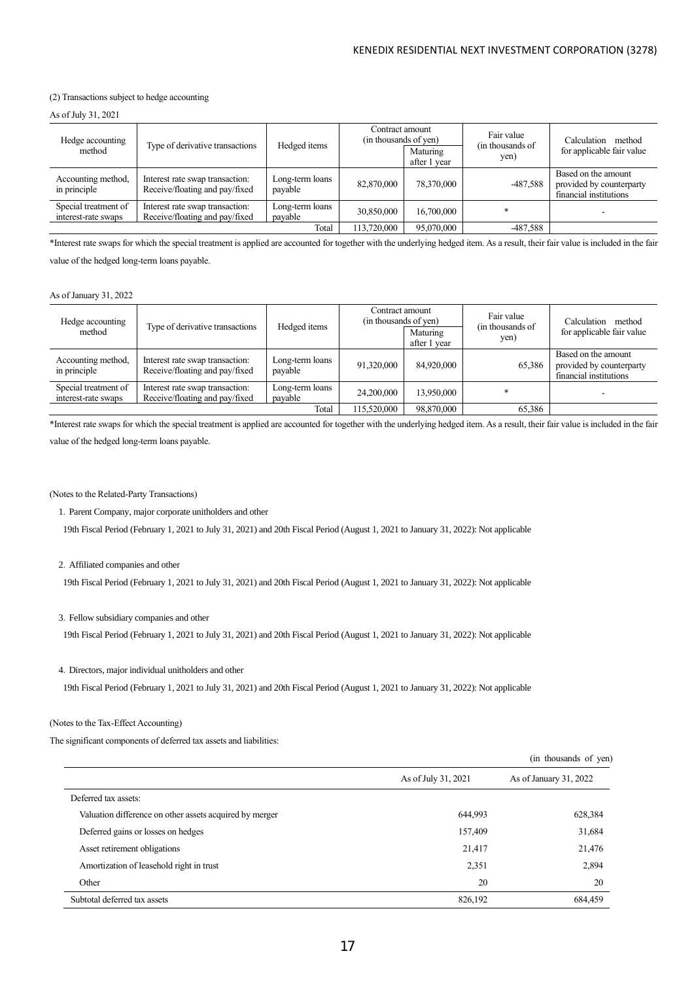# (2) Transactions subject to hedge accounting

As of July 31, 2021

| Hedge accounting<br>method                  | Type of derivative transactions                                   | Hedged items               | Contract amount<br>(in thousands of yen) | Maturing<br>after 1 year | Fair value<br>(in thousands of<br>yen) | Calculation<br>method<br>for applicable fair value                        |
|---------------------------------------------|-------------------------------------------------------------------|----------------------------|------------------------------------------|--------------------------|----------------------------------------|---------------------------------------------------------------------------|
| Accounting method,<br>in principle          | Interest rate swap transaction:<br>Receive/floating and pay/fixed | Long-term loans<br>payable | 82,870,000                               | 78,370,000               | $-487.588$                             | Based on the amount<br>provided by counterparty<br>financial institutions |
| Special treatment of<br>interest-rate swaps | Interest rate swap transaction:<br>Receive/floating and pay/fixed | Long-term loans<br>payable | 30,850,000                               | 16,700,000               |                                        |                                                                           |
|                                             |                                                                   | Total                      | 113,720,000                              | 95,070,000               | $-487.588$                             |                                                                           |

\*Interest rate swaps for which the special treatment is applied are accounted for together with the underlying hedged item. As a result, their fair value is included in the fair value of the hedged long-term loans payable.

As of January 31, 2022

| Hedge accounting<br>method                  | Type of derivative transactions                                   | Hedged items               | Contract amount<br>(in thousands of yen) | Maturing<br>after 1 year | Fair value<br>(in thousands of<br>yen) | Calculation<br>method<br>for applicable fair value                        |
|---------------------------------------------|-------------------------------------------------------------------|----------------------------|------------------------------------------|--------------------------|----------------------------------------|---------------------------------------------------------------------------|
| Accounting method,<br>in principle          | Interest rate swap transaction:<br>Receive/floating and pay/fixed | Long-term loans<br>payable | 91,320,000                               | 84,920,000               | 65,386                                 | Based on the amount<br>provided by counterparty<br>financial institutions |
| Special treatment of<br>interest-rate swaps | Interest rate swap transaction:<br>Receive/floating and pay/fixed | Long-term loans<br>payable | 24,200,000                               | 13,950,000               |                                        |                                                                           |
|                                             |                                                                   | Total                      | 115.520.000                              | 98,870,000               | 65,386                                 |                                                                           |

\*Interest rate swaps for which the special treatment is applied are accounted for together with the underlying hedged item. As a result, their fair value is included in the fair value of the hedged long-term loans payable.

# (Notes to the Related-Party Transactions)

1.Parent Company, major corporate unitholders and other

19th Fiscal Period (February 1, 2021 to July 31, 2021) and 20th Fiscal Period (August 1, 2021 to January 31, 2022): Not applicable

#### 2.Affiliated companies and other

19th Fiscal Period (February 1, 2021 to July 31, 2021) and 20th Fiscal Period (August 1, 2021 to January 31, 2022): Not applicable

#### 3.Fellow subsidiary companies and other

19th Fiscal Period (February 1, 2021 to July 31, 2021) and 20th Fiscal Period (August 1, 2021 to January 31, 2022): Not applicable

4.Directors, major individual unitholders and other

19th Fiscal Period (February 1, 2021 to July 31, 2021) and 20th Fiscal Period (August 1, 2021 to January 31, 2022): Not applicable

## (Notes to the Tax-Effect Accounting)

The significant components of deferred tax assets and liabilities:

|                                                         |                     | (in thousands of yen)  |
|---------------------------------------------------------|---------------------|------------------------|
|                                                         | As of July 31, 2021 | As of January 31, 2022 |
| Deferred tax assets:                                    |                     |                        |
| Valuation difference on other assets acquired by merger | 644,993             | 628,384                |
| Deferred gains or losses on hedges                      | 157,409             | 31,684                 |
| Asset retirement obligations                            | 21,417              | 21,476                 |
| Amortization of leasehold right in trust                | 2,351               | 2,894                  |
| Other                                                   | 20                  | 20                     |
| Subtotal deferred tax assets                            | 826,192             | 684,459                |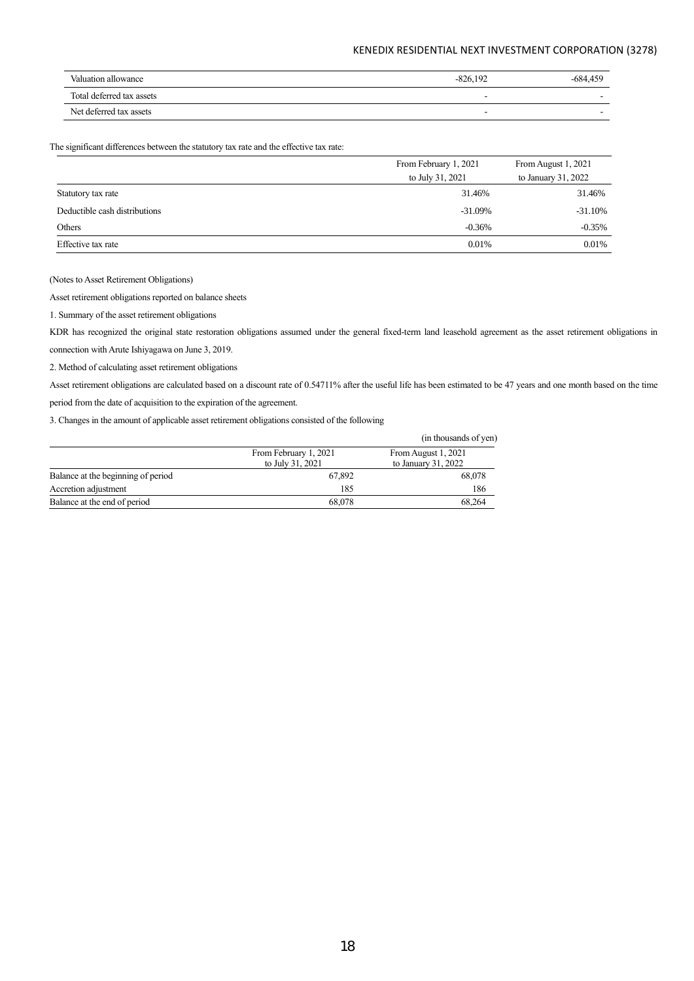| Valuation allowance       | $-826.192$               | $-684.459$ |
|---------------------------|--------------------------|------------|
| Total deferred tax assets | $\overline{\phantom{a}}$ |            |
| Net deferred tax assets   | $\overline{\phantom{a}}$ | . .        |

The significant differences between the statutory tax rate and the effective tax rate:

|                               | From February 1, 2021 | From August 1, 2021  |
|-------------------------------|-----------------------|----------------------|
|                               | to July 31, 2021      | to January $31,2022$ |
| Statutory tax rate            | 31.46%                | 31.46%               |
| Deductible cash distributions | $-31.09%$             | $-31.10%$            |
| Others                        | $-0.36%$              | $-0.35%$             |
| Effective tax rate            | 0.01%                 | 0.01%                |

(Notes to Asset Retirement Obligations)

Asset retirement obligations reported on balance sheets

1. Summary of the asset retirement obligations

KDR has recognized the original state restoration obligations assumed under the general fixed-term land leasehold agreement as the asset retirement obligations in connection with Arute Ishiyagawa on June 3, 2019.

2. Method of calculating asset retirement obligations

Asset retirement obligations are calculated based on a discount rate of 0.54711% after the useful life has been estimated to be 47 years and one month based on the time period from the date of acquisition to the expiration of the agreement.

3. Changes in the amount of applicable asset retirement obligations consisted of the following

|                                    |                                           | (in thousands of yen)                       |
|------------------------------------|-------------------------------------------|---------------------------------------------|
|                                    | From February 1, 2021<br>to July 31, 2021 | From August 1, 2021<br>to January $31,2022$ |
| Balance at the beginning of period | 67,892                                    | 68,078                                      |
| Accretion adjustment               | 185                                       | 186                                         |
| Balance at the end of period       | 68,078                                    | 68.264                                      |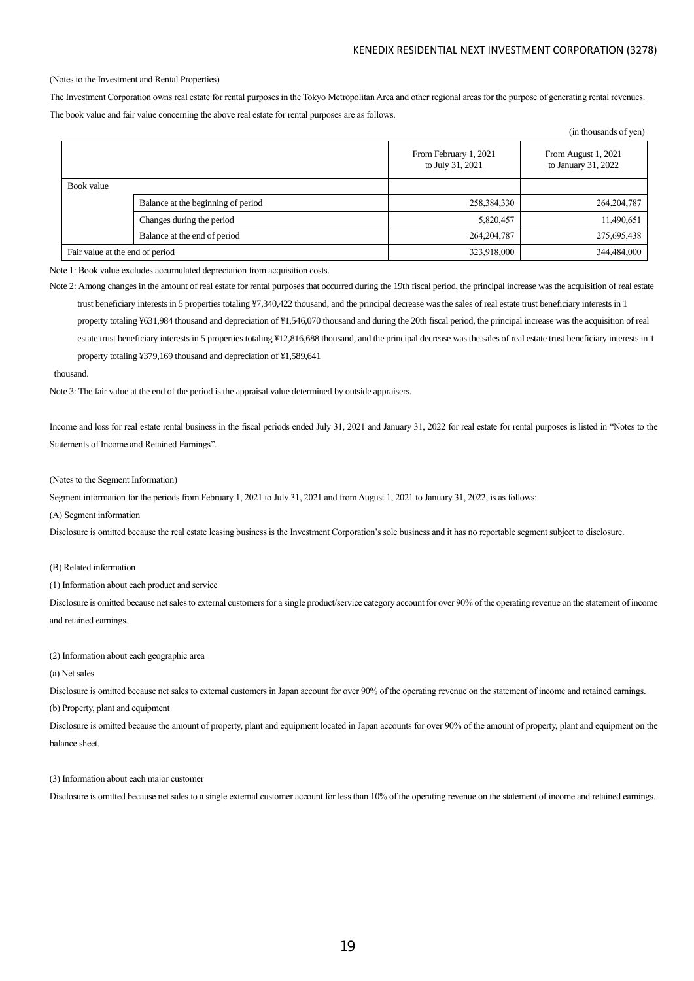$(i_n, t_1, \ldots, t_n, t_n, t_1, \ldots)$ 

#### (Notes to the Investment and Rental Properties)

The Investment Corporation owns real estate for rental purposes in the Tokyo Metropolitan Area and other regional areas for the purpose of generating rental revenues. The book value and fair value concerning the above real estate for rental purposes are as follows.

|                                 |                                    |                                           | ти поизаниз от усп)                        |
|---------------------------------|------------------------------------|-------------------------------------------|--------------------------------------------|
|                                 |                                    | From February 1, 2021<br>to July 31, 2021 | From August 1, 2021<br>to January 31, 2022 |
| Book value                      |                                    |                                           |                                            |
|                                 | Balance at the beginning of period | 258,384,330                               | 264, 204, 787                              |
|                                 | Changes during the period          | 5,820,457                                 | 11,490,651                                 |
|                                 | Balance at the end of period       | 264, 204, 787                             | 275,695,438                                |
| Fair value at the end of period |                                    | 323,918,000                               | 344,484,000                                |

Note 1: Book value excludes accumulated depreciation from acquisition costs.

Note 2: Among changes in the amount of real estate for rental purposes that occurred during the 19th fiscal period, the principal increase was the acquisition of real estate trust beneficiary interests in 5 properties totaling ¥7,340,422 thousand, and the principal decrease was the sales of real estate trust beneficiary interests in 1 property totaling ¥631,984 thousand and depreciation of ¥1,546,070 thousand and during the 20th fiscal period, the principal increase was the acquisition of real estate trust beneficiary interests in 5 properties totaling ¥12,816,688 thousand, and the principal decrease was the sales of real estate trust beneficiary interests in 1 property totaling ¥379,169 thousand and depreciation of ¥1,589,641

#### thousand.

Note 3: The fair value at the end of the period is the appraisal value determined by outside appraisers.

Income and loss for real estate rental business in the fiscal periods ended July 31, 2021 and January 31, 2022 for real estate for rental purposes is listed in "Notes to the Statements of Income and Retained Earnings".

#### (Notes to the Segment Information)

Segment information for the periods from February 1, 2021 to July 31, 2021 and from August 1, 2021 to January 31, 2022, is as follows:

(A) Segment information

Disclosure is omitted because the real estate leasing business is the Investment Corporation's sole business and it has no reportable segment subject to disclosure.

## (B) Related information

(1) Information about each product and service

Disclosure is omitted because net sales to external customers for a single product/service category account for over 90% of the operating revenue on the statement of income and retained earnings.

(2) Information about each geographic area

#### (a) Net sales

Disclosure is omitted because net sales to external customers in Japan account for over 90% of the operating revenue on the statement of income and retained earnings.

(b) Property, plant and equipment

Disclosure is omitted because the amount of property, plant and equipment located in Japan accounts for over 90% of the amount of property, plant and equipment on the balance sheet.

#### (3) Information about each major customer

Disclosure is omitted because net sales to a single external customer account for less than 10% of the operating revenue on the statement of income and retained earnings.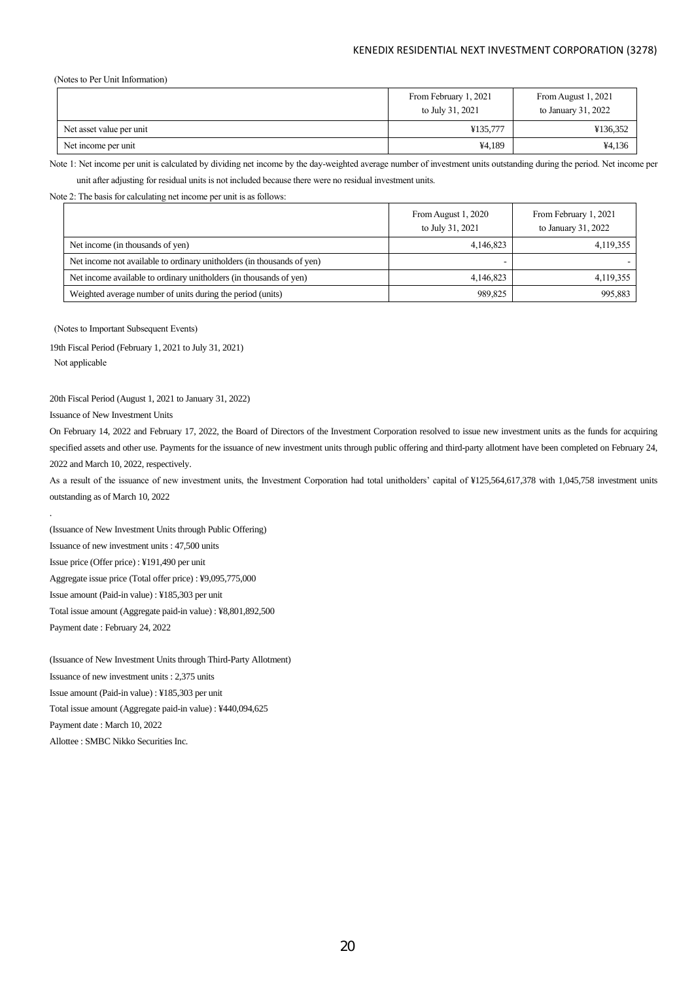(Notes to Per Unit Information)

|                          | From February 1, 2021<br>to July 31, 2021 | From August 1, 2021<br>to January 31, 2022 |
|--------------------------|-------------------------------------------|--------------------------------------------|
| Net asset value per unit | ¥135,777                                  | ¥136,352                                   |
| Net income per unit      | ¥4,189                                    | ¥4,136                                     |

Note 1: Net income per unit is calculated by dividing net income by the day-weighted average number of investment units outstanding during the period. Net income per

unit after adjusting for residual units is not included because there were no residual investment units.

Note 2: The basis for calculating net income per unit is as follows:

|                                                                        | From August 1, 2020<br>to July 31, 2021 | From February 1, 2021<br>to January 31, 2022 |
|------------------------------------------------------------------------|-----------------------------------------|----------------------------------------------|
| Net income (in thousands of yen)                                       | 4,146,823                               | 4,119,355                                    |
| Net income not available to ordinary unitholders (in thousands of yen) |                                         |                                              |
| Net income available to ordinary unitholders (in thousands of yen)     | 4,146,823                               | 4,119,355                                    |
| Weighted average number of units during the period (units)             | 989,825                                 | 995.883                                      |

(Notes to Important Subsequent Events)

19th Fiscal Period (February 1, 2021 to July 31, 2021) Not applicable

#### 20th Fiscal Period (August 1, 2021 to January 31, 2022)

Issuance of New Investment Units

.

On February 14, 2022 and February 17, 2022, the Board of Directors of the Investment Corporation resolved to issue new investment units as the funds for acquiring specified assets and other use. Payments for the issuance of new investment units through public offering and third-party allotment have been completed on February 24, 2022 and March 10, 2022, respectively.

As a result of the issuance of new investment units, the Investment Corporation had total unitholders' capital of ¥125,564,617,378 with 1,045,758 investment units outstanding as of March 10, 2022

(Issuance of New Investment Units through Public Offering) Issuance of new investment units : 47,500 units Issue price (Offer price) : ¥191,490 per unit Aggregate issue price (Total offer price) : ¥9,095,775,000 Issue amount (Paid-in value) : ¥185,303 per unit Total issue amount (Aggregate paid-in value) : ¥8,801,892,500 Payment date : February 24, 2022

(Issuance of New Investment Units through Third-Party Allotment) Issuance of new investment units : 2,375 units Issue amount (Paid-in value) : ¥185,303 per unit Total issue amount (Aggregate paid-in value) : ¥440,094,625 Payment date : March 10, 2022 Allottee : SMBC Nikko Securities Inc.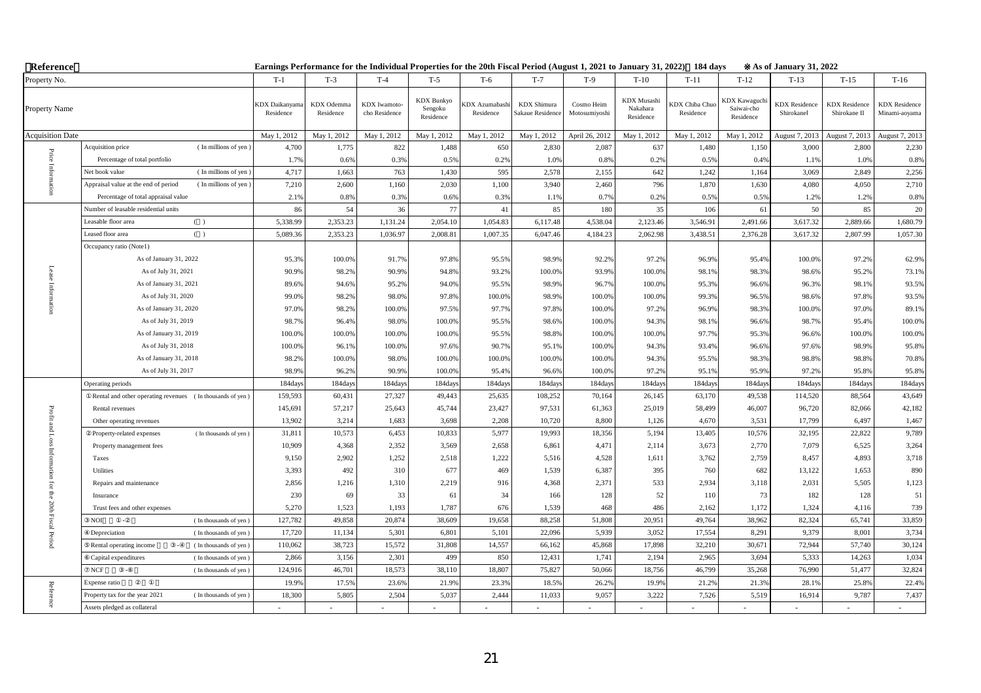| Reference               |                                                              |                                    |                                |                               |                                           | Earnings Performance for the Individual Properties for the 20th Fiscal Period (August 1, 2021 to January 31, 2022) 184 days |                                        |                             |                                      |                                    |                                                | As of January 31, 2022            |                                      |                                       |
|-------------------------|--------------------------------------------------------------|------------------------------------|--------------------------------|-------------------------------|-------------------------------------------|-----------------------------------------------------------------------------------------------------------------------------|----------------------------------------|-----------------------------|--------------------------------------|------------------------------------|------------------------------------------------|-----------------------------------|--------------------------------------|---------------------------------------|
| Property No.            |                                                              | $T-1$                              | $T-3$                          | $T-4$                         | $T-5$                                     | $T-6$                                                                                                                       | $T-7$                                  | $T-9$                       | $T-10$                               | $T-11$                             | $T-12$                                         | $T-13$                            | $T-15$                               | $T-16$                                |
| Property Name           |                                                              | <b>CDX</b> Daikanyama<br>Residence | <b>KDX</b> Odemma<br>Residence | KDX Iwamoto-<br>cho Residence | <b>KDX</b> Bunkyo<br>Sengoku<br>Residence | <b>KDX Azumabashi</b><br>Residence                                                                                          | <b>KDX</b> Shimura<br>Sakaue Residence | Cosmo Heim<br>Motosumiyoshi | KDX Musashi<br>Nakahara<br>Residence | <b>CDX</b> Chiba Chuo<br>Residence | <b>KDX</b> Kawaguch<br>Saiwai-cho<br>Residence | <b>KDX</b> Residence<br>Shirokane | <b>KDX</b> Residence<br>Shirokane II | <b>KDX</b> Residence<br>Minami-aoyama |
| <b>Acquisition Date</b> |                                                              | May 1, 2012                        | May 1, 2012                    | May 1, 2012                   | May 1, 2012                               | May 1, 2012                                                                                                                 | May 1, 2012                            | April 26, 2012              | May 1, 2012                          | May 1, 2012                        | May 1, 2012                                    | August 7, 2013                    | August 7, 2013                       | August 7, 2013                        |
| $\rm Price$             | (In millions of yen)<br>Acquisition price                    | 4,700                              | 1,775                          | 822                           | 1,488                                     | 650                                                                                                                         | 2,830                                  | 2,087                       | 637                                  | 1,480                              | 1,150                                          | 3,000                             | 2,800                                | 2,230                                 |
|                         | Percentage of total portfolio                                | 1.7%                               | 0.6%                           | 0.3%                          | 0.5%                                      | 0.2%                                                                                                                        | 1.0%                                   | 0.8%                        | 0.2%                                 | 0.5%                               | 0.4%                                           | 1.1%                              | 1.0%                                 | 0.8%                                  |
|                         | (In millions of yen<br>Net book value                        | 4,717                              | 1,663                          | 763                           | 1,430                                     | 595                                                                                                                         | 2,578                                  | 2,155                       | 642                                  | 1,242                              | 1,164                                          | 3,069                             | 2,849                                | 2,256                                 |
|                         | Appraisal value at the end of period<br>(In millions of yen) | 7,210                              | 2,600                          | 1,160                         | 2,030                                     | 1,100                                                                                                                       | 3,940                                  | 2,460                       | 796                                  | 1,870                              | 1,630                                          | 4,080                             | 4,050                                | 2,710                                 |
|                         | Percentage of total appraisal value                          | 2.1%                               | 0.8%                           | 0.3%                          | 0.6%                                      | 0.3%                                                                                                                        | 1.1%                                   | 0.7%                        | 0.2%                                 | 0.5%                               | 0.5%                                           | 1.2%                              | 1.2%                                 | 0.8%                                  |
|                         | Number of leasable residential units                         | 86                                 | 54                             | 36                            | 77                                        | 41                                                                                                                          | 85                                     | 180                         | 35                                   | 106                                | 61                                             | 50                                | 85                                   | 20                                    |
|                         | Leasable floor area<br>( )                                   | 5,338.99                           | 2,353.23                       | 1,131.24                      | 2,054.10                                  | 1,054.83                                                                                                                    | 6,117.48                               | 4,538.04                    | 2,123.46                             | 3,546.91                           | 2,491.66                                       | 3,617.32                          | 2,889.66                             | 1,680.79                              |
|                         | ( )<br>Leased floor area                                     | 5,089.36                           | 2,353.23                       | 1,036.97                      | 2,008.81                                  | 1,007.35                                                                                                                    | 6,047.46                               | 4,184.23                    | 2,062.98                             | 3,438.51                           | 2,376.28                                       | 3,617.32                          | 2,807.99                             | 1,057.30                              |
|                         | Occupancy ratio (Note1)                                      |                                    |                                |                               |                                           |                                                                                                                             |                                        |                             |                                      |                                    |                                                |                                   |                                      |                                       |
|                         | As of January 31, 2022                                       | 95.3%                              | 100.0%                         | 91.7%                         | 97.8%                                     | 95.5%                                                                                                                       | 98.9%                                  | 92.2%                       | 97.2%                                | 96.9%                              | 95.4%                                          | 100.0%                            | 97.2%                                | 62.9%                                 |
|                         | As of July 31, 2021                                          | 90.9%                              | 98.2%                          | 90.9%                         | 94.8%                                     | 93.2%                                                                                                                       | 100.0%                                 | 93.9%                       | 100.0%                               | 98.1%                              | 98.3%                                          | 98.6%                             | 95.2%                                | 73.1%                                 |
|                         | As of January 31, 2021                                       | 89.6%                              | 94.6%                          | 95.2%                         | 94.0%                                     | 95.5%                                                                                                                       | 98.9%                                  | 96.7%                       | 100.0%                               | 95.3%                              | 96.6%                                          | 96.3%                             | 98.1%                                | 93.5%                                 |
|                         | As of July 31, 2020                                          | 99.0%                              | 98.2%                          | 98.0%                         | 97.8%                                     | 100.0%                                                                                                                      | 98.9%                                  | 100.0%                      | 100.0%                               | 99.3%                              | 96.5%                                          | 98.6%                             | 97.8%                                | 93.5%                                 |
|                         | As of January 31, 2020                                       | 97.0%                              | 98.2%                          | 100.0%                        | 97.5%                                     | 97.7%                                                                                                                       | 97.8%                                  | 100.0%                      | 97.2%                                | 96.9%                              | 98.3%                                          | 100.0%                            | 97.0%                                | 89.1%                                 |
|                         | As of July 31, 2019                                          | 98.7%                              | 96.4%                          | 98.0%                         | 100.0%                                    | 95.5%                                                                                                                       | 98.6%                                  | 100.0%                      | 94.3%                                | 98.1%                              | 96.6%                                          | 98.7%                             | 95.4%                                | 100.0%                                |
|                         | As of January 31, 2019                                       | 100.0%                             | 100.0%                         | 100.0%                        | 100.0%                                    | 95.5%                                                                                                                       | 98.8%                                  | 100.0%                      | 100.0%                               | 97.7%                              | 95.3%                                          | 96.6%                             | 100.0%                               | 100.0%                                |
|                         | As of July 31, 2018                                          | 100.0%                             | 96.1%                          | 100.0%                        | 97.6%                                     | 90.7%                                                                                                                       | 95.1%                                  | 100.0%                      | 94.3%                                | 93.4%                              | 96.6%                                          | 97.6%                             | 98.9%                                | 95.8%                                 |
|                         | As of January 31, 2018                                       | 98.2%                              | 100.0%                         | 98.0%                         | 100.0%                                    | 100.0%                                                                                                                      | 100.0%                                 | 100.0%                      | 94.3%                                | 95.5%                              | 98.3%                                          | 98.8%                             | 98.8%                                | 70.8%                                 |
|                         | As of July 31, 2017                                          | 98.99                              | 96.2%                          | 90.9%                         | 100.0%                                    | 95.4%                                                                                                                       | 96.6%                                  | 100.09                      | 97.2%                                | 95.1%                              | 95.9%                                          | 97.2%                             | 95.8%                                | 95.8%                                 |
|                         | Operating periods                                            | 184day                             | 184days                        | 184days                       | 184day                                    | 184days                                                                                                                     | 184days                                | 184days                     | 184day                               | 184days                            | 184days                                        | 184days                           | 184days                              | 184days                               |
|                         | Rental and other operating revenues (In thousands of yen)    | 159,593                            | 60,431                         | 27,327                        | 49,443                                    | 25,635                                                                                                                      | 108,252                                | 70,164                      | 26,145                               | 63,170                             | 49,538                                         | 114,520                           | 88,564                               | 43,649                                |
| Profit                  | Rental revenues                                              | 145,691                            | 57,217                         | 25,643                        | 45,744                                    | 23,427                                                                                                                      | 97,531                                 | 61,363                      | 25,019                               | 58,499                             | 46,007                                         | 96,720                            | 82,066                               | 42,182                                |
|                         | Other operating revenues                                     | 13,902                             | 3,214                          | 1,683                         | 3,698                                     | 2,208                                                                                                                       | 10,720                                 | 8,800                       | 1,126                                | 4,670                              | 3,531                                          | 17,799                            | 6,497                                | 1,467                                 |
| and Loss Inform         | (In thousands of yen)<br>Property-related expenses           | 31,811                             | 10,573                         | 6,453                         | 10,833                                    | 5,977                                                                                                                       | 19,993                                 | 18,356                      | 5,194                                | 13,405                             | 10,576                                         | 32,195                            | 22,822                               | 9,789                                 |
|                         | Property management fees                                     | 10,909                             | 4,368                          | 2,352                         | 3,569                                     | 2,658                                                                                                                       | 6,861                                  | 4,471                       | 2,114                                | 3,673                              | 2,770                                          | 7,079                             | 6,525                                | 3,264                                 |
|                         | Taxes                                                        | 9,150                              | 2,902                          | 1,252                         | 2,518                                     | 1,222                                                                                                                       | 5,516                                  | 4,528                       | 1,611                                | 3,762                              | 2,759                                          | 8,457                             | 4,893                                | 3,718                                 |
| ig.                     | Utilities                                                    | 3,393                              | 492                            | 310                           | 677                                       | 469                                                                                                                         | 1,539                                  | 6,387                       | 395                                  | 760                                | 682                                            | 13,122                            | 1,653                                | 890                                   |
|                         | Repairs and maintenance                                      | 2,856                              | 1,216                          | 1,310                         | 2,219                                     | 916                                                                                                                         | 4,368                                  | 2,371                       | 533                                  | 2,934                              | 3,118                                          | 2,031                             | 5,505                                | 1,123                                 |
| for the 20th Fiscal     | Insurance                                                    | 230                                | 69                             | 33                            | 61                                        | 34                                                                                                                          | 166                                    | 128                         | 52                                   | 110                                | 73                                             | 182                               | 128                                  | 51                                    |
|                         | Trust fees and other expenses                                | 5,270                              | 1,523                          | 1,193                         | 1,787                                     | 676                                                                                                                         | 1,539                                  | 468                         | 486                                  | 2,162                              | 1,172                                          | 1,324                             | 4,116                                | 739                                   |
|                         | <b>NOI</b><br>(In thousands of yen)<br>$\sim$                | 127,782                            | 49,858                         | 20,874                        | 38,609                                    | 19,658                                                                                                                      | 88,258                                 | 51,808                      | 20,951                               | 49,764                             | 38,962                                         | 82,324                            | 65,741                               | 33,859                                |
| Period                  | Depreciation<br>(In thousands of yen)                        | 17,720                             | 11,134                         | 5,301                         | 6,801                                     | 5,101                                                                                                                       | 22,096                                 | 5,939                       | 3,052                                | 17,554                             | 8,291                                          | 9,379                             | 8,001                                | 3,734                                 |
|                         | (In thousands of yen)<br>Rental operating income             | 110,062                            | 38,723                         | 15,572                        | 31,808                                    | 14,557                                                                                                                      | 66,162                                 | 45,868                      | 17,898                               | 32,210                             | 30,671                                         | 72,944                            | 57,740                               | 30,124                                |
|                         | Capital expenditures<br>(In thousands of yen)                | 2,866                              | 3,156                          | 2,301                         | 499                                       | 850                                                                                                                         | 12,431                                 | 1,741                       | 2,194                                | 2,965                              | 3,694                                          | 5,333                             | 14,263                               | 1,034                                 |
|                         | $_{\rm NCF}$<br>(In thousands of yen)                        | 124,916                            | 46,701                         | 18,573                        | 38,110                                    | 18,807                                                                                                                      | 75,827                                 | 50,066                      | 18,756                               | 46,799                             | 35,268                                         | 76,990                            | 51,477                               | 32,824                                |
| Reference               | Expense ratio                                                | 19.9%                              | 17.5%                          | 23.6%                         | 21.9%                                     | 23.3%                                                                                                                       | 18.5%                                  | 26.2%                       | 19.9%                                | 21.2%                              | 21.3%                                          | 28.1%                             | 25.8%                                | 22.4%                                 |
|                         | Property tax for the year 2021<br>(In thousands of yen)      | 18,300                             | 5,805                          | 2,504                         | 5,037                                     | 2,444                                                                                                                       | 11,033                                 | 9,057                       | 3,222                                | 7,526                              | 5,519                                          | 16,914                            | 9,787                                | 7,437                                 |
|                         | Assets pledged as collateral                                 |                                    |                                |                               |                                           |                                                                                                                             |                                        |                             |                                      |                                    |                                                |                                   |                                      |                                       |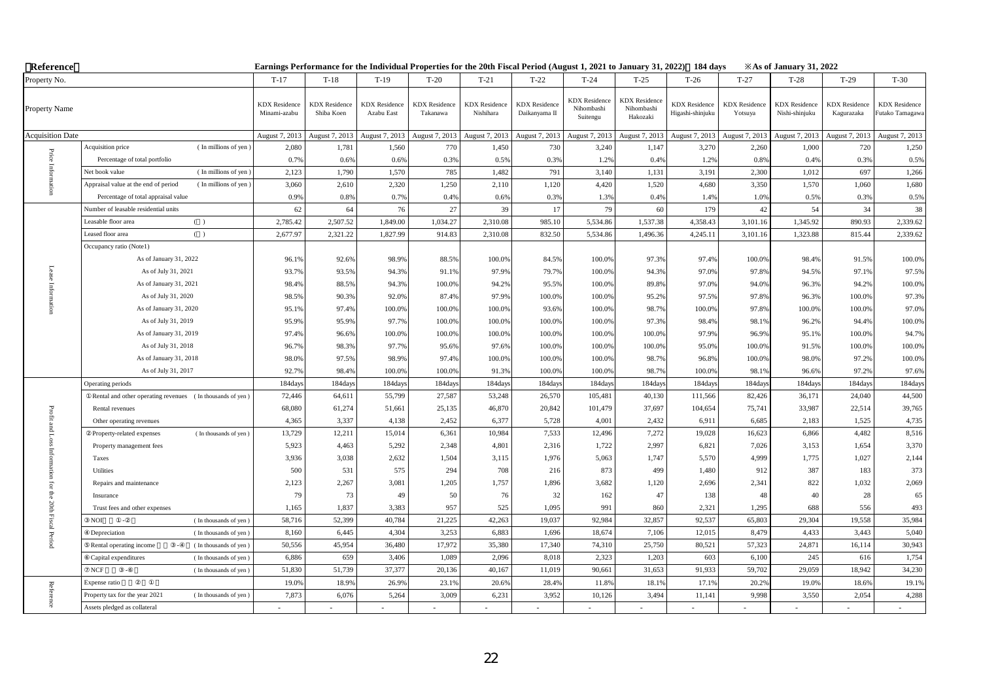| Reference               |                                                              | Earnings Performance for the Individual Properties for the 20th Fiscal Period (August 1, 2021 to January 31, 2022) 184 days |                                    |                                    |                                  |                                   |                                       |                                                |                                                |                                          |                                 | <b>Example 31, 2022</b> X              |                                    |                                         |
|-------------------------|--------------------------------------------------------------|-----------------------------------------------------------------------------------------------------------------------------|------------------------------------|------------------------------------|----------------------------------|-----------------------------------|---------------------------------------|------------------------------------------------|------------------------------------------------|------------------------------------------|---------------------------------|----------------------------------------|------------------------------------|-----------------------------------------|
| Property No.            |                                                              | $T-17$                                                                                                                      | $T-18$                             | $T-19$                             | $T-20$                           | $T-21$                            | $T-22$                                | $T-24$                                         | $T-25$                                         | $T-26$                                   | $T-27$                          | $T-28$                                 | $T-29$                             | $T-30$                                  |
| Property Name           |                                                              | <b>KDX</b> Residence<br>Minami-azabu                                                                                        | <b>KDX</b> Residence<br>Shiba Koen | <b>KDX</b> Residence<br>Azabu East | <b>KDX</b> Residence<br>Takanawa | <b>KDX</b> Residence<br>Nishihara | <b>KDX</b> Residence<br>Daikanyama II | <b>KDX</b> Residence<br>Nihombashi<br>Suitengu | <b>KDX</b> Residence<br>Nihombashi<br>Hakozaki | <b>KDX</b> Residence<br>Higashi-shinjuku | <b>KDX</b> Residence<br>Yotsuya | <b>KDX</b> Residence<br>Nishi-shinjuku | <b>KDX</b> Residence<br>Kagurazaka | <b>KDX</b> Residence<br>Futako Tamagawa |
| <b>Acquisition Date</b> |                                                              | August 7, 2013                                                                                                              | August 7, 2013                     | August 7, 2013                     | August 7, 2013                   | August 7, 2013                    | August 7, 2013                        | August 7, 2013                                 | August 7, 2013                                 | August 7, 2013                           | August 7, 2013                  | August 7, 2013                         | August 7, 2013                     | August 7, 2013                          |
| $\rm Price$             | (In millions of yen)<br>Acquisition price                    | 2,080                                                                                                                       | 1,781                              | 1,560                              | 770                              | 1,450                             | 730                                   | 3,240                                          | 1,147                                          | 3,270                                    | 2,260                           | 1,000                                  | 720                                | 1,250                                   |
|                         | Percentage of total portfolio                                | 0.7%                                                                                                                        | 0.6%                               | 0.6%                               | 0.3%                             | 0.5%                              | 0.3%                                  | 1.2%                                           | 0.4%                                           | 1.2%                                     | 0.8%                            | 0.4%                                   | 0.3%                               | 0.5%                                    |
| Info                    | Net book value<br>(In millions of yen                        | 2,123                                                                                                                       | 1,790                              | 1,570                              | 785                              | 1,482                             | 791                                   | 3,140                                          | 1,131                                          | 3,191                                    | 2,300                           | 1,012                                  | 697                                | 1,266                                   |
|                         | Appraisal value at the end of period<br>(In millions of yen) | 3,060                                                                                                                       | 2,610                              | 2,320                              | 1,250                            | 2,110                             | 1,120                                 | 4,420                                          | 1,520                                          | 4,680                                    | 3,350                           | 1,570                                  | 1,060                              | 1,680                                   |
|                         | Percentage of total appraisal value                          | 0.9%                                                                                                                        | 0.8%                               | 0.7%                               | 0.4%                             | 0.6%                              | 0.3%                                  | 1.3%                                           | 0.4%                                           | 1.4%                                     | 1.0%                            | 0.5%                                   | 0.3%                               | 0.5%                                    |
|                         | Number of leasable residential units                         | 62                                                                                                                          | 64                                 | 76                                 | 27                               | 39                                | 17                                    | 79                                             | 60                                             | 179                                      | 42                              | 54                                     | 34                                 | 38                                      |
|                         | Leasable floor area<br>( )                                   | 2,785.42                                                                                                                    | 2,507.52                           | 1,849.00                           | 1,034.27                         | 2,310.08                          | 985.10                                | 5,534.86                                       | 1,537.38                                       | 4,358.43                                 | 3,101.16                        | 1,345.92                               | 890.93                             | 2,339.62                                |
|                         | Leased floor area<br>$($ )                                   | 2,677.97                                                                                                                    | 2,321.22                           | 1,827.99                           | 914.83                           | 2,310.08                          | 832.50                                | 5,534.86                                       | 1,496.36                                       | 4,245.11                                 | 3,101.16                        | 1,323.88                               | 815.44                             | 2,339.62                                |
|                         | Occupancy ratio (Note1)                                      |                                                                                                                             |                                    |                                    |                                  |                                   |                                       |                                                |                                                |                                          |                                 |                                        |                                    |                                         |
|                         | As of January 31, 2022                                       | 96.19                                                                                                                       | 92.6%                              | 98.9%                              | 88.5%                            | 100.0%                            | 84.5%                                 | 100.0%                                         | 97.3%                                          | 97.4%                                    | 100.0%                          | 98.4%                                  | 91.5%                              | 100.0%                                  |
| Lease                   | As of July 31, 2021                                          | 93.7%                                                                                                                       | 93.5%                              | 94.3%                              | 91.1%                            | 97.9%                             | 79.7%                                 | 100.0%                                         | 94.3%                                          | 97.0%                                    | 97.8%                           | 94.5%                                  | 97.1%                              | 97.5%                                   |
| Inform                  | As of January 31, 2021                                       | 98.4%                                                                                                                       | 88.5%                              | 94.3%                              | 100.0%                           | 94.2%                             | 95.5%                                 | 100.0%                                         | 89.8%                                          | 97.0%                                    | 94.0%                           | 96.3%                                  | 94.2%                              | 100.0%                                  |
|                         | As of July 31, 2020                                          | 98.5%                                                                                                                       | 90.3%                              | 92.0%                              | 87.4%                            | 97.9%                             | 100.0%                                | 100.0%                                         | 95.2%                                          | 97.5%                                    | 97.8%                           | 96.3%                                  | 100.0%                             | 97.3%                                   |
| $\epsilon$              | As of January 31, 2020                                       | 95.1%                                                                                                                       | 97.4%                              | 100.0%                             | 100.0%                           | 100.0%                            | 93.6%                                 | 100.0%                                         | 98.7%                                          | 100.0%                                   | 97.8%                           | 100.0%                                 | 100.0%                             | 97.0%                                   |
|                         | As of July 31, 2019                                          | 95.9%                                                                                                                       | 95.9%                              | 97.7%                              | 100.0%                           | 100.0%                            | 100.0%                                | 100.0%                                         | 97.3%                                          | 98.4%                                    | 98.1%                           | 96.2%                                  | 94.4%                              | 100.0%                                  |
|                         | As of January 31, 2019                                       | 97.4%                                                                                                                       | 96.6%                              | 100.0%                             | 100.0%                           | 100.0%                            | 100.0%                                | 100.0%                                         | 100.0%                                         | 97.9%                                    | 96.9%                           | 95.1%                                  | 100.0%                             | 94.7%                                   |
|                         | As of July 31, 2018                                          | 96.7%                                                                                                                       | 98.3%                              | 97.7%                              | 95.6%                            | 97.6%                             | 100.0%                                | 100.0%                                         | 100.0%                                         | 95.0%                                    | 100.0%                          | 91.5%                                  | 100.0%                             | 100.0%                                  |
|                         | As of January 31, 2018                                       | 98.0%                                                                                                                       | 97.5%                              | 98.9%                              | 97.4%                            | 100.0%                            | 100.0%                                | 100.0%                                         | 98.7%                                          | 96.8%                                    | 100.0%                          | 98.0%                                  | 97.2%                              | 100.0%                                  |
|                         | As of July 31, 2017                                          | 92.79                                                                                                                       | 98.4%                              | 100.0%                             | 100.09                           | 91.3%                             | 100.0%                                | 100.0%                                         | 98.7%                                          | 100.09                                   | 98.19                           | 96.6%                                  | 97.2%                              | 97.6%                                   |
|                         | Operating periods                                            | 184day                                                                                                                      | 184day                             | 184days                            | 184day                           | 184days                           | 184days                               | 184day                                         | 184day                                         | 184day                                   | 184days                         | 184day                                 | 184days                            | 184days                                 |
|                         | Rental and other operating revenues (In thousands of yen)    | 72,446                                                                                                                      | 64,611                             | 55,799                             | 27,587                           | 53,248                            | 26,570                                | 105,481                                        | 40,130                                         | 111,566                                  | 82,426                          | 36,171                                 | 24,040                             | 44,500                                  |
| Profit                  | Rental revenues                                              | 68,080                                                                                                                      | 61,274                             | 51,661                             | 25,135                           | 46,870                            | 20,842                                | 101,479                                        | 37,697                                         | 104,654                                  | 75,741                          | 33,987                                 | 22,514                             | 39,765                                  |
| and                     | Other operating revenues                                     | 4,365                                                                                                                       | 3,337                              | 4,138                              | 2,452                            | 6,377                             | 5,728                                 | 4,001                                          | 2,432                                          | 6,911                                    | 6,685                           | 2,183                                  | 1,525                              | 4,735                                   |
| Loss                    | Property-related expenses<br>(In thousands of yen)           | 13,729                                                                                                                      | 12,211                             | 15,014                             | 6,361                            | 10,984                            | 7,533                                 | 12,496                                         | 7,272                                          | 19,028                                   | 16,623                          | 6,866                                  | 4,482                              | 8,516                                   |
|                         | Property management fees                                     | 5,923                                                                                                                       | 4,463                              | 5,292                              | 2,348                            | 4,801                             | 2,316                                 | 1,722                                          | 2,997                                          | 6,821                                    | 7,026                           | 3,153                                  | 1,654                              | 3,370                                   |
| Informat                | Taxes                                                        | 3,936                                                                                                                       | 3,038                              | 2,632                              | 1,504                            | 3,115                             | 1,976                                 | 5,063                                          | 1,747                                          | 5,570                                    | 4,999                           | 1,775                                  | 1,027                              | 2,144                                   |
|                         | Utilities                                                    | 500                                                                                                                         | 531                                | 575                                | 294                              | 708                               | 216                                   | 873                                            | 499                                            | 1,480                                    | 912                             | 387                                    | 183                                | 373                                     |
| ior                     | Repairs and maintenance                                      | 2,123                                                                                                                       | 2,267                              | 3,081                              | 1,205                            | 1,757                             | 1,896                                 | 3,682                                          | 1,120                                          | 2,696                                    | 2,341                           | 822                                    | 1,032                              | 2,069                                   |
| $\frac{1}{6}$           | Insurance                                                    | 79                                                                                                                          | 73                                 | 49                                 | 50                               | 76                                | 32                                    | 162                                            | 47                                             | 138                                      | 48                              | 40                                     | 28                                 | 65                                      |
|                         | Trust fees and other expenses                                | 1,165                                                                                                                       | 1,837                              | 3,383                              | 957                              | 525                               | 1,095                                 | 991                                            | 860                                            | 2,321                                    | 1,295                           | 688                                    | 556                                | 493                                     |
| 20th Fiscal Period      | NOI<br>(In thousands of yen)                                 | 58,716                                                                                                                      | 52,399                             | 40,784                             | 21,225                           | 42,263                            | 19,037                                | 92,984                                         | 32,857                                         | 92,537                                   | 65,803                          | 29,304                                 | 19,558                             | 35,984                                  |
|                         | Depreciation<br>(In thousands of yen)                        | 8,160                                                                                                                       | 6,445                              | 4,304                              | 3,253                            | 6,883                             | 1,696                                 | 18,674                                         | 7,106                                          | 12,015                                   | 8,479                           | 4,433                                  | 3,443                              | 5,040                                   |
|                         | (In thousands of yen)<br>Rental operating income             | 50,556                                                                                                                      | 45,954                             | 36,480                             | 17,972                           | 35,380                            | 17,340                                | 74,310                                         | 25,750                                         | 80,521                                   | 57,323                          | 24,871                                 | 16,114                             | 30,943                                  |
|                         | Capital expenditures<br>(In thousands of yen)                | 6,886                                                                                                                       | 659                                | 3,406                              | 1,089                            | 2,096                             | 8,018                                 | 2,323                                          | 1,203                                          | 603                                      | 6,100                           | 245                                    | 616                                | 1,754                                   |
|                         | <b>NCF</b><br>(In thousands of yen)                          | 51,830                                                                                                                      | 51,739                             | 37,377                             | 20.136                           | 40.167                            | 11.019                                | 90.661                                         | 31,653                                         | 91,933                                   | 59,702                          | 29,059                                 | 18.942                             | 34,230                                  |
|                         | Expense ratio                                                | 19.09                                                                                                                       | 18.9%                              | 26.9%                              | 23.19                            | 20.6%                             | 28.4%                                 | 11.8%                                          | 18.19                                          | 17.1%                                    | 20.2%                           | 19.0%                                  | 18.6%                              | 19.1%                                   |
| Reference               | Property tax for the year 2021<br>(In thousands of yen)      | 7,873                                                                                                                       | 6,076                              | 5,264                              | 3,009                            | 6,231                             | 3,952                                 | 10,126                                         | 3,494                                          | 11,141                                   | 9,998                           | 3,550                                  | 2,054                              | 4,288                                   |
|                         | Assets pledged as collateral                                 |                                                                                                                             |                                    |                                    |                                  |                                   |                                       |                                                |                                                |                                          |                                 |                                        |                                    |                                         |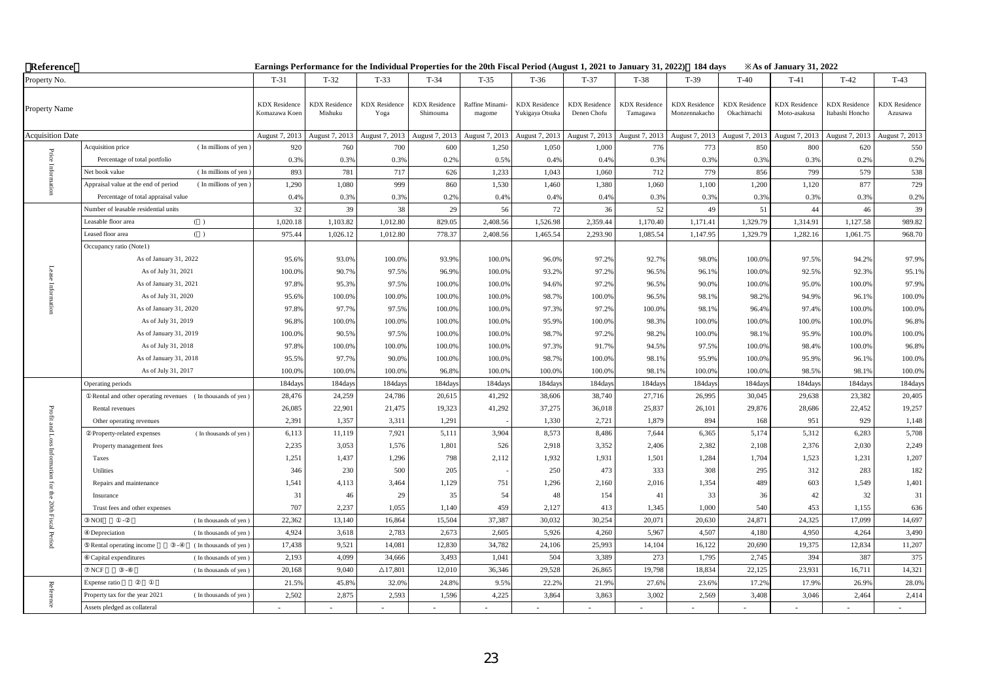| Reference               |                                                                        |                                       |                                 |                              |                                  |                           |                                         |                                     |                                  | Earnings Performance for the Individual Properties for the 20th Fiscal Period (August 1, 2021 to January 31, 2022) 184 days |                                     | <b>Example 31, 2022</b> X            |                                         |                                 |
|-------------------------|------------------------------------------------------------------------|---------------------------------------|---------------------------------|------------------------------|----------------------------------|---------------------------|-----------------------------------------|-------------------------------------|----------------------------------|-----------------------------------------------------------------------------------------------------------------------------|-------------------------------------|--------------------------------------|-----------------------------------------|---------------------------------|
| Property No.            |                                                                        | $T-31$                                | $T-32$                          | $T-33$                       | $T-34$                           | $T-35$                    | $T-36$                                  | $T-37$                              | $T-38$                           | $T-39$                                                                                                                      | $T-40$                              | $T-41$                               | $T-42$                                  | $T-43$                          |
| Property Name           |                                                                        | <b>KDX</b> Residence<br>Komazawa Koen | <b>KDX</b> Residence<br>Mishuku | <b>KDX</b> Residence<br>Yoga | <b>KDX</b> Residence<br>Shimouma | Raffine Minami-<br>magome | <b>KDX</b> Residence<br>Yukigaya Otsuka | <b>KDX</b> Residence<br>Denen Chofu | <b>KDX</b> Residence<br>Tamagawa | <b>KDX</b> Residence<br>Monzennakacho                                                                                       | <b>KDX</b> Residence<br>Okachimachi | <b>KDX</b> Residence<br>Moto-asakusa | <b>KDX</b> Residence<br>Itabashi Honcho | <b>KDX</b> Residence<br>Azusawa |
| <b>Acquisition Date</b> |                                                                        | August 7, 2013                        | August 7, 2013                  | August 7, 2013               | August 7, 2013                   | August 7, 2013            | August 7, 2013                          | August 7, 2013                      | August 7, 2013                   | August 7, 2013                                                                                                              | August 7, 2013                      | August 7, 2013                       | August 7, 2013                          | August 7, 2013                  |
|                         | Acquisition price<br>(In millions of yen)                              | 920                                   | 760                             | 700                          | 600                              | 1,250                     | 1,050                                   | 1,000                               | 776                              | 773                                                                                                                         | 850                                 | 800                                  | 620                                     | 550                             |
| $\rm Price$             | Percentage of total portfolio                                          | 0.3%                                  | 0.3%                            | 0.3%                         | 0.2%                             | 0.5%                      | 0.49                                    | 0.4%                                | 0.3%                             | 0.3%                                                                                                                        | 0.3%                                | 0.3%                                 | 0.2%                                    | 0.2%                            |
|                         | Net book value<br>(In millions of yen                                  | 893                                   | 781                             | 717                          | 626                              | 1,233                     | 1,043                                   | 1,060                               | 712                              | 779                                                                                                                         | 856                                 | 799                                  | 579                                     | 538                             |
|                         | Appraisal value at the end of period<br>(In millions of yen)           | 1,290                                 | 1,080                           | 999                          | 860                              | 1,530                     | 1,460                                   | 1,380                               | 1,060                            | 1,100                                                                                                                       | 1,200                               | 1,120                                | 877                                     | 729                             |
|                         | Percentage of total appraisal value                                    | 0.4%                                  | 0.3%                            | 0.3%                         | 0.2%                             | 0.4%                      | 0.4%                                    | 0.4%                                | 0.3%                             | 0.3%                                                                                                                        | 0.3%                                | 0.3%                                 | 0.3%                                    | 0.2%                            |
|                         | Number of leasable residential units                                   | 32                                    | 39                              | 38                           | 29                               | 56                        | $72\,$                                  | 36                                  | 52                               | 49                                                                                                                          | 51                                  | 44                                   | 46                                      | 39                              |
|                         | Leasable floor area<br>( )                                             | 1,020.18                              | 1,103.82                        | 1,012.80                     | 829.05                           | 2,408.56                  | 1,526.98                                | 2,359.44                            | 1,170.40                         | 1,171.41                                                                                                                    | 1,329.79                            | 1,314.91                             | 1,127.58                                | 989.82                          |
|                         | ( )<br>Leased floor area                                               | 975.44                                | 1,026.12                        | 1,012.80                     | 778.37                           | 2,408.56                  | 1,465.54                                | 2,293.90                            | 1,085.54                         | 1,147.95                                                                                                                    | 1,329.79                            | 1,282.16                             | 1,061.75                                | 968.70                          |
|                         | Occupancy ratio (Note1)                                                |                                       |                                 |                              |                                  |                           |                                         |                                     |                                  |                                                                                                                             |                                     |                                      |                                         |                                 |
|                         | As of January 31, 2022                                                 | 95.6%                                 | 93.0%                           | 100.0%                       | 93.9%                            | 100.0%                    | 96.0%                                   | 97.2%                               | 92.7%                            | 98.0%                                                                                                                       | 100.0%                              | 97.5%                                | 94.2%                                   | 97.9%                           |
|                         | As of July 31, 2021                                                    | 100.0%                                | 90.7%                           | 97.5%                        | 96.9%                            | 100.0%                    | 93.2%                                   | 97.2%                               | 96.5%                            | 96.1%                                                                                                                       | 100.0%                              | 92.5%                                | 92.3%                                   | 95.1%                           |
|                         | As of January 31, 2021                                                 | 97.8%                                 | 95.3%                           | 97.5%                        | 100.0%                           | 100.0%                    | 94.6%                                   | 97.2%                               | 96.5%                            | 90.0%                                                                                                                       | 100.0%                              | 95.0%                                | 100.0%                                  | 97.9%                           |
|                         | As of July 31, 2020                                                    | 95.6%                                 | 100.0%                          | 100.0%                       | 100.0%                           | 100.0%                    | 98.7%                                   | 100.0%                              | 96.5%                            | 98.1%                                                                                                                       | 98.2%                               | 94.9%                                | 96.1%                                   | 100.0%                          |
|                         | As of January 31, 2020                                                 | 97.8%                                 | 97.7%                           | 97.5%                        | 100.0%                           | 100.0%                    | 97.3%                                   | 97.2%                               | 100.0%                           | 98.1%                                                                                                                       | 96.4%                               | 97.4%                                | 100.0%                                  | 100.0%                          |
|                         | As of July 31, 2019                                                    | 96.8%                                 | 100.0%                          | 100.0%                       | 100.0%                           | 100.0%                    | 95.9%                                   | 100.0%                              | 98.3%                            | 100.0%                                                                                                                      | 100.0%                              | 100.0%                               | 100.0%                                  | 96.8%                           |
|                         | As of January 31, 2019                                                 | 100.0%                                | 90.5%                           | 97.5%                        | 100.0%                           | 100.0%                    | 98.7%                                   | 97.2%                               | 98.2%                            | 100.0%                                                                                                                      | 98.1%                               | 95.9%                                | 100.0%                                  | 100.0%                          |
|                         | As of July 31, 2018                                                    | 97.8%                                 | 100.0%                          | 100.0%                       | 100.0%                           | 100.0%                    | 97.3%                                   | 91.7%                               | 94.5%                            | 97.5%                                                                                                                       | 100.0%                              | 98.4%                                | 100.0%                                  | 96.8%                           |
|                         | As of January 31, 2018                                                 | 95.5%                                 | 97.7%                           | 90.0%                        | 100.0%                           | 100.0%                    | 98.7%                                   | 100.0%                              | 98.1%                            | 95.9%                                                                                                                       | 100.0%                              | 95.9%                                | 96.1%                                   | 100.0%                          |
|                         | As of July 31, 2017                                                    | 100.0%                                | 100.0%                          | 100.0%                       | 96.8%                            | 100.0%                    | 100.09                                  | 100.0%                              | 98.19                            | 100.0%                                                                                                                      | 100.0%                              | 98.5%                                | 98.1%                                   | 100.0%                          |
|                         | Operating periods                                                      | 184day                                | 184days                         | 184days                      | 184day                           | 184days                   | 184day                                  | 184days                             | 184day                           | 184day:                                                                                                                     | 184days                             | 184days                              | 184day                                  | 184days                         |
|                         | Rental and other operating revenues (In thousands of yen)              | 28,476                                | 24,259                          | 24,786                       | 20,615                           | 41,292                    | 38,606                                  | 38,740                              | 27,716                           | 26,995                                                                                                                      | 30,045                              | 29,638                               | 23.382                                  | 20,405                          |
| Profit                  | Rental revenues                                                        | 26,085                                | 22,901                          | 21,475                       | 19,323                           | 41,292                    | 37,275                                  | 36,018                              | 25,837                           | 26,101                                                                                                                      | 29,876                              | 28,686                               | 22,452                                  | 19,257                          |
|                         | Other operating revenues                                               | 2,391                                 | 1,357                           | 3,311                        | 1,291                            |                           | 1,330                                   | 2,721                               | 1,879                            | 894                                                                                                                         | 168                                 | 951                                  | 929                                     | 1,148                           |
|                         | (In thousands of yen)<br>Property-related expenses                     | 6,113                                 | 11,119                          | 7,921                        | 5,111                            | 3,904                     | 8,573                                   | 8,486                               | 7,644                            | 6,365                                                                                                                       | 5,174                               | 5,312                                | 6,283                                   | 5,708                           |
| Inform                  | Property management fees                                               | 2,235                                 | 3,053                           | 1,576                        | 1,801                            | 526                       | 2,918                                   | 3,352                               | 2,406                            | 2,382                                                                                                                       | 2,108                               | 2,376                                | 2,030                                   | 2,249                           |
|                         | Taxes                                                                  | 1,251                                 | 1,437                           | 1,296                        | 798                              | 2,112                     | 1,932                                   | 1,931                               | 1,501                            | 1,284                                                                                                                       | 1,704                               | 1,523                                | 1,231                                   | 1,207                           |
|                         | <b>Utilities</b>                                                       | 346                                   | 230                             | 500                          | 205                              |                           | 250                                     | 473                                 | 333                              | 308                                                                                                                         | 295                                 | 312                                  | 283                                     | 182                             |
| ΙÖΙ                     | Repairs and maintenance                                                | 1,541                                 | 4,113                           | 3,464<br>29                  | 1,129                            | 751<br>54                 | 1,296<br>48                             | 2,160                               | 2,016                            | 1,354                                                                                                                       | 489<br>36                           | 603<br>42                            | 1,549<br>32                             | 1,401                           |
| the 20th Fiscal         | Insurance<br>Trust fees and other expenses                             | 31<br>707                             | 46<br>2,237                     | 1,055                        | 35<br>1,140                      | 459                       | 2,127                                   | 154<br>413                          | 41<br>1,345                      | 33<br>1,000                                                                                                                 | 540                                 | 453                                  | 1,155                                   | $31\,$<br>636                   |
|                         | NOI<br>(In thousands of yen)                                           | 22,362                                | 13,140                          | 16,864                       | 15,504                           | 37,387                    | 30,032                                  | 30,254                              | 20,071                           | 20,630                                                                                                                      | 24,871                              | 24,325                               | 17,099                                  |                                 |
|                         | Depreciation<br>(In thousands of yen)                                  | 4,924                                 | 3,618                           | 2,783                        | 2,673                            | 2,605                     | 5,926                                   | 4,260                               | 5,967                            | 4,507                                                                                                                       | 4,180                               | 4,950                                | 4,264                                   | 14,697<br>3,490                 |
| l Period                | Rental operating income                                                |                                       | 9,521                           |                              | 12,830                           | 34,782                    | 24,106                                  | 25,993                              |                                  | 16,122                                                                                                                      |                                     | 19,375                               | 12,834                                  | 11,207                          |
|                         | (In thousands of yen)<br>Capital expenditures<br>(In thousands of yen) | 17,438<br>2,193                       | 4,099                           | 14,081<br>34,666             | 3,493                            | 1,041                     | 504                                     | 3,389                               | 14,104<br>273                    | 1,795                                                                                                                       | 20,690<br>2,745                     | 394                                  | 387                                     | 375                             |
|                         | NCF<br>(In thousands of yen)                                           | 20,168                                | 9,040                           | $\triangle$ 17,801           | 12,010                           | 36,346                    | 29,528                                  | 26,865                              | 19,798                           | 18,834                                                                                                                      | 22,125                              | 23,931                               | 16,711                                  | 14,321                          |
|                         | Expense ratio                                                          | 21.5%                                 | 45.8%                           | 32.0%                        | 24.8%                            | 9.5%                      | 22.2%                                   | 21.9%                               | 27.69                            | 23.6%                                                                                                                       | 17.2%                               | 17.9%                                | 26.9%                                   | 28.0%                           |
| Reference               | Property tax for the year 2021<br>(In thousands of yen)                | 2,502                                 | 2,875                           | 2,593                        | 1,596                            | 4,225                     | 3,864                                   | 3,863                               | 3,002                            | 2,569                                                                                                                       | 3,408                               | 3,046                                | 2,464                                   | 2,414                           |
|                         | Assets pledged as collateral                                           |                                       |                                 |                              |                                  |                           |                                         |                                     |                                  |                                                                                                                             | $\overline{\phantom{a}}$            |                                      |                                         |                                 |
|                         |                                                                        |                                       |                                 |                              |                                  |                           |                                         |                                     |                                  |                                                                                                                             |                                     |                                      |                                         |                                 |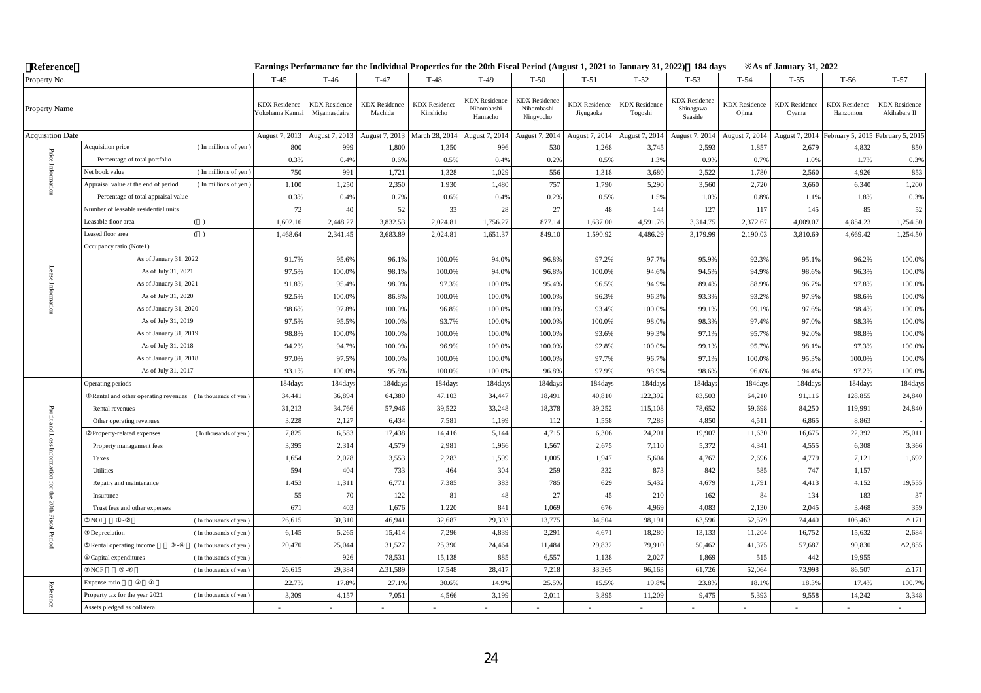| Reference                  |                                                               |                                        |                                      |                                 |                                   | Earnings Performance for the Individual Properties for the 20th Fiscal Period (August 1, 2021 to January 31, 2022) 184 days |                                                 |                                   |                                 |                                              |                               | $\angle$ As of January 31, 2022 |                                  |                                      |
|----------------------------|---------------------------------------------------------------|----------------------------------------|--------------------------------------|---------------------------------|-----------------------------------|-----------------------------------------------------------------------------------------------------------------------------|-------------------------------------------------|-----------------------------------|---------------------------------|----------------------------------------------|-------------------------------|---------------------------------|----------------------------------|--------------------------------------|
| Property No.               |                                                               | $T-45$                                 | $T-46$                               | $T-47$                          | $T-48$                            | $T-49$                                                                                                                      | $T-50$                                          | $T-51$                            | $T-52$                          | $T-53$                                       | $T-54$                        | $T-55$                          | $T-56$                           | $T-57$                               |
| Property Name              |                                                               | <b>KDX</b> Residence<br>Yokohama Kanna | <b>KDX</b> Residence<br>Miyamaedaira | <b>KDX</b> Residence<br>Machida | <b>KDX</b> Residence<br>Kinshicho | <b>KDX</b> Residence<br>Nihombashi<br>Hamacho                                                                               | <b>KDX</b> Residence<br>Nihombashi<br>Ningyocho | <b>KDX</b> Residence<br>Jiyugaoka | <b>KDX</b> Residence<br>Togoshi | <b>KDX</b> Residence<br>Shinagawa<br>Seaside | <b>KDX</b> Residence<br>Ojima | <b>KDX</b> Residence<br>Oyama   | <b>KDX</b> Residence<br>Hanzomon | <b>KDX</b> Residence<br>Akihabara II |
| <b>Acquisition Date</b>    |                                                               | August 7, 2013                         | August 7, 2013                       | August 7, 2013                  | March 28, 2014                    | August 7, 2014                                                                                                              | August 7, 2014                                  | August 7, 2014                    | August 7, 2014                  | August 7, 2014                               | August 7, 2014                |                                 | August 7, 2014 February 5, 2015  | February 5, 201:                     |
| Price                      | Acquisition price<br>(In millions of yen)                     | 800                                    | 999                                  | 1,800                           | 1,350                             | 996                                                                                                                         | 530                                             | 1,268                             | 3,745                           | 2,593                                        | 1,857                         | 2,679                           | 4,832                            | 850                                  |
|                            | Percentage of total portfolio                                 | 0.3%                                   | 0.4%                                 | 0.6%                            | 0.5%                              | 0.4%                                                                                                                        | 0.2%                                            | 0.5%                              | 1.3%                            | 0.9%                                         | 0.7%                          | 1.0%                            | 1.7%                             | 0.3%                                 |
|                            | (In millions of yen<br>Net book value                         | 750                                    | 991                                  | 1,721                           | 1.328                             | 1,029                                                                                                                       | 556                                             | 1,318                             | 3,680                           | 2,522                                        | 1,780                         | 2.560                           | 4.926                            | 853                                  |
|                            | Appraisal value at the end of period<br>(In millions of yen)  | 1,100                                  | 1,250                                | 2,350                           | 1,930                             | 1,480                                                                                                                       | 757                                             | 1,790                             | 5,290                           | 3,560                                        | 2,720                         | 3,660                           | 6,340                            | 1,200                                |
|                            | Percentage of total appraisal value                           | 0.3%                                   | 0.4%                                 | 0.7%                            | 0.6%                              | 0.4%                                                                                                                        | 0.2%                                            | 0.5%                              | 1.5%                            | 1.0%                                         | 0.8%                          | 1.1%                            | 1.8%                             | 0.3%                                 |
|                            | Number of leasable residential units                          | 72                                     | 40                                   | 52                              | 33                                | 28                                                                                                                          | 27                                              | 48                                | 144                             | 127                                          | 117                           | 145                             | 85                               | 52                                   |
|                            | Leasable floor area<br>( )                                    | 1,602.16                               | 2,448.27                             | 3,832.53                        | 2,024.81                          | 1,756.27                                                                                                                    | 877.14                                          | 1,637.00                          | 4,591.76                        | 3,314.75                                     | 2,372.67                      | 4,009.07                        | 4,854.23                         | 1,254.50                             |
|                            | Leased floor area<br>( )                                      | 1,468.64                               | 2,341.45                             | 3,683.89                        | 2,024.81                          | 1,651.37                                                                                                                    | 849.10                                          | 1,590.92                          | 4,486.29                        | 3,179.99                                     | 2,190.03                      | 3,810.69                        | 4,669.42                         | 1,254.50                             |
|                            | Occupancy ratio (Note1)                                       |                                        |                                      |                                 |                                   |                                                                                                                             |                                                 |                                   |                                 |                                              |                               |                                 |                                  |                                      |
|                            | As of January 31, 2022                                        | 91.7%                                  | 95.6%                                | 96.1%                           | 100.0%                            | 94.0%                                                                                                                       | 96.8%                                           | 97.2%                             | 97.7%                           | 95.9%                                        | 92.3%                         | 95.1%                           | 96.2%                            | 100.0%                               |
|                            | As of July 31, 2021                                           | 97.5%                                  | 100.0%                               | 98.1%                           | 100.0%                            | 94.0%                                                                                                                       | 96.8%                                           | 100.0%                            | 94.6%                           | 94.5%                                        | 94.9%                         | 98.6%                           | 96.3%                            | 100.0%                               |
|                            | As of January 31, 2021                                        | 91.8%                                  | 95.4%                                | 98.0%                           | 97.3%                             | 100.0%                                                                                                                      | 95.4%                                           | 96.5%                             | 94.9%                           | 89.4%                                        | 88.9%                         | 96.7%                           | 97.8%                            | 100.0%                               |
|                            | As of July 31, 2020                                           | 92.5%                                  | 100.0%                               | 86.8%                           | 100.0%                            | 100.0%                                                                                                                      | 100.0%                                          | 96.3%                             | 96.3%                           | 93.3%                                        | 93.2%                         | 97.9%                           | 98.6%                            | 100.0%                               |
|                            | As of January 31, 2020                                        | 98.6%                                  | 97.8%                                | 100.0%                          | 96.8%                             | 100.0%                                                                                                                      | 100.0%                                          | 93.4%                             | 100.0%                          | 99.1%                                        | 99.1%                         | 97.6%                           | 98.4%                            | 100.0%                               |
|                            | As of July 31, 2019                                           | 97.5%                                  | 95.5%                                | 100.0%                          | 93.7%                             | 100.0%                                                                                                                      | 100.0%                                          | 100.0%                            | 98.0%                           | 98.3%                                        | 97.4%                         | 97.0%                           | 98.3%                            | 100.0%                               |
|                            | As of January 31, 2019                                        | 98.8%                                  | 100.0%                               | 100.0%                          | 100.0%                            | 100.0%                                                                                                                      | 100.0%                                          | 93.6%                             | 99.3%                           | 97.1%                                        | 95.7%                         | 92.0%                           | 98.8%                            | 100.0%                               |
|                            | As of July 31, 2018                                           | 94.2%                                  | 94.7%                                | 100.0%                          | 96.9%                             | 100.0%                                                                                                                      | 100.0%                                          | 92.8%                             | 100.0%                          | 99.1%                                        | 95.7%                         | 98.1%                           | 97.3%                            | 100.0%                               |
|                            | As of January 31, 2018                                        | 97.0%                                  | 97.5%                                | 100.0%                          | 100.0%                            | 100.0%                                                                                                                      | 100.0%                                          | 97.7%                             | 96.7%                           | 97.1%                                        | 100.0%                        | 95.3%                           | 100.0%                           | 100.0%                               |
|                            | As of July 31, 2017                                           | 93.19                                  | 100.0%                               | 95.8%                           | 100.0%                            | 100.0%                                                                                                                      | 96.8%                                           | 97.9%                             | 98.9%                           | 98.6%                                        | 96.6%                         | 94.4%                           | 97.2%                            | 100.0%                               |
|                            | Operating periods                                             | 184days                                | 184days                              | 184days                         | 184days                           | 184days                                                                                                                     | 184days                                         | 184days                           | 184days                         | 184days                                      | 184days                       | 184days                         | 184days                          | 184days                              |
|                            | Rental and other operating revenues (In thousands of yen)     | 34,441                                 | 36,894                               | 64,380                          | 47,103                            | 34,447                                                                                                                      | 18,491                                          | 40,810                            | 122,392                         | 83,503                                       | 64,210                        | 91,116                          | 128,855                          | 24,840                               |
| Profit                     | Rental revenues                                               | 31,213                                 | 34,766                               | 57,946                          | 39,522                            | 33,248                                                                                                                      | 18,378                                          | 39,252                            | 115,108                         | 78,652                                       | 59,698                        | 84,250                          | 119,991                          | 24,840                               |
|                            | Other operating revenues                                      | 3,228                                  | 2,127                                | 6,434                           | 7,581                             | 1,199                                                                                                                       | 112                                             | 1,558                             | 7,283                           | 4,850                                        | 4,511                         | 6,865                           | 8,863                            |                                      |
| and Loss                   | (In thousands of yen)<br>Property-related expenses            | 7,825                                  | 6,583                                | 17,438                          | 14,416                            | 5,144                                                                                                                       | 4,715                                           | 6,306                             | 24,201                          | 19,907                                       | 11,630                        | 16,675                          | 22,392                           | 25,011                               |
| inform                     | Property management fees                                      | 3,395                                  | 2,314                                | 4,579                           | 2,981                             | 1,966                                                                                                                       | 1,567                                           | 2,675                             | 7,110                           | 5,372                                        | 4,341                         | 4,555                           | 6,308                            | 3,366                                |
|                            | Taxes                                                         | 1,654                                  | 2,078                                | 3,553                           | 2,283                             | 1,599                                                                                                                       | 1,005                                           | 1,947                             | 5,604                           | 4,767                                        | 2,696                         | 4,779                           | 7,121                            | 1,692                                |
| $\overline{a}$             | Utilities                                                     | 594                                    | 404                                  | 733                             | 464                               | 304                                                                                                                         | 259                                             | 332                               | 873                             | 842                                          | 585                           | 747                             | 1,157                            |                                      |
|                            | Repairs and maintenance                                       | 1,453                                  | 1,311                                | 6,771                           | 7,385                             | 383                                                                                                                         | 785                                             | 629                               | 5,432                           | 4,679                                        | 1,791                         | 4,413                           | 4,152                            | 19,555                               |
|                            | Insurance                                                     | 55                                     | 70<br>403                            | 122                             | 81                                | 48                                                                                                                          | 27                                              | 45                                | 210                             | 162                                          | 84                            | 134<br>2,045                    | 183                              | 37                                   |
| for the 20th Fiscal Period | Trust fees and other expenses<br>NOI<br>(In thousands of yen) | 671<br>26,615                          | 30,310                               | 1,676<br>46,941                 | 1,220<br>32,687                   | 841<br>29,303                                                                                                               | 1,069<br>13,775                                 | 676<br>34,504                     | 4,969<br>98,191                 | 4,083<br>63,596                              | 2,130<br>52,579               | 74,440                          | 3,468<br>106,463                 | 359<br>$\triangle$ 171               |
|                            | Depreciation<br>(In thousands of yen)                         | 6,145                                  | 5,265                                | 15,414                          | 7,296                             | 4,839                                                                                                                       | 2,291                                           | 4,671                             | 18,280                          | 13,133                                       | 11,204                        | 16,752                          | 15,632                           | 2,684                                |
|                            | Rental operating income<br>(In thousands of yen)              | 20,470                                 |                                      | 31,527                          | 25,390                            | 24,464                                                                                                                      | 11,484                                          | 29,832                            | 79,910                          | 50,462                                       | 41,375                        | 57,687                          | 90,830                           | $\triangle$ 2,855                    |
|                            | Capital expenditures<br>(In thousands of yen)                 |                                        | 25,044<br>926                        | 78,531                          | 15,138                            | 885                                                                                                                         | 6,557                                           | 1,138                             | 2,027                           | 1,869                                        | 515                           | 442                             | 19,955                           |                                      |
|                            | NCF<br>(In thousands of yen)                                  | 26,615                                 | 29,384                               | $\Delta$ 31,589                 | 17,548                            | 28,417                                                                                                                      | 7,218                                           | 33,365                            | 96,163                          | 61,726                                       | 52,064                        | 73,998                          | 86,507                           | $\triangle$ 171                      |
|                            | Expense ratio                                                 | 22.7%                                  | 17.8%                                | 27.1%                           | 30.6%                             | 14.9%                                                                                                                       | 25.5%                                           | 15.5%                             | 19.89                           | 23.8%                                        | 18.1%                         | 18.3%                           | 17.4%                            | 100.7%                               |
| Reference                  | Property tax for the year 2021<br>(In thousands of yen)       | 3,309                                  | 4,157                                | 7,051                           | 4,566                             | 3,199                                                                                                                       | 2,011                                           | 3,895                             | 11,209                          | 9,475                                        | 5,393                         | 9,558                           | 14,242                           | 3,348                                |
|                            | Assets pledged as collateral                                  |                                        |                                      |                                 |                                   |                                                                                                                             |                                                 |                                   |                                 |                                              |                               |                                 |                                  |                                      |
|                            |                                                               |                                        |                                      |                                 |                                   |                                                                                                                             |                                                 |                                   |                                 |                                              |                               |                                 |                                  |                                      |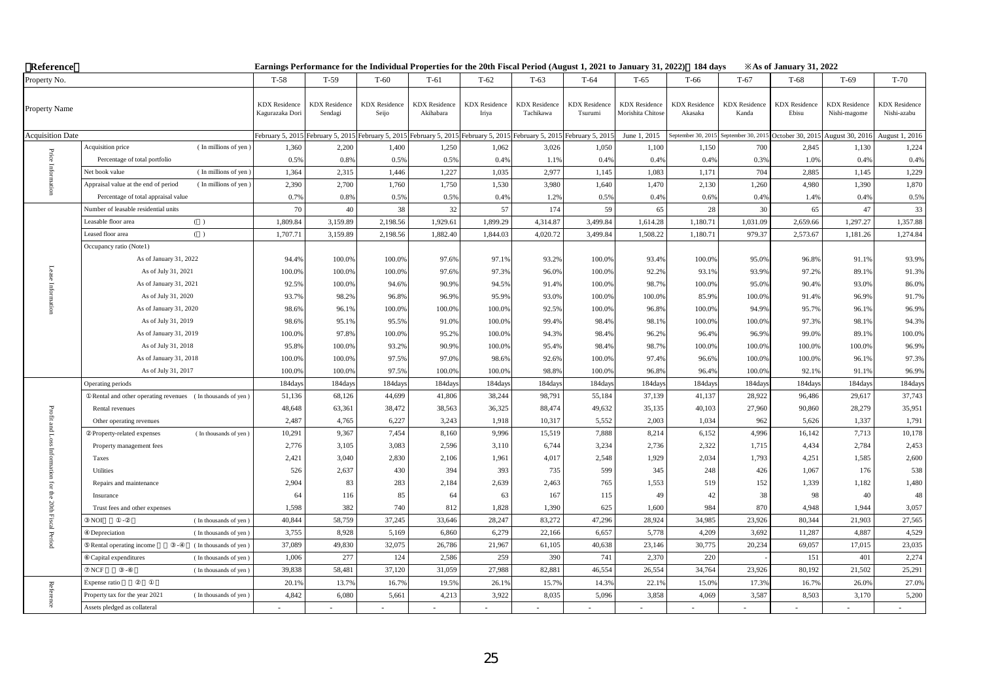| Reference                         |                                                              |                                         |                                                    |                               |                                   | Earnings Performance for the Individual Properties for the 20th Fiscal Period (August 1, 2021 to January 31, 2022) 184 days |                                   |                                                    |                                          |                                 |                               | $\angle$ As of January 31, 2022     |                                      |                                     |
|-----------------------------------|--------------------------------------------------------------|-----------------------------------------|----------------------------------------------------|-------------------------------|-----------------------------------|-----------------------------------------------------------------------------------------------------------------------------|-----------------------------------|----------------------------------------------------|------------------------------------------|---------------------------------|-------------------------------|-------------------------------------|--------------------------------------|-------------------------------------|
| Property No.                      |                                                              | $T-58$                                  | $T-59$                                             | $T-60$                        | $T-61$                            | $T-62$                                                                                                                      | $T-63$                            | $T-64$                                             | $T-65$                                   | T-66                            | $T-67$                        | $T-68$                              | $T-69$                               | $T-70$                              |
| Property Name                     |                                                              | <b>KDX</b> Residence<br>Kagurazaka Dori | <b>KDX</b> Residence<br>Sendagi                    | <b>KDX</b> Residence<br>Seijo | <b>KDX</b> Residence<br>Akihabara | <b>KDX</b> Residence<br>Iriya                                                                                               | <b>KDX</b> Residence<br>Tachikawa | <b>KDX</b> Residence<br>Tsurumi                    | <b>KDX</b> Residence<br>Morishita Chitos | <b>KDX</b> Residence<br>Akasaka | <b>KDX</b> Residence<br>Kanda | <b>KDX</b> Residence<br>Ebisu       | <b>KDX</b> Residence<br>Nishi-magome | <b>KDX</b> Residence<br>Nishi-azabu |
| <b>Acquisition Date</b>           |                                                              |                                         | February 5, 2015 February 5, 2015 February 5, 2015 |                               | February 5, 2015                  |                                                                                                                             |                                   | February 5, 2015 February 5, 2015 February 5, 2015 | June 1, 2015                             | September 30, 2015              |                               | September 30, 2015 October 30, 2015 | August 30, 2016                      | August 1, 2016                      |
|                                   | (In millions of yen)<br>Acquisition price                    | 1,360                                   | 2,200                                              | 1,400                         | 1,250                             | 1,062                                                                                                                       | 3,026                             | 1,050                                              | 1,100                                    | 1,150                           | 700                           | 2,845                               | 1,130                                | 1,224                               |
| Price                             | Percentage of total portfolio                                | 0.5%                                    | 0.8%                                               | 0.5%                          | 0.5%                              | 0.4%                                                                                                                        | 1.1%                              | 0.4%                                               | 0.4%                                     | 0.4%                            | 0.3%                          | 1.0%                                | 0.4%                                 | 0.4%                                |
|                                   | (In millions of yen)<br>Net book value                       | 1,364                                   | 2,315                                              | 1,446                         | 1,227                             | 1,035                                                                                                                       | 2,977                             | 1,145                                              | 1,083                                    | 1,171                           | 704                           | 2,885                               | 1,145                                | 1,229                               |
|                                   | Appraisal value at the end of period<br>(In millions of yen) | 2,390                                   | 2,700                                              | 1,760                         | 1,750                             | 1,530                                                                                                                       | 3,980                             | 1,640                                              | 1,470                                    | 2,130                           | 1,260                         | 4,980                               | 1,390                                | 1,870                               |
|                                   | Percentage of total appraisal value                          | 0.7%                                    | 0.8%                                               | 0.5%                          | 0.5%                              | 0.4%                                                                                                                        | 1.2%                              | 0.5%                                               | 0.4%                                     | 0.6%                            | 0.4%                          | 1.4%                                | 0.4%                                 | 0.5%                                |
|                                   | Number of leasable residential units                         | 70                                      | 40                                                 | 38                            | 32                                | 57                                                                                                                          | 174                               | 59                                                 | 65                                       | 28                              | 30                            | 65                                  | 47                                   | 33                                  |
|                                   | Leasable floor area<br>( )                                   | 1,809.84                                | 3,159.89                                           | 2,198.56                      | 1,929.61                          | 1,899.29                                                                                                                    | 4,314.87                          | 3,499.84                                           | 1,614.28                                 | 1,180.71                        | 1,031.09                      | 2,659.66                            | 1,297.27                             | 1,357.88                            |
|                                   | Leased floor area<br>( )                                     | 1,707.71                                | 3,159.89                                           | 2,198.56                      | 1,882.40                          | 1,844.03                                                                                                                    | 4,020.72                          | 3,499.84                                           | 1,508.22                                 | 1,180.71                        | 979.37                        | 2,573.67                            | 1,181.26                             | 1,274.84                            |
|                                   | Occupancy ratio (Note1)                                      |                                         |                                                    |                               |                                   |                                                                                                                             |                                   |                                                    |                                          |                                 |                               |                                     |                                      |                                     |
|                                   | As of January 31, 2022                                       | 94.4%                                   | 100.0%                                             | 100.0%                        | 97.6%                             | 97.1%                                                                                                                       | 93.2%                             | 100.0%                                             | 93.4%                                    | 100.0%                          | 95.0%                         | 96.8%                               | 91.1%                                | 93.9%                               |
|                                   | As of July 31, 2021                                          | 100.0%                                  | 100.0%                                             | 100.0%                        | 97.6%                             | 97.3%                                                                                                                       | 96.0%                             | 100.0%                                             | 92.2%                                    | 93.1%                           | 93.9%                         | 97.2%                               | 89.1%                                | 91.3%                               |
|                                   | As of January 31, 2021                                       | 92.5%                                   | 100.0%                                             | 94.6%                         | 90.9%                             | 94.5%                                                                                                                       | 91.4%                             | 100.0%                                             | 98.7%                                    | 100.0%                          | 95.0%                         | 90.4%                               | 93.0%                                | 86.0%                               |
|                                   | As of July 31, 2020                                          | 93.7%                                   | 98.2%                                              | 96.8%                         | 96.9%                             | 95.9%                                                                                                                       | 93.0%                             | 100.0%                                             | 100.0%                                   | 85.9%                           | 100.0%                        | 91.4%                               | 96.9%                                | 91.7%                               |
|                                   | As of January 31, 2020                                       | 98.6%                                   | 96.1%                                              | 100.0%                        | 100.0%                            | 100.0%                                                                                                                      | 92.5%                             | 100.0%                                             | 96.8%                                    | 100.0%                          | 94.9%                         | 95.7%                               | 96.1%                                | 96.9%                               |
|                                   | As of July 31, 2019                                          | 98.6%                                   | 95.1%                                              | 95.5%                         | 91.0%                             | 100.0%                                                                                                                      | 99.4%                             | 98.4%                                              | 98.1%                                    | 100.0%                          | 100.0%                        | 97.3%                               | 98.1%                                | 94.3%                               |
|                                   | As of January 31, 2019                                       | 100.0%                                  | 97.8%                                              | 100.0%                        | 95.2%                             | 100.0%                                                                                                                      | 94.3%                             | 98.4%                                              | 96.2%                                    | 96.4%                           | 96.9%                         | 99.0%                               | 89.1%                                | 100.0%                              |
|                                   | As of July 31, 2018                                          | 95.8%                                   | 100.0%                                             | 93.2%                         | 90.9%                             | 100.0%                                                                                                                      | 95.4%                             | 98.4%                                              | 98.7%                                    | 100.0%                          | 100.0%                        | 100.0%                              | 100.0%                               | 96.9%                               |
|                                   | As of January 31, 2018                                       | 100.0%                                  | 100.0%                                             | 97.5%                         | 97.0%                             | 98.6%                                                                                                                       | 92.6%                             | 100.0%                                             | 97.4%                                    | 96.6%                           | 100.0%                        | 100.0%                              | 96.1%                                | 97.3%                               |
|                                   | As of July 31, 2017                                          | 100.0%                                  | 100.0%                                             | 97.5%                         | 100.0%                            | 100.0%                                                                                                                      | 98.8%                             | 100.0%                                             | 96.8%                                    | 96.4%                           | 100.0%                        | 92.1%                               | 91.1%                                | 96.9%                               |
|                                   | Operating periods                                            | 184day                                  | 184days                                            | 184days                       | 184days                           | 184days                                                                                                                     | 184days                           | 184days                                            | 184day                                   | 184days                         | 184days                       | 184days                             | 184days                              | 184days                             |
|                                   | Rental and other operating revenues (In thousands of yen)    | 51,136                                  | 68,126                                             | 44,699                        | 41,806                            | 38,244                                                                                                                      | 98,791                            | 55,184                                             | 37,139                                   | 41,137                          | 28,922                        | 96,486                              | 29,617                               | 37,743                              |
| Profit                            | Rental revenues                                              | 48,648                                  | 63,361                                             | 38,472                        | 38,563                            | 36,325                                                                                                                      | 88,474                            | 49,632                                             | 35,135                                   | 40,103                          | 27,960                        | 90,860                              | 28,279                               | 35,951                              |
|                                   | Other operating revenues                                     | 2,487                                   | 4,765                                              | 6,227                         | 3,243                             | 1,918                                                                                                                       | 10,317                            | 5,552                                              | 2,003                                    | 1,034                           | 962                           | 5,626                               | 1,337                                | 1,791                               |
| Loss                              | Property-related expenses<br>(In thousands of yen)           | 10,291                                  | 9,367                                              | 7,454                         | 8,160                             | 9,996                                                                                                                       | 15,519                            | 7,888                                              | 8,214                                    | 6,152                           | 4,996                         | 16,142                              | 7,713                                | 10,178                              |
|                                   | Property management fees                                     | 2,776                                   | 3,105                                              | 3,083                         | 2,596                             | 3,110                                                                                                                       | 6,744                             | 3,234                                              | 2,736                                    | 2,322                           | 1,715                         | 4,434                               | 2,784                                | 2,453                               |
| Inform                            | Taxes                                                        | 2,421                                   | 3,040                                              | 2,830                         | 2,106                             | 1,961                                                                                                                       | 4,017                             | 2,548                                              | 1,929                                    | 2,034                           | 1,793                         | 4,251                               | 1,585                                | 2,600                               |
|                                   | Utilities                                                    | 526                                     | 2,637                                              | 430                           | 394                               | 393                                                                                                                         | 735                               | 599                                                | 345                                      | 248                             | 426                           | 1.067                               | 176                                  | 538                                 |
| ior                               | Repairs and maintenance                                      | 2,904                                   | 83                                                 | 283                           | 2,184                             | 2,639                                                                                                                       | 2,463                             | 765                                                | 1,553                                    | 519                             | 152                           | 1,339                               | 1,182                                | 1,480                               |
| $\mathop{\mathbb{B}^{}}\nolimits$ | Insurance                                                    | 64                                      | 116                                                | 85                            | 64                                | 63                                                                                                                          | 167                               | 115                                                | 49                                       | 42                              | 38                            | 98                                  | 40                                   | 48                                  |
| 20th Fiscal                       | Trust fees and other expenses                                | 1,598                                   | 382                                                | 740                           | 812                               | 1,828                                                                                                                       | 1,390                             | 625                                                | 1,600                                    | 984                             | 870                           | 4,948                               | 1,944                                | 3,057                               |
|                                   | NOI<br>(In thousands of yen)<br>$\sim$                       | 40,844                                  | 58,759                                             | 37,245                        | 33,646                            | 28,247                                                                                                                      | 83,272                            | 47,296                                             | 28,924                                   | 34,985                          | 23,926                        | 80,344                              | 21,903                               | 27,565                              |
| $\mathbf{P}^{\mathbf{c}}$         | Depreciation<br>(In thousands of yen)                        | 3,755                                   | 8,928                                              | 5,169                         | 6,860                             | 6,279                                                                                                                       | 22,166                            | 6,657                                              | 5,778                                    | 4,209                           | 3,692                         | 11,287                              | 4,887                                | 4,529                               |
|                                   | Rental operating income<br>(In thousands of yen)             | 37,089                                  | 49,830                                             | 32,075                        | 26,786                            | 21,967                                                                                                                      | 61,105                            | 40,638                                             | 23,146                                   | 30,775                          | 20,234                        | 69,057                              | 17,015                               | 23,035                              |
|                                   | Capital expenditures<br>(In thousands of yen)                | 1,006                                   | 277                                                | 124                           | 2,586                             | 259                                                                                                                         | 390                               | 741                                                | 2,370                                    | 220                             |                               | 151                                 | 401                                  | 2,274                               |
|                                   | $_{\rm NCF}$<br>(In thousands of yen)                        | 39,838                                  | 58,481                                             | 37,120                        | 31,059                            | 27,988                                                                                                                      | 82,881                            | 46,554                                             | 26,554                                   | 34,764                          | 23,926                        | 80,192                              | 21,502                               | 25,291                              |
|                                   | Expense ratio                                                | 20.19                                   | 13.7%                                              | 16.7%                         | 19.5%                             | 26.1%                                                                                                                       | 15.7%                             | 14.3%                                              | 22.19                                    | 15.0%                           | 17.3%                         | 16.7%                               | 26.0%                                | 27.0%                               |
| Reference                         | Property tax for the year 2021<br>(In thousands of yen)      | 4,842                                   | 6,080                                              | 5,661                         | 4,213                             | 3,922                                                                                                                       | 8,035                             | 5,096                                              | 3,858                                    | 4,069                           | 3,587                         | 8,503                               | 3,170                                | 5,200                               |
|                                   | Assets pledged as collateral                                 |                                         |                                                    |                               |                                   |                                                                                                                             |                                   |                                                    |                                          |                                 |                               |                                     |                                      |                                     |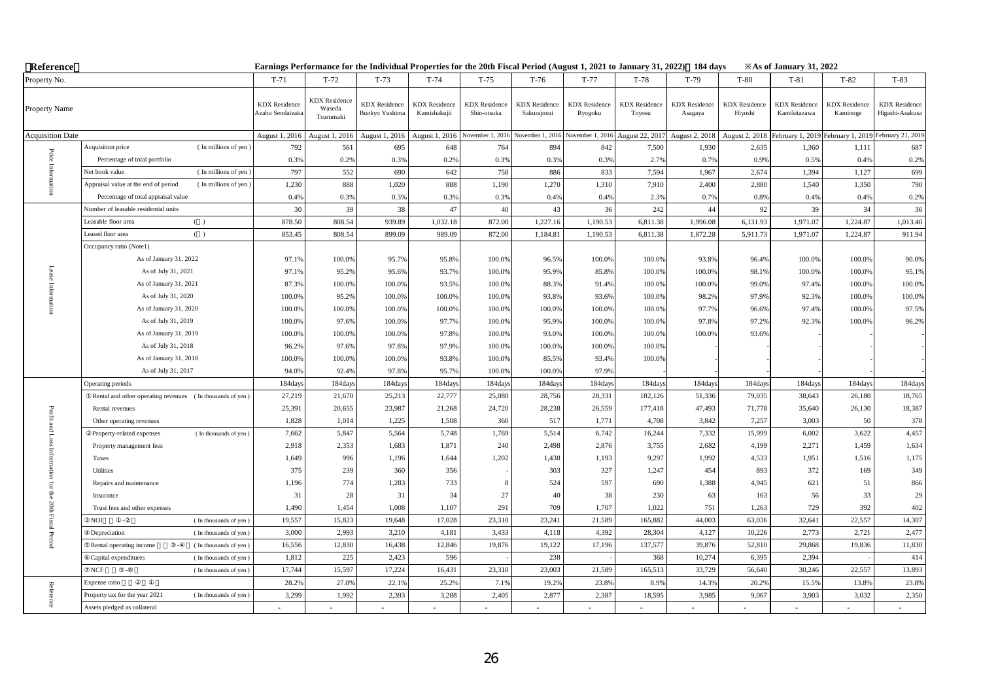| Reference               |                                                              |                                         |                                             |                                        |                                      | Earnings Performance for the Individual Properties for the 20th Fiscal Period (August 1, 2021 to January 31, 2022) 184 days |                                     |                                 |                                  |                                 |                                 | <b>Example 31, 2022</b> X As of January 31, 2022 |                                  |                                         |
|-------------------------|--------------------------------------------------------------|-----------------------------------------|---------------------------------------------|----------------------------------------|--------------------------------------|-----------------------------------------------------------------------------------------------------------------------------|-------------------------------------|---------------------------------|----------------------------------|---------------------------------|---------------------------------|--------------------------------------------------|----------------------------------|-----------------------------------------|
| Property No.            |                                                              | $T-71$                                  | $T-72$                                      | $T-73$                                 | $T-74$                               | $T-75$                                                                                                                      | $T-76$                              | $T-77$                          | $T-78$                           | $T-79$                          | $T-80$                          | $T-81$                                           | $T-82$                           | $T-83$                                  |
| Property Name           |                                                              | <b>KDX</b> Residence<br>Azabu Sendaizak | <b>KDX</b> Residence<br>Waseda<br>Tsurumaki | <b>KDX</b> Residence<br>Bunkyo Yushima | <b>KDX</b> Residence<br>Kamishakujii | <b>KDX</b> Residence<br>Shin-otsuka                                                                                         | <b>KDX</b> Residence<br>Sakurajosui | <b>KDX</b> Residence<br>Ryogoku | <b>KDX</b> Residence<br>Toyosu   | <b>KDX</b> Residence<br>Asagaya | <b>KDX</b> Residence<br>Hiyoshi | <b>KDX</b> Residence<br>Kamikitazawa             | <b>KDX</b> Residence<br>Kaminoge | <b>KDX</b> Residence<br>Higashi-Asakusa |
| <b>Acquisition Date</b> |                                                              | August 1, 2016                          | August 1, 2016                              | August 1, 2016                         | August 1, 2016                       | November 1, 2016                                                                                                            | November 1, 2016                    |                                 | November 1, 2016 August 22, 2017 | August 2, 2018                  | August 2, 2018                  | February 1, 2019                                 | February 1, 2019                 | February 21, 2019                       |
|                         | Acquisition price<br>(In millions of yen)                    | 792                                     | 561                                         | 695                                    | 648                                  | 764                                                                                                                         | 894                                 | 842                             | 7,500                            | 1,930                           | 2,635                           | 1,360                                            | 1,111                            | 687                                     |
| $\rm Price$             | Percentage of total portfolio                                | 0.3%                                    | 0.2%                                        | 0.3%                                   | 0.2%                                 | 0.3%                                                                                                                        | 0.3%                                | 0.3%                            | 2.7%                             | 0.7%                            | 0.99                            | 0.5%                                             | 0.4%                             | 0.2%                                    |
|                         | (In millions of yen)<br>Net book value                       | 797                                     | 552                                         | 690                                    | 642                                  | 758                                                                                                                         | 886                                 | 833                             | 7,594                            | 1,967                           | 2,674                           | 1,394                                            | 1,127                            | 699                                     |
|                         | Appraisal value at the end of period<br>(In millions of yen) | 1,230                                   | 888                                         | 1,020                                  | 888                                  | 1,190                                                                                                                       | 1,270                               | 1,310                           | 7,910                            | 2,400                           | 2,880                           | 1,540                                            | 1,350                            | 790                                     |
|                         | Percentage of total appraisal value                          | 0.49                                    | 0.3%                                        | 0.3%                                   | 0.3%                                 | 0.3%                                                                                                                        | 0.4%                                | 0.4%                            | 2.3%                             | 0.7%                            | 0.8%                            | 0.4%                                             | 0.4%                             | 0.2%                                    |
|                         | Number of leasable residential units                         | 30                                      | 39                                          | 38                                     | 47                                   | 40                                                                                                                          | 43                                  | 36                              | 242                              | 44                              | 92                              | 39                                               | 34                               | 36                                      |
|                         | Leasable floor area<br>( )                                   | 878.50                                  | 808.54                                      | 939.89                                 | 1,032.18                             | 872.00                                                                                                                      | 1,227.16                            | 1,190.53                        | 6,811.38                         | 1,996.08                        | 6,131.93                        | 1,971.07                                         | 1,224.87                         | 1,013.40                                |
|                         | $($ )<br>Leased floor area                                   | 853.45                                  | 808.54                                      | 899.09                                 | 989.09                               | 872.00                                                                                                                      | 1,184.81                            | 1,190.53                        | 6,811.38                         | 1,872.28                        | 5,911.73                        | 1,971.07                                         | 1,224.87                         | 911.94                                  |
|                         | Occupancy ratio (Note1)                                      |                                         |                                             |                                        |                                      |                                                                                                                             |                                     |                                 |                                  |                                 |                                 |                                                  |                                  |                                         |
|                         | As of January 31, 2022                                       | 97.1%                                   | 100.0%                                      | 95.7%                                  | 95.8%                                | 100.0%                                                                                                                      | 96.5%                               | 100.0%                          | 100.0%                           | 93.8%                           | 96.4%                           | 100.0%                                           | 100.0%                           | 90.0%                                   |
|                         | As of July 31, 2021                                          | 97.1%                                   | 95.2%                                       | 95.6%                                  | 93.7%                                | 100.0%                                                                                                                      | 95.9%                               | 85.8%                           | 100.0%                           | 100.0%                          | 98.1%                           | 100.0%                                           | 100.0%                           | 95.1%                                   |
|                         | As of January 31, 2021                                       | 87.3%                                   | 100.0%                                      | 100.0%                                 | 93.5%                                | 100.0%                                                                                                                      | 88.3%                               | 91.4%                           | 100.0%                           | 100.0%                          | 99.0%                           | 97.4%                                            | 100.0%                           | 100.0%                                  |
|                         | As of July 31, 2020                                          | 100.0%                                  | 95.2%                                       | 100.0%                                 | 100.0%                               | 100.0%                                                                                                                      | 93.8%                               | 93.6%                           | 100.0%                           | 98.2%                           | 97.9%                           | 92.3%                                            | 100.0%                           | 100.0%                                  |
|                         | As of January 31, 2020                                       | 100.0%                                  | 100.0%                                      | 100.0%                                 | 100.0%                               | 100.0%                                                                                                                      | 100.0%                              | 100.0%                          | 100.0%                           | 97.7%                           | 96.6%                           | 97.4%                                            | 100.0%                           | 97.5%                                   |
|                         | As of July 31, 2019                                          | 100.0%                                  | 97.6%                                       | 100.0%                                 | 97.7%                                | 100.0%                                                                                                                      | 95.9%                               | 100.0%                          | 100.0%                           | 97.8%                           | 97.2%                           | 92.3%                                            | 100.0%                           | 96.2%                                   |
|                         | As of January 31, 2019                                       | 100.0%                                  | 100.0%                                      | 100.0%                                 | 97.8%                                | 100.0%                                                                                                                      | 93.0%                               | 100.0%                          | 100.0%                           | 100.0%                          | 93.6%                           |                                                  |                                  |                                         |
|                         | As of July 31, 2018                                          | 96.2%                                   | 97.6%                                       | 97.8%                                  | 97.9%                                | 100.0%                                                                                                                      | 100.0%                              | 100.0%                          | 100.0%                           |                                 |                                 |                                                  |                                  |                                         |
|                         | As of January 31, 2018                                       | 100.0%                                  | 100.0%                                      | 100.0%                                 | 93.8%                                | 100.0%                                                                                                                      | 85.5%                               | 93.4%                           | 100.0%                           |                                 |                                 |                                                  |                                  |                                         |
|                         | As of July 31, 2017                                          | 94.09                                   | 92.4%                                       | 97.8%                                  | 95.7%                                | 100.0%                                                                                                                      | 100.0%                              | 97.9%                           |                                  |                                 |                                 |                                                  |                                  |                                         |
|                         | Operating periods                                            | 184day                                  | 184day                                      | 184days                                | 184day                               | 184day                                                                                                                      | 184days                             | 184days                         | 184day                           | 184days                         | 184days                         | 184day                                           | 184days                          | 184days                                 |
|                         | Rental and other operating revenues (In thousands of yen)    | 27,219                                  | 21,670                                      | 25,213                                 | 22,777                               | 25,080                                                                                                                      | 28,756                              | 28,331                          | 182,126                          | 51,336                          | 79,035                          | 38,643                                           | 26,180                           | 18,765                                  |
| Profit                  | Rental revenues                                              | 25,391                                  | 20,655                                      | 23,987                                 | 21,268                               | 24,720                                                                                                                      | 28,238                              | 26,559                          | 177,418                          | 47,493                          | 71,778                          | 35,640                                           | 26,130                           | 18,387                                  |
|                         | Other operating revenues                                     | 1,828                                   | 1,014                                       | 1,225                                  | 1,508                                | 360                                                                                                                         | 517                                 | 1,771                           | 4,708                            | 3,842                           | 7,257                           | 3,003                                            | 50                               | 378                                     |
| and Loss Inform         | (In thousands of yen)<br>Property-related expenses           | 7,662                                   | 5,847                                       | 5,564                                  | 5,748                                | 1,769                                                                                                                       | 5,514                               | 6,742                           | 16,244                           | 7,332                           | 15,999                          | 6,002                                            | 3,622                            | 4,457                                   |
|                         | Property management fees                                     | 2,918                                   | 2,353                                       | 1,683                                  | 1,871                                | 240                                                                                                                         | 2,498                               | 2,876                           | 3,755                            | 2,682                           | 4,199                           | 2,271                                            | 1,459                            | 1,634                                   |
|                         | Taxes                                                        | 1,649                                   | 996                                         | 1,196                                  | 1,644                                | 1,202                                                                                                                       | 1,438                               | 1,193                           | 9,297                            | 1,992                           | 4,533                           | 1,951                                            | 1,516                            | 1,175                                   |
| ig.                     | Utilities                                                    | 375                                     | 239                                         | 360                                    | 356                                  |                                                                                                                             | 303                                 | 327                             | 1,247                            | 454                             | 893                             | 372                                              | 169                              | 349                                     |
|                         | Repairs and maintenance                                      | 1,196                                   | 774                                         | 1,283                                  | 733                                  | 8                                                                                                                           | 524                                 | 597                             | 690                              | 1,388                           | 4,945                           | 621                                              | 51                               | 866                                     |
|                         | Insurance                                                    | 31                                      | 28                                          | 31                                     | 34                                   | 27                                                                                                                          | 40                                  | 38                              | 230                              | 63                              | 163                             | 56                                               | 33                               | 29                                      |
|                         | Trust fees and other expenses                                | 1,490                                   | 1,454                                       | 1,008                                  | 1,107                                | 291                                                                                                                         | 709                                 | 1,707                           | 1,022                            | 751                             | 1,263                           | 729                                              | 392                              | 402                                     |
| for the 20th Fiscal     | NOI<br>(In thousands of yen)<br>$\sim$                       | 19,557                                  | 15,823                                      | 19,648                                 | 17,028                               | 23,310                                                                                                                      | 23,241                              | 21,589                          | 165,882                          | 44,003                          | 63,036                          | 32,641                                           | 22,557                           | 14,307                                  |
| Period                  | Depreciation<br>(In thousands of yen)                        | 3,000                                   | 2,993                                       | 3,210                                  | 4,181                                | 3,433                                                                                                                       | 4,118                               | 4,392                           | 28,304                           | 4,127                           | 10,226                          | 2,773                                            | 2,721                            | 2,477                                   |
|                         | (In thousands of yen)<br>Rental operating income             | 16,556                                  | 12,830                                      | 16,438                                 | 12,846                               | 19,876                                                                                                                      | 19,122                              | 17,196                          | 137,577                          | 39,876                          | 52,810                          | 29,868                                           | 19,836                           | 11,830                                  |
|                         | Capital expenditures<br>(In thousands of yen)                | 1,812                                   | 225                                         | 2,423                                  | 596                                  |                                                                                                                             | 238                                 |                                 | 368                              | 10,274                          | 6,395                           | 2,394                                            |                                  | 414                                     |
|                         | $_{\rm NCF}$<br>(In thousands of yen)                        | 17,744                                  | 15,597                                      | 17,224                                 | 16,431                               | 23,310                                                                                                                      | 23,003                              | 21,589                          | 165,513                          | 33,729                          | 56,640                          | 30,246                                           | 22,557                           | 13,893                                  |
|                         | Expense ratio                                                | 28.29                                   | 27.0%                                       | 22.1%                                  | 25.2%                                | 7.1%                                                                                                                        | 19.2%                               | 23.8%                           | 8.9%                             | 14.3%                           | 20.29                           | 15.5%                                            | 13.8%                            | 23.8%                                   |
| Reference               | Property tax for the year 2021<br>(In thousands of yen)      | 3,299                                   | 1,992                                       | 2,393                                  | 3,288                                | 2,405                                                                                                                       | 2,877                               | 2,387                           | 18,595                           | 3,985                           | 9,067                           | 3,903                                            | 3,032                            | 2,350                                   |
|                         | Assets pledged as collateral                                 |                                         |                                             |                                        |                                      |                                                                                                                             |                                     |                                 |                                  |                                 |                                 |                                                  |                                  |                                         |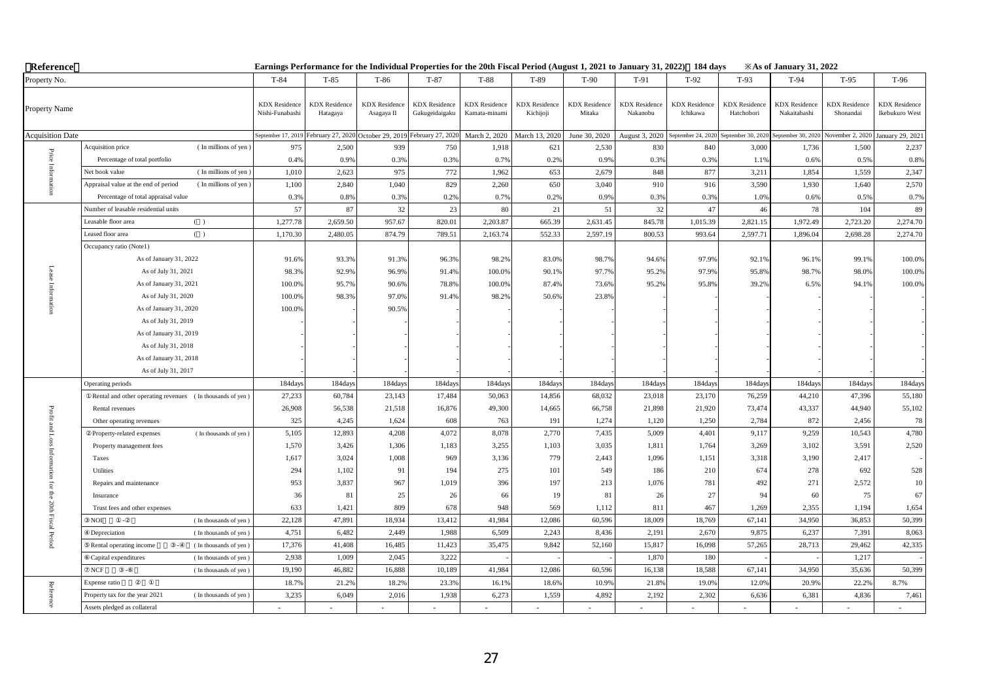| Reference                   |                                                              |                                         | Earnings Performance for the Individual Properties for the 20th Fiscal Period (August 1, 2021 to January 31, 2022) 184 days |                                    |                                        |                                       |                                   |                                |                                  |                                  |                                    | $\angle$ As of January 31, 2022      |                                   |                                        |
|-----------------------------|--------------------------------------------------------------|-----------------------------------------|-----------------------------------------------------------------------------------------------------------------------------|------------------------------------|----------------------------------------|---------------------------------------|-----------------------------------|--------------------------------|----------------------------------|----------------------------------|------------------------------------|--------------------------------------|-----------------------------------|----------------------------------------|
| Property No.                |                                                              | $T-84$                                  | $T-85$                                                                                                                      | $T-86$                             | $T-87$                                 | $T-88$                                | T-89                              | $T-90$                         | $T-91$                           | $T-92$                           | $T-93$                             | $T-94$                               | $T-95$                            | T-96                                   |
| Property Name               |                                                              | <b>KDX</b> Residence<br>Nishi-Funabashi | <b>KDX</b> Residence<br>Hatagaya                                                                                            | <b>KDX</b> Residence<br>Asagaya II | <b>KDX</b> Residence<br>Gakugeidaigaku | <b>KDX</b> Residence<br>Kamata-minami | <b>KDX</b> Residence<br>Kichijoji | <b>KDX</b> Residence<br>Mitaka | <b>KDX</b> Residence<br>Nakanobu | <b>KDX</b> Residence<br>Ichikawa | <b>KDX</b> Residence<br>Hatchobori | <b>KDX</b> Residence<br>Nakaitabashi | <b>KDX</b> Residence<br>Shonandai | <b>KDX</b> Residence<br>Ikebukuro West |
| <b>Acquisition Date</b>     |                                                              |                                         | September 17, 2019 February 27, 2020                                                                                        | October 29, 2019 February 27, 2020 |                                        | March 2, 2020                         | March 13, 2020                    | June 30, 2020                  | August 3, 2020                   | September 24, 2020               | September 30, 202                  | September 30, 2020                   | November 2, 2020                  | January 29, 2021                       |
|                             | Acquisition price<br>(In millions of yen)                    | 975                                     | 2,500                                                                                                                       | 939                                | 750                                    | 1,918                                 | 621                               | 2,530                          | 830                              | 840                              | 3,000                              | 1,736                                | 1,500                             | 2,237                                  |
|                             | Percentage of total portfolio                                | 0.4%                                    | 0.9%                                                                                                                        | 0.3%                               | 0.3%                                   | 0.7%                                  | 0.2%                              | 0.9%                           | 0.3%                             | 0.3%                             | 1.19                               | 0.6%                                 | 0.5%                              | 0.8%                                   |
| Price Inforn                | (In millions of yen<br>Net book value                        | 1,010                                   | 2,623                                                                                                                       | 975                                | 772                                    | 1,962                                 | 653                               | 2,679                          | 848                              | 877                              | 3,211                              | 1.854                                | 1,559                             | 2,347                                  |
|                             | Appraisal value at the end of period<br>(In millions of yen) | 1,100                                   | 2,840                                                                                                                       | 1,040                              | 829                                    | 2,260                                 | 650                               | 3,040                          | 910                              | 916                              | 3,590                              | 1,930                                | 1,640                             | 2,570                                  |
|                             | Percentage of total appraisal value                          | 0.3%                                    | 0.8%                                                                                                                        | 0.3%                               | 0.2%                                   | 0.7%                                  | 0.2%                              | 0.9%                           | 0.3%                             | 0.3%                             | 1.0%                               | 0.6%                                 | 0.5%                              | 0.7%                                   |
|                             | Number of leasable residential units                         | 57                                      | 87                                                                                                                          | 32                                 | 23                                     | 80                                    | 21                                | 51                             | 32                               | 47                               | 46                                 | 78                                   | 104                               | 89                                     |
|                             | Leasable floor area<br>( )                                   | 1,277.78                                | 2,659.50                                                                                                                    | 957.67                             | 820.01                                 | 2,203.87                              | 665.39                            | 2,631.45                       | 845.78                           | 1,015.39                         | 2,821.15                           | 1,972.49                             | 2,723.20                          | 2,274.70                               |
|                             | ( )<br>Leased floor area                                     | 1,170.30                                | 2,480.05                                                                                                                    | 874.79                             | 789.51                                 | 2,163.74                              | 552.33                            | 2,597.19                       | 800.53                           | 993.64                           | 2,597.71                           | 1,896.04                             | 2,698.28                          | 2,274.70                               |
|                             | Occupancy ratio (Note1)                                      |                                         |                                                                                                                             |                                    |                                        |                                       |                                   |                                |                                  |                                  |                                    |                                      |                                   |                                        |
|                             | As of January 31, 2022                                       | 91.6%                                   | 93.3%                                                                                                                       | 91.3%                              | 96.3%                                  | 98.2%                                 | 83.0%                             | 98.7%                          | 94.6%                            | 97.9%                            | 92.1%                              | 96.1%                                | 99.1%                             | 100.0%                                 |
| Lease                       | As of July 31, 2021                                          | 98.3%                                   | 92.9%                                                                                                                       | 96.9%                              | 91.4%                                  | 100.0%                                | 90.1%                             | 97.7%                          | 95.2%                            | 97.9%                            | 95.8%                              | 98.7%                                | 98.0%                             | 100.0%                                 |
| Inform:                     | As of January 31, 2021                                       | 100.0%                                  | 95.7%                                                                                                                       | 90.6%                              | 78.8%                                  | 100.0%                                | 87.4%                             | 73.6%                          | 95.2%                            | 95.8%                            | 39.2%                              | 6.5%                                 | 94.1%                             | 100.0%                                 |
| Ë.                          | As of July 31, 2020                                          | 100.0%                                  | 98.3%                                                                                                                       | 97.0%                              | 91.4%                                  | 98.2%                                 | 50.6%                             | 23.8%                          |                                  |                                  |                                    |                                      |                                   |                                        |
| $\mathbf{a}$                | As of January 31, 2020                                       | 100.0%                                  |                                                                                                                             | 90.5%                              |                                        |                                       |                                   |                                |                                  |                                  |                                    |                                      |                                   |                                        |
|                             | As of July 31, 2019                                          |                                         |                                                                                                                             |                                    |                                        |                                       |                                   |                                |                                  |                                  |                                    |                                      |                                   |                                        |
|                             | As of January 31, 2019                                       |                                         |                                                                                                                             |                                    |                                        |                                       |                                   |                                |                                  |                                  |                                    |                                      |                                   |                                        |
|                             | As of July 31, 2018                                          |                                         |                                                                                                                             |                                    |                                        |                                       |                                   |                                |                                  |                                  |                                    |                                      |                                   |                                        |
|                             | As of January 31, 2018                                       |                                         |                                                                                                                             |                                    |                                        |                                       |                                   |                                |                                  |                                  |                                    |                                      |                                   |                                        |
|                             | As of July 31, 2017                                          |                                         |                                                                                                                             |                                    |                                        |                                       |                                   |                                |                                  |                                  |                                    |                                      |                                   |                                        |
|                             | Operating periods                                            | 184days                                 | 184days                                                                                                                     | 184days                            | 184days                                | 184days                               | 184days                           | 184days                        | 184days                          | 184days                          | 184days                            | 184days                              | 184days                           | 184days                                |
|                             | Rental and other operating revenues (In thousands of yen)    | 27,233                                  | 60,784                                                                                                                      | 23,143                             | 17,484                                 | 50,063                                | 14,856                            | 68,032                         | 23,018                           | 23,170                           | 76,259                             | 44,210                               | 47,396                            | 55,180                                 |
|                             | Rental revenues                                              | 26,908                                  | 56,538                                                                                                                      | 21,518                             | 16,876                                 | 49,300                                | 14,665                            | 66,758                         | 21,898                           | 21,920                           | 73,474                             | 43,337                               | 44,940                            | 55,102                                 |
| Profit and Loss Information | Other operating revenues                                     | 325                                     | 4,245                                                                                                                       | 1,624                              | 608                                    | 763                                   | 191                               | 1,274                          | 1,120                            | 1,250                            | 2,784                              | 872                                  | 2,456                             | 78                                     |
|                             | (In thousands of yen)<br>Property-related expenses           | 5,105                                   | 12,893                                                                                                                      | 4,208                              | 4,072                                  | 8,078                                 | 2,770                             | 7,435                          | 5,009                            | 4,401                            | 9,117                              | 9,259                                | 10,543                            | 4,780                                  |
|                             | Property management fees                                     | 1,570                                   | 3,426                                                                                                                       | 1,306                              | 1,183                                  | 3,255                                 | 1,103                             | 3,035                          | 1,811                            | 1,764                            | 3,269                              | 3,102                                | 3,591                             | 2,520                                  |
|                             | Taxes                                                        | 1,617                                   | 3,024                                                                                                                       | 1,008                              | 969                                    | 3,136                                 | 779                               | 2,443                          | 1,096                            | 1,151                            | 3,318                              | 3,190                                | 2,417                             |                                        |
|                             | Utilities                                                    | 294                                     | 1,102                                                                                                                       | 91                                 | 194                                    | 275                                   | 101                               | 549                            | 186                              | 210                              | 674                                | 278                                  | 692                               | 528                                    |
|                             | Repairs and maintenance                                      | 953                                     | 3,837                                                                                                                       | 967                                | 1,019                                  | 396                                   | 197                               | 213                            | 1,076                            | 781                              | 492                                | 271                                  | 2,572                             | 10                                     |
|                             | Insurance                                                    | 36                                      | 81                                                                                                                          | 25                                 | 26                                     | 66                                    | 19                                | 81                             | 26                               | $27\,$                           | 94                                 | 60                                   | 75                                | 67                                     |
|                             | Trust fees and other expenses                                | 633                                     | 1,421                                                                                                                       | 809                                | 678                                    | 948                                   | 569                               | 1,112                          | 811                              | 467                              | 1,269                              | 2,355                                | 1,194                             | 1,654                                  |
| for the 20th Fiscal Period  | <b>NOI</b><br>(In thousands of yen)                          | 22,128                                  | 47,891                                                                                                                      | 18,934                             | 13,412                                 | 41,984                                | 12,086                            | 60,596                         | 18,009                           | 18,769                           | 67,141                             | 34,950                               | 36,853                            | 50,399                                 |
|                             | Depreciation<br>(In thousands of yen)                        | 4,751                                   | 6,482                                                                                                                       | 2,449                              | 1,988                                  | 6,509                                 | 2,243                             | 8,436                          | 2,191                            | 2,670                            | 9,875                              | 6,237                                | 7,391                             | 8,063                                  |
|                             | Rental operating income<br>(In thousands of yen)             | 17,376                                  | 41,408                                                                                                                      | 16,485                             | 11,423                                 | 35,475                                | 9,842                             | 52,160                         | 15,817                           | 16,098                           | 57,265                             | 28,713                               | 29,462                            | 42,335                                 |
|                             | (In thousands of yen)<br>Capital expenditures                | 2,938                                   | 1,009                                                                                                                       | 2,045                              | 3,222                                  |                                       |                                   |                                | 1,870                            | 180                              |                                    |                                      | 1,217                             |                                        |
|                             | NCF<br>(In thousands of yen)                                 | 19,190                                  | 46,882                                                                                                                      | 16,888                             | 10,189                                 | 41,984                                | 12,086                            | 60,596                         | 16,138                           | 18,588                           | 67,141                             | 34,950                               | 35,636                            | 50,399                                 |
|                             | Expense ratio                                                | 18.7%                                   | 21.2%                                                                                                                       | 18.2%                              | 23.3%                                  | 16.1%                                 | 18.6%                             | 10.9%                          | 21.8%                            | 19.0%                            | 12.09                              | 20.9%                                | 22.2%                             | 8.7%                                   |
| Reference                   | Property tax for the year 2021<br>(In thousands of yen)      | 3,235                                   | 6,049                                                                                                                       | 2,016                              | 1,938                                  | 6,273                                 | 1,559                             | 4,892                          | 2,192                            | 2,302                            | 6,636                              | 6,381                                | 4,836                             | 7,461                                  |
|                             | Assets pledged as collateral                                 |                                         |                                                                                                                             |                                    |                                        |                                       |                                   |                                |                                  |                                  |                                    |                                      |                                   |                                        |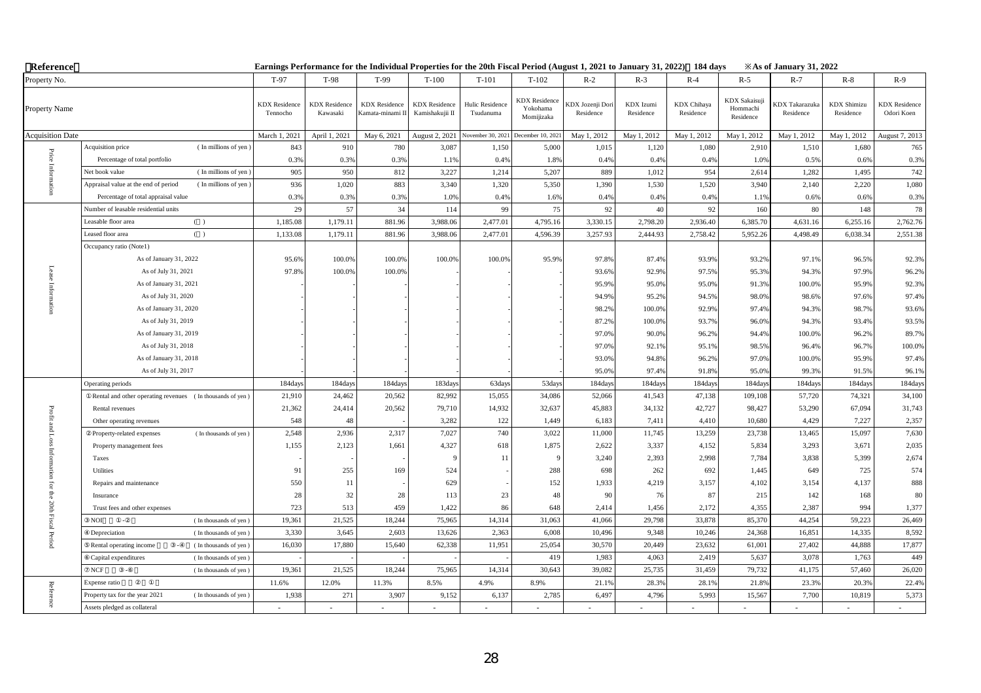| Reference                   |                                                                                |                                  |                                  |                                          |                                         | Earnings Performance for the Individual Properties for the 20th Fiscal Period (August 1, 2021 to January 31, 2022) 184 days |                                                |                              |                        |                          |                                               | <b>Example 31, 2022</b> X          |                                 |                                    |
|-----------------------------|--------------------------------------------------------------------------------|----------------------------------|----------------------------------|------------------------------------------|-----------------------------------------|-----------------------------------------------------------------------------------------------------------------------------|------------------------------------------------|------------------------------|------------------------|--------------------------|-----------------------------------------------|------------------------------------|---------------------------------|------------------------------------|
| Property No.                |                                                                                | T-97                             | T-98                             | T-99                                     | $T-100$                                 | $T-101$                                                                                                                     | $T-102$                                        | $R-2$                        | $R-3$                  | $R-4$                    | $R-5$                                         | $R-7$                              | $R-8$                           | $R-9$                              |
| Property Name               |                                                                                | <b>KDX</b> Residence<br>Tennocho | <b>KDX</b> Residence<br>Kawasaki | <b>KDX</b> Residence<br>Kamata-minami II | <b>KDX</b> Residence<br>Kamishakujii II | Hulic Residence<br>Tsudanuma                                                                                                | <b>KDX</b> Residence<br>Yokohama<br>Momijizaka | DX Jozenji Dori<br>Residence | KDX Izumi<br>Residence | KDX Chihaya<br>Residence | <b>KDX</b> Sakaisuji<br>Hommachi<br>Residence | <b>CDX</b> Takarazuka<br>Residence | <b>KDX</b> Shimizu<br>Residence | <b>KDX</b> Residence<br>Odori Koen |
| <b>Acquisition Date</b>     |                                                                                | March 1, 2021                    | April 1, 2021                    | May 6, 2021                              | August 2, 2021                          | Vovember 30, 2021                                                                                                           | December 10, 202                               | May 1, 2012                  | May 1, 2012            | May 1, 2012              | May 1, 2012                                   | May 1, 2012                        | May 1, 2012                     | August 7, 2013                     |
|                             | Acquisition price<br>(In millions of yen)                                      | 843                              | 910                              | 780                                      | 3,087                                   | 1,150                                                                                                                       | 5,000                                          | 1,015                        | 1,120                  | 1,080                    | 2,910                                         | 1,510                              | 1,680                           | 765                                |
|                             | Percentage of total portfolio                                                  | 0.3%                             | 0.3%                             | 0.3%                                     | 1.1%                                    | 0.4%                                                                                                                        | 1.89                                           | 0.4%                         | 0.4%                   | 0.4%                     | 1.0%                                          | 0.5%                               | 0.6%                            | 0.3%                               |
| Price Inform                | (In millions of yen)<br>Net book value                                         | 905                              | 950                              | 812                                      | 3,227                                   | 1,214                                                                                                                       | 5,207                                          | 889                          | 1,012                  | 954                      | 2,614                                         | 1.282                              | 1.495                           | 742                                |
|                             | Appraisal value at the end of period<br>(In millions of yen)                   | 936                              | 1,020                            | 883                                      | 3,340                                   | 1,320                                                                                                                       | 5,350                                          | 1,390                        | 1,530                  | 1,520                    | 3,940                                         | 2,140                              | 2,220                           | 1,080                              |
|                             | Percentage of total appraisal value                                            | 0.3%                             | 0.3%                             | 0.3%                                     | 1.0%                                    | 0.4%                                                                                                                        | 1.6%                                           | 0.4%                         | 0.49                   | 0.4%                     | 1.1%                                          | 0.6%                               | 0.6%                            | 0.3%                               |
|                             | Number of leasable residential units                                           | 29                               | 57                               | 34                                       | 114                                     | 99                                                                                                                          | 75                                             | 92                           | 40                     | 92                       | 160                                           | 80                                 | 148                             | 78                                 |
|                             | Leasable floor area<br>( )                                                     | 1,185.08                         | 1,179.11                         | 881.96                                   | 3,988.06                                | 2,477.01                                                                                                                    | 4,795.16                                       | 3,330.15                     | 2,798.20               | 2,936.40                 | 6,385.70                                      | 4,631.16                           | 6,255.16                        | 2,762.76                           |
|                             | Leased floor area<br>( )                                                       | 1,133.08                         | 1,179.11                         | 881.96                                   | 3,988.06                                | 2,477.01                                                                                                                    | 4,596.39                                       | 3,257.93                     | 2,444.93               | 2,758.42                 | 5,952.26                                      | 4,498.49                           | 6,038.34                        | 2,551.38                           |
|                             | Occupancy ratio (Note1)                                                        |                                  |                                  |                                          |                                         |                                                                                                                             |                                                |                              |                        |                          |                                               |                                    |                                 |                                    |
|                             | As of January 31, 2022                                                         | 95.6%                            | 100.0%                           | 100.0%                                   | 100.0%                                  | 100.0%                                                                                                                      | 95.9%                                          | 97.8%                        | 87.4%                  | 93.9%                    | 93.2%                                         | 97.1%                              | 96.5%                           | 92.3%                              |
| Lease                       | As of July 31, 2021                                                            | 97.8%                            | 100.0%                           | 100.0%                                   |                                         |                                                                                                                             |                                                | 93.6%                        | 92.9%                  | 97.5%                    | 95.3%                                         | 94.3%                              | 97.9%                           | 96.2%                              |
|                             | As of January 31, 2021                                                         |                                  |                                  |                                          |                                         |                                                                                                                             |                                                | 95.9%                        | 95.0%                  | 95.0%                    | 91.3%                                         | 100.0%                             | 95.9%                           | 92.3%                              |
| Information                 | As of July 31, 2020                                                            |                                  |                                  |                                          |                                         |                                                                                                                             |                                                | 94.9%                        | 95.2%                  | 94.5%                    | 98.0%                                         | 98.6%                              | 97.6%                           | 97.4%                              |
|                             | As of January 31, 2020                                                         |                                  |                                  |                                          |                                         |                                                                                                                             |                                                | 98.2%                        | 100.0%                 | 92.9%                    | 97.4%                                         | 94.3%                              | 98.7%                           | 93.6%                              |
|                             | As of July 31, 2019                                                            |                                  |                                  |                                          |                                         |                                                                                                                             |                                                | 87.2%                        | 100.0%                 | 93.7%                    | 96.0%                                         | 94.3%                              | 93.4%                           | 93.5%                              |
|                             | As of January 31, 2019                                                         |                                  |                                  |                                          |                                         |                                                                                                                             |                                                | 97.0%                        | 90.0%                  | 96.2%                    | 94.4%                                         | 100.0%                             | 96.2%                           | 89.7%                              |
|                             | As of July 31, 2018                                                            |                                  |                                  |                                          |                                         |                                                                                                                             |                                                | 97.0%                        | 92.1%                  | 95.1%                    | 98.5%                                         | 96.4%                              | 96.7%                           | 100.0%                             |
|                             | As of January 31, 2018                                                         |                                  |                                  |                                          |                                         |                                                                                                                             |                                                | 93.0%                        | 94.8%                  | 96.2%                    | 97.0%                                         | 100.0%                             | 95.9%                           | 97.4%                              |
|                             | As of July 31, 2017                                                            |                                  |                                  |                                          |                                         |                                                                                                                             |                                                | 95.0%                        | 97.49                  | 91.8%                    | 95.0%                                         | 99.3%                              | 91.5%                           | 96.1%                              |
|                             | Operating periods                                                              | 184days                          | 184days                          | 184days                                  | 183days                                 | 63days                                                                                                                      | 53days                                         | 184day                       | 184days                | 184days                  | 184days                                       | 184days                            | 184days                         | 184days                            |
|                             | Rental and other operating revenues (In thousands of yen)                      | 21,910                           | 24,462                           | 20,562                                   | 82,992                                  | 15,055                                                                                                                      | 34,086                                         | 52,066                       | 41,543                 | 47,138                   | 109,108                                       | 57,720                             | 74,321                          | 34,100                             |
|                             | Rental revenues                                                                | 21,362                           | 24,414                           | 20,562                                   | 79,710                                  | 14,932                                                                                                                      | 32,637                                         | 45,883                       | 34,132                 | 42,727                   | 98,427                                        | 53,290                             | 67,094                          | 31,743                             |
| Profit and Loss Information | Other operating revenues                                                       | 548                              | 48                               |                                          | 3,282                                   | 122                                                                                                                         | 1,449                                          | 6,183                        | 7,411                  | 4,410                    | 10,680                                        | 4,429                              | 7,227                           | 2,357                              |
|                             | (In thousands of yen)<br>Property-related expenses<br>Property management fees | 2,548<br>1,155                   | 2,936<br>2,123                   | 2,317<br>1,661                           | 7,027<br>4,327                          | 740<br>618                                                                                                                  | 3,022<br>1,875                                 | 11,000<br>2,622              | 11,745<br>3,337        | 13,259<br>4,152          | 23,738<br>5,834                               | 13,465<br>3,293                    | 15,097<br>3,671                 | 7,630<br>2,035                     |
|                             | Taxes                                                                          |                                  |                                  |                                          | <sup>Q</sup>                            | 11                                                                                                                          | 9                                              | 3,240                        | 2,393                  | 2,998                    | 7,784                                         | 3,838                              | 5,399                           | 2,674                              |
|                             | Utilities                                                                      | 91                               | 255                              | 169                                      | 524                                     |                                                                                                                             | 288                                            | 698                          | 262                    | 692                      | 1,445                                         | 649                                | 725                             | 574                                |
|                             | Repairs and maintenance                                                        | 550                              | 11                               |                                          | 629                                     |                                                                                                                             | 152                                            | 1,933                        | 4,219                  | 3,157                    | 4,102                                         | 3,154                              | 4,137                           | 888                                |
|                             | Insurance                                                                      | 28                               | 32                               | 28                                       | 113                                     | 23                                                                                                                          | 48                                             | 90                           | 76                     | 87                       | 215                                           | 142                                | 168                             | 80                                 |
|                             | Trust fees and other expenses                                                  | 723                              | 513                              | 459                                      | 1,422                                   | 86                                                                                                                          | 648                                            | 2,414                        | 1,456                  | 2,172                    | 4,355                                         | 2,387                              | 994                             | 1,377                              |
| for the 20th Fiscal Period  | <b>NOI</b><br>(In thousands of yen)                                            | 19,361                           | 21,525                           | 18,244                                   | 75,965                                  | 14,314                                                                                                                      | 31,063                                         | 41,066                       | 29,798                 | 33,878                   | 85,370                                        | 44,254                             | 59.223                          | 26,469                             |
|                             | Depreciation<br>(In thousands of yen)                                          | 3,330                            | 3,645                            | 2,603                                    | 13,626                                  | 2,363                                                                                                                       | 6,008                                          | 10,496                       | 9,348                  | 10,246                   | 24,368                                        | 16,851                             | 14,335                          | 8,592                              |
|                             | Rental operating income<br>(In thousands of yen)                               | 16,030                           | 17,880                           | 15,640                                   | 62,338                                  | 11,951                                                                                                                      | 25,054                                         | 30,570                       | 20,449                 | 23,632                   | 61,001                                        | 27,402                             | 44,888                          | 17,877                             |
|                             | Capital expenditures<br>(In thousands of yen)                                  |                                  |                                  |                                          |                                         |                                                                                                                             | 419                                            | 1,983                        | 4,063                  | 2,419                    | 5,637                                         | 3,078                              | 1,763                           | 449                                |
|                             | NCF<br>(In thousands of yen)                                                   | 19,361                           | 21,525                           | 18,244                                   | 75,965                                  | 14,314                                                                                                                      | 30,643                                         | 39,082                       | 25,735                 | 31,459                   | 79,732                                        | 41,175                             | 57,460                          | 26,020                             |
|                             | Expense ratio                                                                  | 11.6%                            | 12.0%                            | 11.3%                                    | 8.5%                                    | 4.9%                                                                                                                        | 8.9%                                           | 21.1%                        | 28.39                  | 28.1%                    | 21.8%                                         | 23.3%                              | 20.3%                           | 22.4%                              |
| Reference                   | Property tax for the year 2021<br>(In thousands of yen)                        | 1,938                            | 271                              | 3,907                                    | 9,152                                   | 6,137                                                                                                                       | 2,785                                          | 6,497                        | 4,796                  | 5,993                    | 15,567                                        | 7,700                              | 10,819                          | 5,373                              |
|                             | Assets pledged as collateral                                                   |                                  |                                  |                                          |                                         |                                                                                                                             |                                                |                              |                        |                          |                                               |                                    |                                 |                                    |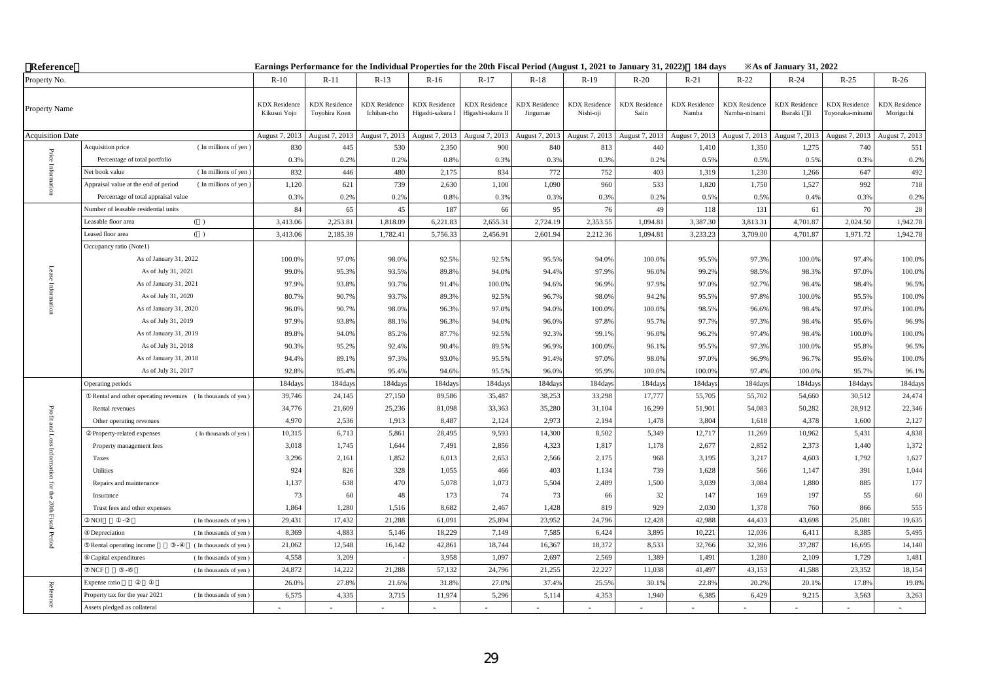| Reference               |                                                              |                                      |                                       |                                     |                                          | Earnings Performance for the Individual Properties for the 20th Fiscal Period (August 1, 2021 to January 31, 2022) 184 days |                                  |                                   |                               |                               |                                      | <b>Example 31, 2022</b> X            |                                        |                                   |
|-------------------------|--------------------------------------------------------------|--------------------------------------|---------------------------------------|-------------------------------------|------------------------------------------|-----------------------------------------------------------------------------------------------------------------------------|----------------------------------|-----------------------------------|-------------------------------|-------------------------------|--------------------------------------|--------------------------------------|----------------------------------------|-----------------------------------|
| Property No.            |                                                              | $R-10$                               | $R-11$                                | $R-13$                              | $R-16$                                   | $R-17$                                                                                                                      | $R-18$                           | $R-19$                            | $R-20$                        | $R-21$                        | $R-22$                               | $R-24$                               | $R-25$                                 | $R-26$                            |
| Property Name           |                                                              | <b>KDX</b> Residence<br>Kikusui Yojo | <b>KDX</b> Residence<br>Toyohira Koen | <b>KDX</b> Residence<br>Ichiban-cho | <b>KDX</b> Residence<br>Higashi-sakura I | <b>KDX</b> Residence<br>Higashi-sakura II                                                                                   | <b>KDX</b> Residence<br>Jingumae | <b>KDX</b> Residence<br>Nishi-oji | <b>KDX</b> Residence<br>Saiin | <b>KDX</b> Residence<br>Namba | <b>KDX</b> Residence<br>Namba-minami | <b>KDX</b> Residence<br>Ibaraki I II | <b>KDX</b> Residence<br>Toyonaka-minam | <b>KDX</b> Residence<br>Moriguchi |
| <b>Acquisition Date</b> |                                                              | August 7, 2013                       | August 7, 2013                        | August 7, 2013                      | August 7, 2013                           | August 7, 2013                                                                                                              | August 7, 2013                   | August 7, 2013                    | August 7, 2013                | August 7, 2013                | August 7, 2013                       | August 7, 2013                       | August 7, 2013                         | August 7, 2013                    |
|                         | Acquisition price<br>(In millions of yen)                    | 830                                  | 445                                   | 530                                 | 2,350                                    | 900                                                                                                                         | 840                              | 813                               | 440                           | 1,410                         | 1,350                                | 1,275                                | 740                                    | 551                               |
| $\rm Price$             | Percentage of total portfolio                                | 0.3%                                 | 0.2%                                  | 0.2%                                | 0.8%                                     | 0.3%                                                                                                                        | 0.3%                             | 0.3%                              | 0.2%                          | 0.5%                          | 0.5%                                 | 0.5%                                 | 0.3%                                   | 0.2%                              |
|                         | (In millions of yen)<br>Net book value                       | 832                                  | 446                                   | 480                                 | 2,175                                    | 834                                                                                                                         | 772                              | 752                               | 403                           | 1,319                         | 1,230                                | 1,266                                | 647                                    | 492                               |
|                         | Appraisal value at the end of period<br>(In millions of yen) | 1,120                                | 621                                   | 739                                 | 2,630                                    | 1,100                                                                                                                       | 1,090                            | 960                               | 533                           | 1,820                         | 1,750                                | 1,527                                | 992                                    | 718                               |
|                         | Percentage of total appraisal value                          | 0.3%                                 | 0.2%                                  | 0.2%                                | 0.8%                                     | 0.3%                                                                                                                        | 0.3%                             | 0.3%                              | 0.2%                          | 0.5%                          | 0.5%                                 | 0.4%                                 | 0.3%                                   | 0.2%                              |
|                         | Number of leasable residential units                         | 84                                   | 65                                    | 45                                  | 187                                      | 66                                                                                                                          | 95                               | 76                                | 49                            | 118                           | 131                                  | 61                                   | 70                                     | 28                                |
|                         | Leasable floor area<br>( )                                   | 3,413.06                             | 2,253.81                              | 1,818.09                            | 6,221.83                                 | 2,655.31                                                                                                                    | 2,724.19                         | 2,353.55                          | 1,094.81                      | 3,387.30                      | 3,813.31                             | 4,701.87                             | 2,024.50                               | 1,942.78                          |
|                         | Leased floor area<br>( )                                     | 3,413.06                             | 2,185.39                              | 1,782.41                            | 5,756.33                                 | 2,456.91                                                                                                                    | 2,601.94                         | 2,212.36                          | 1,094.81                      | 3,233.23                      | 3,709.00                             | 4,701.87                             | 1,971.72                               | 1,942.78                          |
|                         | Occupancy ratio (Note1)                                      |                                      |                                       |                                     |                                          |                                                                                                                             |                                  |                                   |                               |                               |                                      |                                      |                                        |                                   |
|                         | As of January 31, 2022                                       | 100.0%                               | 97.0%                                 | 98.0%                               | 92.5%                                    | 92.5%                                                                                                                       | 95.5%                            | 94.0%                             | 100.0%                        | 95.5%                         | 97.3%                                | 100.0%                               | 97.4%                                  | 100.0%                            |
|                         | As of July 31, 2021                                          | 99.0%                                | 95.3%                                 | 93.5%                               | 89.8%                                    | 94.0%                                                                                                                       | 94.4%                            | 97.9%                             | 96.0%                         | 99.2%                         | 98.5%                                | 98.3%                                | 97.0%                                  | 100.0%                            |
|                         | As of January 31, 2021                                       | 97.9%                                | 93.8%                                 | 93.7%                               | 91.4%                                    | 100.0%                                                                                                                      | 94.6%                            | 96.9%                             | 97.9%                         | 97.0%                         | 92.7%                                | 98.4%                                | 98.4%                                  | 96.5%                             |
|                         | As of July 31, 2020                                          | 80.7%                                | 90.7%                                 | 93.7%                               | 89.3%                                    | 92.5%                                                                                                                       | 96.7%                            | 98.0%                             | 94.2%                         | 95.5%                         | 97.8%                                | 100.0%                               | 95.5%                                  | 100.0%                            |
|                         | As of January 31, 2020                                       | 96.0%                                | 90.7%                                 | 98.0%                               | 96.3%                                    | 97.0%                                                                                                                       | 94.0%                            | 100.0%                            | 100.0%                        | 98.5%                         | 96.6%                                | 98.4%                                | 97.0%                                  | 100.0%                            |
|                         | As of July 31, 2019                                          | 97.9%                                | 93.8%                                 | 88.1%                               | 96.3%                                    | 94.0%                                                                                                                       | 96.0%                            | 97.8%                             | 95.7%                         | 97.7%                         | 97.3%                                | 98.4%                                | 95.6%                                  | 96.9%                             |
|                         | As of January 31, 2019                                       | 89.8%                                | 94.0%                                 | 85.2%                               | 87.7%                                    | 92.5%                                                                                                                       | 92.3%                            | 99.1%                             | 96.0%                         | 96.2%                         | 97.4%                                | 98.4%                                | 100.0%                                 | 100.0%                            |
|                         | As of July 31, 2018                                          | 90.3%                                | 95.2%                                 | 92.4%                               | 90.4%                                    | 89.5%                                                                                                                       | 96.9%                            | 100.0%                            | 96.1%                         | 95.5%                         | 97.3%                                | 100.0%                               | 95.8%                                  | 96.5%                             |
|                         | As of January 31, 2018                                       | 94.4%                                | 89.1%                                 | 97.3%                               | 93.0%                                    | 95.5%                                                                                                                       | 91.4%                            | 97.0%                             | 98.0%                         | 97.0%                         | 96.9%                                | 96.7%                                | 95.6%                                  | 100.0%                            |
|                         | As of July 31, 2017                                          | 92.8%                                | 95.4%                                 | 95.4%                               | 94.6%                                    | 95.5%                                                                                                                       | 96.09                            | 95.9%                             | 100.09                        | 100.0%                        | 97.4%                                | 100.0%                               | 95.7%                                  | 96.1%                             |
|                         | Operating periods                                            | 184day                               | 184days                               | 184days                             | 184day                                   | 184days                                                                                                                     | 184day                           | 184day                            | 184day                        | 184day                        | 184days                              | 184days                              | 184day                                 | 184days                           |
|                         | Rental and other operating revenues (In thousands of yen)    | 39,746                               | 24,145                                | 27,150                              | 89,586                                   | 35,487                                                                                                                      | 38,253                           | 33,298                            | 17,777                        | 55,705                        | 55,702                               | 54,660                               | 30,512                                 | 24,474                            |
| Profit                  | Rental revenues                                              | 34,776                               | 21,609                                | 25,236                              | 81,098                                   | 33,363                                                                                                                      | 35,280                           | 31,104                            | 16,299                        | 51,901                        | 54,083                               | 50,282                               | 28,912                                 | 22,346                            |
|                         | Other operating revenues                                     | 4,970                                | 2,536                                 | 1,913                               | 8,487                                    | 2,124                                                                                                                       | 2,973                            | 2,194                             | 1,478                         | 3,804                         | 1,618                                | 4,378                                | 1,600                                  | 2,127                             |
| and Loss                | (In thousands of yen)<br>Property-related expenses           | 10,315                               | 6,713                                 | 5,861                               | 28,495                                   | 9,593                                                                                                                       | 14,300                           | 8,502                             | 5,349                         | 12,717                        | 11,269                               | 10,962                               | 5,431                                  | 4,838                             |
|                         | Property management fees                                     | 3,018                                | 1,745                                 | 1,644                               | 7,491                                    | 2,856                                                                                                                       | 4,323                            | 1,817                             | 1,178                         | 2,677                         | 2,852                                | 2,373                                | 1,440                                  | 1,372                             |
| Inform                  | Taxes                                                        | 3,296                                | 2,161                                 | 1,852                               | 6,013                                    | 2,653                                                                                                                       | 2,566                            | 2,175                             | 968                           | 3,195                         | 3,217                                | 4,603                                | 1,792                                  | 1,627                             |
|                         | Utilities                                                    | 924                                  | 826                                   | 328                                 | 1,055                                    | 466                                                                                                                         | 403                              | 1,134                             | 739                           | 1,628                         | 566                                  | 1,147                                | 391                                    | 1,044                             |
| ior                     | Repairs and maintenance                                      | 1,137                                | 638                                   | 470                                 | 5,078                                    | 1,073                                                                                                                       | 5,504                            | 2,489                             | 1,500                         | 3,039                         | 3,084                                | 1,880                                | 885                                    | 177                               |
| ithe                    | Insurance                                                    | 73                                   | 60                                    | 48                                  | 173                                      | 74                                                                                                                          | 73                               | 66                                | 32                            | 147                           | 169                                  | 197                                  | 55                                     | 60                                |
|                         | Trust fees and other expenses                                | 1,864                                | 1,280                                 | 1,516                               | 8,682                                    | 2,467                                                                                                                       | 1,428                            | 819                               | 929                           | 2,030                         | 1,378                                | 760                                  | 866                                    | 555                               |
| 20th Fiscal Period      | NOI<br>(In thousands of yen)                                 | 29,431                               | 17,432                                | 21,288                              | 61,091                                   | 25,894                                                                                                                      | 23,952                           | 24,796                            | 12,428                        | 42,988                        | 44,433                               | 43,698                               | 25,081                                 | 19,635                            |
|                         | Depreciation<br>(In thousands of yen)                        | 8,369                                | 4,883                                 | 5,146                               | 18,229                                   | 7,149                                                                                                                       | 7,585                            | 6,424                             | 3,895                         | 10,221                        | 12,036                               | 6,411                                | 8,385                                  | 5,495                             |
|                         | Rental operating income<br>(In thousands of yen)             | 21,062                               | 12,548                                | 16,142                              | 42,861                                   | 18,744                                                                                                                      | 16,367                           | 18,372                            | 8,533                         | 32,766                        | 32,396                               | 37,287                               | 16,695                                 | 14,140                            |
|                         | Capital expenditures<br>(In thousands of yen)                | 4,558                                | 3,209                                 |                                     | 3,958                                    | 1,097                                                                                                                       | 2,697                            | 2,569                             | 1,389                         | 1,491                         | 1,280                                | 2,109                                | 1,729                                  | 1,481                             |
|                         | NCF<br>(In thousands of yen)                                 | 24,872                               | 14,222                                | 21,288                              | 57,132                                   | 24,796                                                                                                                      | 21,255                           | 22,227                            | 11,038                        | 41,497                        | 43,153                               | 41,588                               | 23,352                                 | 18,154                            |
|                         | Expense ratio                                                | 26.0%                                | 27.8%                                 | 21.6%                               | 31.8%                                    | 27.0%                                                                                                                       | 37.4%                            | 25.5%                             | 30.19                         | 22.8%                         | 20.2%                                | 20.1%                                | 17.8%                                  | 19.8%                             |
| Reference               | Property tax for the year 2021<br>(In thousands of yen)      | 6,575                                | 4,335                                 | 3,715                               | 11,974                                   | 5,296                                                                                                                       | 5,114                            | 4,353                             | 1,940                         | 6,385                         | 6,429                                | 9,215                                | 3,563                                  | 3,263                             |
|                         | Assets pledged as collateral                                 |                                      |                                       |                                     |                                          |                                                                                                                             |                                  |                                   |                               |                               |                                      |                                      |                                        |                                   |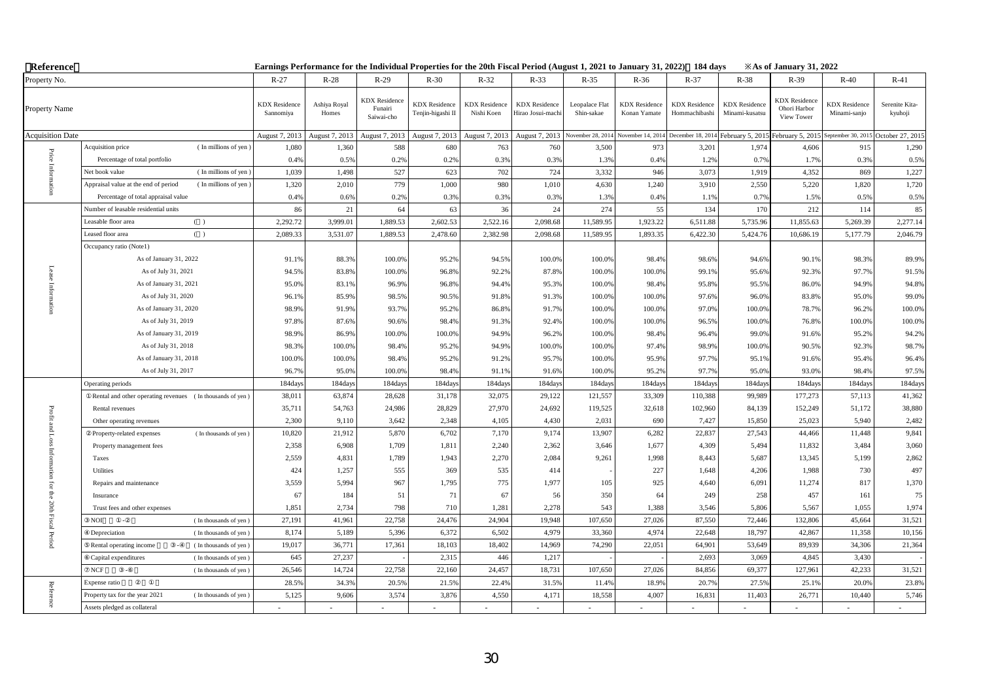| Reference               |                                                              | Earnings Performance for the Individual Properties for the 20th Fiscal Period (August 1, 2021 to January 31, 2022) 184 days |                       |                                               |                                           |                                    |                                           |                              |                                      |                                       |                                        | <b>Example 31, 2022</b> X                          |                                      |                           |
|-------------------------|--------------------------------------------------------------|-----------------------------------------------------------------------------------------------------------------------------|-----------------------|-----------------------------------------------|-------------------------------------------|------------------------------------|-------------------------------------------|------------------------------|--------------------------------------|---------------------------------------|----------------------------------------|----------------------------------------------------|--------------------------------------|---------------------------|
| Property No.            |                                                              | $R-27$                                                                                                                      | $R-28$                | $R-29$                                        | $R-30$                                    | $R-32$                             | $R-33$                                    | $R-35$                       | $R-36$                               | $R-37$                                | $R-38$                                 | $R-39$                                             | $R-40$                               | $R-41$                    |
| Property Name           |                                                              | <b>KDX</b> Residence<br>Sannomiya                                                                                           | Ashiya Royal<br>Homes | <b>KDX</b> Residence<br>Funairi<br>Saiwai-cho | <b>KDX</b> Residence<br>Tenjin-higashi II | <b>KDX</b> Residence<br>Nishi Koen | <b>KDX</b> Residence<br>Hirao Josui-machi | Leopalace Flat<br>Shin-sakae | <b>KDX</b> Residence<br>Konan Yamate | <b>KDX</b> Residence<br>Hommachibashi | <b>KDX</b> Residence<br>Minami-kusatsu | <b>KDX</b> Residence<br>Ohori Harbor<br>View Tower | <b>KDX</b> Residence<br>Minami-sanjo | Serenite Kita-<br>kyuhoji |
| <b>Acquisition Date</b> |                                                              | August 7, 2013                                                                                                              | August 7, 2013        | August 7, 2013                                | August 7, 2013                            | August 7, 2013                     | August 7, 2013                            | November 28, 2014            | November 14, 2014                    | December 18, 2014                     | February 5, 2015                       | February 5, 2015                                   | September 30, 2015                   | October 27, 201           |
|                         | Acquisition price<br>(In millions of yen)                    | 1,080                                                                                                                       | 1,360                 | 588                                           | 680                                       | 763                                | 760                                       | 3,500                        | 973                                  | 3,201                                 | 1,974                                  | 4,606                                              | 915                                  | 1,290                     |
| $\rm Price$             | Percentage of total portfolio                                | 0.4%                                                                                                                        | 0.5%                  | 0.2%                                          | 0.2%                                      | 0.3%                               | 0.3%                                      | 1.3%                         | 0.4%                                 | 1.2%                                  | 0.7%                                   | 1.7%                                               | 0.3%                                 | 0.5%                      |
|                         | (In millions of yen)<br>Net book value                       | 1,039                                                                                                                       | 1,498                 | 527                                           | 623                                       | 702                                | 724                                       | 3,332                        | 946                                  | 3,073                                 | 1,919                                  | 4,352                                              | 869                                  | 1,227                     |
|                         | Appraisal value at the end of period<br>(In millions of yen) | 1,320                                                                                                                       | 2,010                 | 779                                           | 1,000                                     | 980                                | 1,010                                     | 4,630                        | 1,240                                | 3,910                                 | 2,550                                  | 5,220                                              | 1,820                                | 1,720                     |
|                         | Percentage of total appraisal value                          | 0.4%                                                                                                                        | 0.6%                  | 0.2%                                          | 0.3%                                      | 0.3%                               | 0.3%                                      | 1.3%                         | 0.4%                                 | 1.1%                                  | 0.7%                                   | 1.5%                                               | 0.5%                                 | 0.5%                      |
|                         | Number of leasable residential units                         | 86                                                                                                                          | 21                    | 64                                            | 63                                        | 36                                 | 24                                        | 274                          | 55                                   | 134                                   | 170                                    | 212                                                | 114                                  | 85                        |
|                         | Leasable floor area<br>( )                                   | 2,292.72                                                                                                                    | 3,999.01              | 1,889.53                                      | 2,602.53                                  | 2,522.16                           | 2,098.68                                  | 11,589.95                    | 1,923.22                             | 6,511.88                              | 5,735.96                               | 11,855.63                                          | 5,269.39                             | 2,277.14                  |
|                         | Leased floor area<br>( )                                     | 2,089.33                                                                                                                    | 3,531.07              | 1,889.53                                      | 2,478.60                                  | 2,382.98                           | 2,098.68                                  | 11,589.95                    | 1,893.35                             | 6,422.30                              | 5,424.76                               | 10,686.19                                          | 5,177.79                             | 2,046.79                  |
|                         | Occupancy ratio (Note1)                                      |                                                                                                                             |                       |                                               |                                           |                                    |                                           |                              |                                      |                                       |                                        |                                                    |                                      |                           |
|                         | As of January 31, 2022                                       | 91.1%                                                                                                                       | 88.3%                 | 100.0%                                        | 95.2%                                     | 94.5%                              | 100.0%                                    | 100.0%                       | 98.4%                                | 98.6%                                 | 94.6%                                  | 90.1%                                              | 98.3%                                | 89.9%                     |
|                         | As of July 31, 2021                                          | 94.5%                                                                                                                       | 83.8%                 | 100.0%                                        | 96.8%                                     | 92.2%                              | 87.8%                                     | 100.0%                       | 100.0%                               | 99.1%                                 | 95.6%                                  | 92.3%                                              | 97.7%                                | 91.5%                     |
|                         | As of January 31, 2021                                       | 95.0%                                                                                                                       | 83.1%                 | 96.9%                                         | 96.8%                                     | 94.4%                              | 95.3%                                     | 100.0%                       | 98.4%                                | 95.8%                                 | 95.5%                                  | 86.0%                                              | 94.9%                                | 94.8%                     |
|                         | As of July 31, 2020                                          | 96.1%                                                                                                                       | 85.9%                 | 98.5%                                         | 90.5%                                     | 91.8%                              | 91.3%                                     | 100.0%                       | 100.0%                               | 97.6%                                 | 96.0%                                  | 83.8%                                              | 95.0%                                | 99.0%                     |
|                         | As of January 31, 2020                                       | 98.9%                                                                                                                       | 91.9%                 | 93.7%                                         | 95.2%                                     | 86.8%                              | 91.7%                                     | 100.0%                       | 100.0%                               | 97.0%                                 | 100.0%                                 | 78.7%                                              | 96.2%                                | 100.0%                    |
|                         | As of July 31, 2019                                          | 97.8%                                                                                                                       | 87.6%                 | 90.6%                                         | 98.4%                                     | 91.3%                              | 92.4%                                     | 100.0%                       | 100.0%                               | 96.5%                                 | 100.0%                                 | 76.8%                                              | 100.0%                               | 100.0%                    |
|                         | As of January 31, 2019                                       | 98.9%                                                                                                                       | 86.9%                 | 100.0%                                        | 100.0%                                    | 94.9%                              | 96.2%                                     | 100.0%                       | 98.4%                                | 96.4%                                 | 99.0%                                  | 91.6%                                              | 95.2%                                | 94.2%                     |
|                         | As of July 31, 2018                                          | 98.3%                                                                                                                       | 100.0%                | 98.4%                                         | 95.2%                                     | 94.9%                              | 100.0%                                    | 100.0%                       | 97.4%                                | 98.9%                                 | 100.0%                                 | 90.5%                                              | 92.3%                                | 98.7%                     |
|                         | As of January 31, 2018                                       | 100.0%                                                                                                                      | 100.0%                | 98.4%                                         | 95.2%                                     | 91.2%                              | 95.7%                                     | 100.0%                       | 95.9%                                | 97.7%                                 | 95.1%                                  | 91.6%                                              | 95.4%                                | 96.4%                     |
|                         | As of July 31, 2017                                          | 96.7%                                                                                                                       | 95.0%                 | 100.0%                                        | 98.4%                                     | 91.1%                              | 91.6%                                     | 100.0%                       | 95.2%                                | 97.7%                                 | 95.0%                                  | 93.0%                                              | 98.4%                                | 97.5%                     |
|                         | Operating periods                                            | 184day                                                                                                                      | 184days               | 184days                                       | 184day                                    | 184days                            | 184day                                    | 184days                      | 184day                               | 184day                                | 184days                                | 184days                                            | 184day                               | 184days                   |
|                         | Rental and other operating revenues (In thousands of yen)    | 38,011                                                                                                                      | 63,874                | 28,628                                        | 31,178                                    | 32,075                             | 29,122                                    | 121,557                      | 33,309                               | 110,388                               | 99,989                                 | 177,273                                            | 57,113                               | 41,362                    |
| Profit                  | Rental revenues                                              | 35,711                                                                                                                      | 54,763                | 24,986                                        | 28,829                                    | 27,970                             | 24,692                                    | 119,525                      | 32,618                               | 102,960                               | 84,139                                 | 152,249                                            | 51,172                               | 38,880                    |
|                         | Other operating revenues                                     | 2,300                                                                                                                       | 9,110                 | 3,642                                         | 2,348                                     | 4,105                              | 4,430                                     | 2,031                        | 690                                  | 7,427                                 | 15,850                                 | 25,023                                             | 5,940                                | 2,482                     |
| and Loss                | (In thousands of yen)<br>Property-related expenses           | 10,820                                                                                                                      | 21,912                | 5,870                                         | 6,702                                     | 7,170                              | 9,174                                     | 13,907                       | 6,282                                | 22,837                                | 27,543                                 | 44,466                                             | 11,448                               | 9,841                     |
|                         | Property management fees                                     | 2,358                                                                                                                       | 6,908                 | 1,709                                         | 1,811                                     | 2,240                              | 2,362                                     | 3,646                        | 1,677                                | 4,309                                 | 5,494                                  | 11,832                                             | 3,484                                | 3,060                     |
| Inform                  | Taxes                                                        | 2,559                                                                                                                       | 4,831                 | 1,789                                         | 1,943                                     | 2,270                              | 2,084                                     | 9,261                        | 1,998                                | 8,443                                 | 5,687                                  | 13,345                                             | 5,199                                | 2,862                     |
|                         | Utilities                                                    | 424                                                                                                                         | 1,257                 | 555                                           | 369                                       | 535                                | 414                                       |                              | 227                                  | 1,648                                 | 4,206                                  | 1,988                                              | 730                                  | 497                       |
| ior                     | Repairs and maintenance                                      | 3,559                                                                                                                       | 5,994                 | 967                                           | 1,795                                     | 775                                | 1,977                                     | 105                          | 925                                  | 4,640                                 | 6,091                                  | 11,274                                             | 817                                  | 1,370                     |
| ithe                    | Insurance                                                    | 67                                                                                                                          | 184                   | 51                                            | 71                                        | 67                                 | 56                                        | 350                          | 64                                   | 249                                   | 258                                    | 457                                                | 161                                  | 75                        |
|                         | Trust fees and other expenses                                | 1,851                                                                                                                       | 2,734                 | 798                                           | 710                                       | 1,281                              | 2,278                                     | 543                          | 1,388                                | 3,546                                 | 5,806                                  | 5,567                                              | 1,055                                | 1,974                     |
| 20th Fiscal Period      | NOI<br>(In thousands of yen)                                 | 27,191                                                                                                                      | 41,961                | 22,758                                        | 24,476                                    | 24,904                             | 19,948                                    | 107,650                      | 27,026                               | 87,550                                | 72,446                                 | 132,806                                            | 45,664                               | 31,521                    |
|                         | Depreciation<br>(In thousands of yen)                        | 8,174                                                                                                                       | 5,189                 | 5,396                                         | 6,372                                     | 6,502                              | 4,979                                     | 33,360                       | 4,974                                | 22,648                                | 18,797                                 | 42,867                                             | 11,358                               | 10,156                    |
|                         | Rental operating income<br>(In thousands of yen)             | 19,017                                                                                                                      | 36,771                | 17,361                                        | 18,103                                    | 18,402                             | 14,969                                    | 74,290                       | 22,051                               | 64,901                                | 53,649                                 | 89,939                                             | 34,306                               | 21,364                    |
|                         | Capital expenditures<br>(In thousands of yen)                | 645                                                                                                                         | 27,237                |                                               | 2,315                                     | 446                                | 1,217                                     |                              |                                      | 2,693                                 | 3,069                                  | 4,845                                              | 3,430                                |                           |
|                         | NCF<br>(In thousands of yen)                                 | 26,546                                                                                                                      | 14,724                | 22,758                                        | 22,160                                    | 24,457                             | 18,731                                    | 107,650                      | 27,026                               | 84,856                                | 69,377                                 | 127,961                                            | 42,233                               | 31,521                    |
|                         | Expense ratio                                                | 28.5%                                                                                                                       | 34.3%                 | 20.5%                                         | 21.5%                                     | 22.4%                              | 31.5%                                     | 11.4%                        | 18.99                                | 20.7%                                 | 27.5%                                  | 25.19                                              | 20.0%                                | 23.8%                     |
| Reference               | Property tax for the year 2021<br>(In thousands of yen)      | 5,125                                                                                                                       | 9,606                 | 3,574                                         | 3,876                                     | 4,550                              | 4,171                                     | 18,558                       | 4,007                                | 16,831                                | 11,403                                 | 26,771                                             | 10,440                               | 5,746                     |
|                         | Assets pledged as collateral                                 |                                                                                                                             |                       |                                               |                                           |                                    |                                           |                              |                                      |                                       |                                        |                                                    |                                      |                           |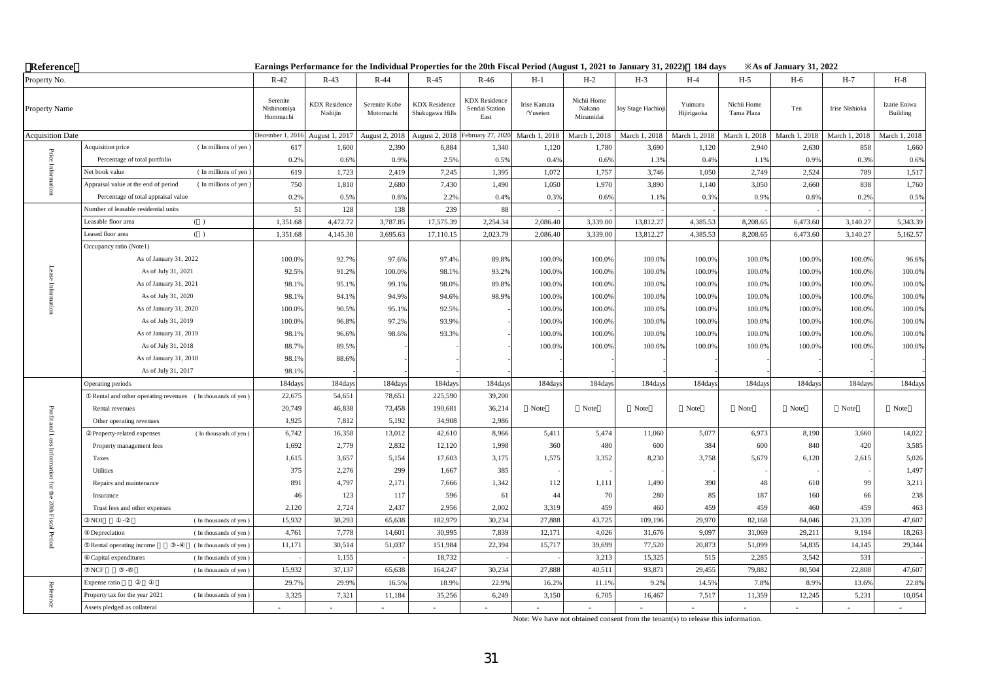| Reference                   |                                                              |                                     |                                  |                            |                                         | Earnings Performance for the Individual Properties for the 20th Fiscal Period (August 1, 2021 to January 31, 2022) 184 days |                          |                                    |                   |                        |                           | <b>Example 31, 2022</b> X As of January 31, 2022 |                |                          |
|-----------------------------|--------------------------------------------------------------|-------------------------------------|----------------------------------|----------------------------|-----------------------------------------|-----------------------------------------------------------------------------------------------------------------------------|--------------------------|------------------------------------|-------------------|------------------------|---------------------------|--------------------------------------------------|----------------|--------------------------|
| Property No.                |                                                              | $R-42$                              | $R-43$                           | $R-44$                     | $R-45$                                  | $R-46$                                                                                                                      | $H-1$                    | $H-2$                              | $H-3$             | $H-4$                  | $H-5$                     | $H-6$                                            | $H-7$          | $H-8$                    |
| Property Name               |                                                              | Serenite<br>Nishinomiya<br>Hommachi | <b>KDX</b> Residence<br>Nishijin | Serenite Kobe<br>Motomachi | <b>KDX</b> Residence<br>Shukugawa Hills | <b>KDX</b> Residence<br>Sendai Station<br>East                                                                              | Irise Kamata<br>/Yuseien | Nichii Home<br>Nakano<br>Minamidai | Joy Stage Hachioj | Yuimaru<br>Hijirigaoka | Nichii Home<br>Tama Plaza | Ten                                              | Irise Nishioka | Izarie Eniwa<br>Building |
| <b>Acquisition Date</b>     |                                                              | December 1, 2016                    | August 1, 2017                   | August 2, 2018             | August 2, 2018                          | February 27, 2020                                                                                                           | March 1, 2018            | March 1, 2018                      | March 1, 2018     | March 1, 2018          | March 1, 2018             | March 1, 2018                                    | March 1, 2018  | March 1, 2018            |
|                             | (In millions of yen)<br>Acquisition price                    | 617                                 | 1,600                            | 2,390                      | 6,884                                   | 1,340                                                                                                                       | 1,120                    | 1,780                              | 3,690             | 1,120                  | 2,940                     | 2,630                                            | 858            | 1,660                    |
|                             | Percentage of total portfolio                                | 0.2%                                | 0.6%                             | 0.9%                       | 2.5%                                    | 0.5%                                                                                                                        | 0.4%                     | 0.6%                               | 1.3%              | 0.4%                   | 1.19                      | 0.9%                                             | 0.3%           | 0.6%                     |
| Price Inform                | (In millions of yen<br>Net book value                        | 619                                 | 1,723                            | 2,419                      | 7,245                                   | 1,395                                                                                                                       | 1,072                    | 1,757                              | 3,746             | 1,050                  | 2,749                     | 2,524                                            | 789            | 1,517                    |
|                             | Appraisal value at the end of period<br>(In millions of yen) | 750                                 | 1,810                            | 2,680                      | 7,430                                   | 1,490                                                                                                                       | 1,050                    | 1,970                              | 3,890             | 1,140                  | 3,050                     | 2,660                                            | 838            | 1,760                    |
|                             | Percentage of total appraisal value                          | 0.2%                                | 0.5%                             | 0.8%                       | 2.2%                                    | 0.4%                                                                                                                        | 0.3%                     | 0.6%                               | 1.1%              | 0.3%                   | 0.9%                      | 0.8%                                             | 0.2%           | 0.5%                     |
|                             | Number of leasable residential units                         | 51                                  | 128                              | 138                        | 239                                     | 88                                                                                                                          |                          |                                    |                   |                        |                           |                                                  |                |                          |
|                             | Leasable floor area<br>( )                                   | 1,351.68                            | 4,472.72                         | 3,787.85                   | 17,575.39                               | 2,254.34                                                                                                                    | 2,086.40                 | 3,339.00                           | 13,812.27         | 4,385.53               | 8,208.65                  | 6,473.60                                         | 3,140.27       | 5,343.39                 |
|                             | Leased floor area<br>( )                                     | 1,351.68                            | 4,145.30                         | 3,695.63                   | 17,110.15                               | 2,023.79                                                                                                                    | 2,086.40                 | 3,339.00                           | 13,812.27         | 4,385.53               | 8,208.65                  | 6,473.60                                         | 3,140.27       | 5,162.57                 |
|                             | Occupancy ratio (Note1)                                      |                                     |                                  |                            |                                         |                                                                                                                             |                          |                                    |                   |                        |                           |                                                  |                |                          |
|                             | As of January 31, 2022                                       | 100.0%                              | 92.7%                            | 97.6%                      | 97.4%                                   | 89.8%                                                                                                                       | 100.0%                   | 100.0%                             | 100.09            | 100.0%                 | 100.0%                    | 100.0%                                           | 100.0%         | 96.6%                    |
| Lease                       | As of July 31, 2021                                          | 92.5%                               | 91.2%                            | 100.0%                     | 98.1%                                   | 93.2%                                                                                                                       | 100.0%                   | 100.0%                             | 100.0%            | 100.0%                 | 100.0%                    | 100.0%                                           | 100.0%         | 100.0%                   |
| Inform                      | As of January 31, 2021                                       | 98.1%                               | 95.1%                            | 99.1%                      | 98.0%                                   | 89.8%                                                                                                                       | 100.0%                   | 100.0%                             | 100.09            | 100.0%                 | 100.0%                    | 100.0%                                           | 100.0%         | 100.0%                   |
|                             | As of July 31, 2020                                          | 98.1%                               | 94.1%                            | 94.9%                      | 94.6%                                   | 98.9%                                                                                                                       | 100.0%                   | 100.0%                             | 100.0%            | 100.0%                 | 100.0%                    | 100.0%                                           | 100.0%         | 100.0%                   |
| $\mathbf{a}$                | As of January 31, 2020                                       | 100.0%                              | 90.5%                            | 95.1%                      | 92.5%                                   |                                                                                                                             | 100.0%                   | 100.0%                             | 100.0%            | 100.0%                 | 100.0%                    | 100.0%                                           | 100.0%         | $100.0\%$                |
|                             | As of July 31, 2019                                          | 100.0%                              | 96.8%                            | 97.2%                      | 93.9%                                   |                                                                                                                             | 100.0%                   | 100.0%                             | 100.09            | 100.0%                 | 100.0%                    | 100.0%                                           | 100.0%         | 100.0%                   |
|                             | As of January 31, 2019                                       | 98.1%                               | 96.6%                            | 98.6%                      | 93.3%                                   |                                                                                                                             | 100.0%                   | 100.0%                             | 100.0%            | 100.0%                 | 100.0%                    | 100.0%                                           | 100.0%         | 100.0%                   |
|                             | As of July 31, 2018                                          | 88.7%                               | 89.5%                            |                            |                                         |                                                                                                                             | 100.0%                   | 100.0%                             | 100.0%            | 100.0%                 | 100.0%                    | 100.0%                                           | 100.0%         | 100.0%                   |
|                             | As of January 31, 2018                                       | 98.1%                               | 88.6%                            |                            |                                         |                                                                                                                             |                          |                                    |                   |                        |                           |                                                  |                |                          |
|                             | As of July 31, 2017                                          | 98.1%                               |                                  |                            |                                         |                                                                                                                             |                          |                                    |                   |                        |                           |                                                  |                |                          |
|                             | Operating periods                                            | 184day                              | 184days                          | 184days                    | 184day                                  | 184days                                                                                                                     | 184days                  | 184day                             | 184day            | 184day                 | 184day                    | 184days                                          | 184days        | 184day                   |
|                             | Rental and other operating revenues (In thousands of yen)    | 22,675                              | 54,651                           | 78,651                     | 225,590                                 | 39,200                                                                                                                      |                          |                                    |                   |                        |                           |                                                  |                |                          |
|                             | Rental revenues                                              | 20,749                              | 46,838                           | 73,458                     | 190,681                                 | 36,214                                                                                                                      | Note                     | Note                               | Note              | Note                   | Note                      | Note                                             | Note           | Note                     |
| Profit and Loss Information | Other operating revenues                                     | 1,925                               | 7,812                            | 5,192                      | 34,908                                  | 2,986                                                                                                                       |                          |                                    |                   |                        |                           |                                                  |                |                          |
|                             | (In thousands of yen)<br>Property-related expenses           | 6,742                               | 16,358                           | 13,012                     | 42,610                                  | 8,966                                                                                                                       | 5,411                    | 5,474                              | 11,060            | 5,077                  | 6,973                     | 8,190                                            | 3,660          | 14,022                   |
|                             | Property management fees                                     | 1,692                               | 2,779                            | 2,832                      | 12,120                                  | 1,998                                                                                                                       | 360                      | 480                                | 600               | 384                    | 600                       | 840                                              | 420            | 3,585                    |
|                             | Taxes                                                        | 1,615                               | 3,657                            | 5,154                      | 17,603                                  | 3,175                                                                                                                       | 1,575                    | 3,352                              | 8,230             | 3,758                  | 5,679                     | 6,120                                            | 2,615          | 5,026                    |
|                             | Utilities                                                    | 375                                 | 2,276                            | 299                        | 1,667                                   | 385                                                                                                                         |                          |                                    |                   |                        |                           |                                                  |                | 1,497                    |
|                             | Repairs and maintenance                                      | 891                                 | 4,797                            | 2,171                      | 7,666                                   | 1,342                                                                                                                       | 112                      | 1,111                              | 1,490             | 390                    | 48                        | 610                                              | 99             | 3,211                    |
|                             | Insurance                                                    | 46                                  | 123                              | 117                        | 596                                     | 61                                                                                                                          | 44                       | 70                                 | 280               | 85                     | 187                       | 160                                              | 66             | 238                      |
|                             | Trust fees and other expenses                                | 2,120                               | 2,724                            | 2,437                      | 2,956                                   | 2,002                                                                                                                       | 3,319                    | 459                                | 460               | 459                    | 459                       | 460                                              | 459            | 463                      |
| for the 20th Fiscal         | <b>NOI</b><br>(In thousands of yen)                          | 15,932                              | 38,293                           | 65,638                     | 182,979                                 | 30,234                                                                                                                      | 27,888                   | 43,725                             | 109,196           | 29,970                 | 82,168                    | 84,046                                           | 23,339         | 47,607                   |
| Period                      | Depreciation<br>(In thousands of yen)                        | 4,761                               | 7,778                            | 14,601                     | 30,995                                  | 7,839                                                                                                                       | 12,171                   | 4,026                              | 31,676            | 9,097                  | 31,069                    | 29,211                                           | 9,194          | 18,263                   |
|                             | (In thousands of yen)<br>Rental operating income             | 11,171                              | 30,514                           | 51,037                     | 151,984                                 | 22,394                                                                                                                      | 15,717                   | 39,699                             | 77,520            | 20,873                 | 51,099                    | 54,835                                           | 14,145         | 29,344                   |
|                             | Capital expenditures<br>(In thousands of yen)                |                                     | 1,155                            |                            | 18,732                                  |                                                                                                                             |                          | 3,213                              | 15,325            | 515                    | 2,285                     | 3,542                                            | 531            |                          |
|                             | NCF<br>(In thousands of yen)                                 | 15,932                              | 37,137                           | 65,638                     | 164,247                                 | 30,234                                                                                                                      | 27,888                   | 40,511                             | 93,871            | 29,455                 | 79,882                    | 80,504                                           | 22,808         | 47,607                   |
|                             | Expense ratio                                                | 29.7%                               | 29.9%                            | 16.5%                      | 18.9%                                   | 22.9%                                                                                                                       | 16.2%                    | 11.1%                              | 9.2%              | 14.5%                  | 7.8%                      | 8.9%                                             | 13.6%          | 22.8%                    |
| Reference                   | Property tax for the year 2021<br>(In thousands of yen)      | 3,325                               | 7,321                            | 11,184                     | 35,256                                  | 6,249                                                                                                                       | 3,150                    | 6,705                              | 16,467            | 7,517                  | 11,359                    | 12,245                                           | 5,231          | 10,054                   |
|                             | Assets pledged as collateral                                 |                                     |                                  |                            |                                         |                                                                                                                             |                          |                                    |                   |                        |                           |                                                  |                |                          |

Note: We have not obtained consent from the tenant(s) to release this information.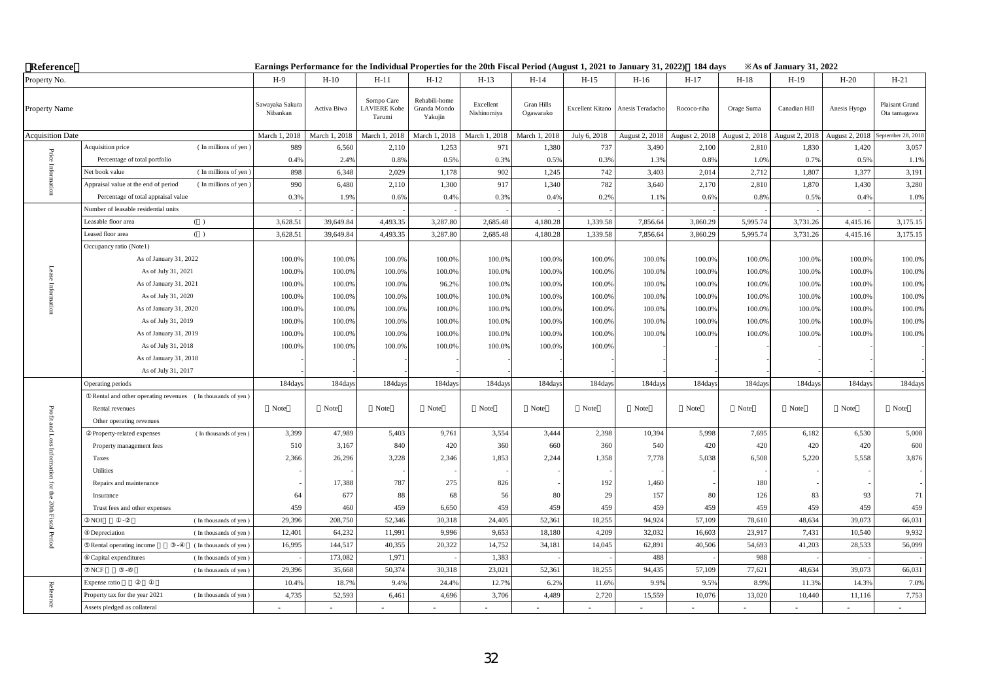| Reference               |                                                              |                             | Earnings Performance for the Individual Properties for the 20th Fiscal Period (August 1, 2021 to January 31, 2022) 184 days |                                             |                                          |                          |                                |                  |                  |                |                | $\angle$ As of January 31, 2022 |                |                                |
|-------------------------|--------------------------------------------------------------|-----------------------------|-----------------------------------------------------------------------------------------------------------------------------|---------------------------------------------|------------------------------------------|--------------------------|--------------------------------|------------------|------------------|----------------|----------------|---------------------------------|----------------|--------------------------------|
| Property No.            |                                                              | H-9                         | $H-10$                                                                                                                      | $H-11$                                      | $H-12$                                   | $H-13$                   | $H-14$                         | $H-15$           | $H-16$           | $H-17$         | $H-18$         | $H-19$                          | $H-20$         | $H-21$                         |
| Property Name           |                                                              | Sawayaka Sakura<br>Nibankan | Activa Biwa                                                                                                                 | Sompo Care<br><b>LAVIERE</b> Kobe<br>Tarumi | Rehabili-home<br>Granda Mondo<br>Yakujin | Excellent<br>Nishinomiya | <b>Gran Hills</b><br>Ogawarako | Excellent Kitano | Anesis Teradacho | Rococo-riha    | Orage Suma     | Canadian Hill                   | Anesis Hyogo   | Plaisant Grand<br>Ota tamagawa |
| <b>Acquisition Date</b> |                                                              | March 1, 2018               | March 1, 2018                                                                                                               | March 1, 2018                               | March 1, 2018                            | March 1, 2018            | March 1, 2018                  | July 6, 2018     | August 2, 2018   | August 2, 2018 | August 2, 2018 | August 2, 2018                  | August 2, 2018 | September 28, 2018             |
|                         | (In millions of yen)<br>Acquisition price                    | 989                         | 6,560                                                                                                                       | 2,110                                       | 1,253                                    | 971                      | 1,380                          | 737              | 3,490            | 2,100          | 2,810          | 1,830                           | 1,420          | 3,057                          |
| $\rm Price$             | Percentage of total portfolio                                | 0.49                        | 2.4%                                                                                                                        | 0.8%                                        | 0.5%                                     | 0.3%                     | 0.5%                           | 0.3%             | 1.3%             | 0.8%           | 1.0%           | 0.7%                            | 0.5%           | 1.1%                           |
|                         | (In millions of yen)<br>Net book value                       | 898                         | 6,348                                                                                                                       | 2,029                                       | 1,178                                    | 902                      | 1,245                          | 742              | 3,403            | 2,014          | 2,712          | 1,807                           | 1,377          | 3,191                          |
|                         | Appraisal value at the end of period<br>(In millions of yen) | 990                         | 6,480                                                                                                                       | 2,110                                       | 1,300                                    | 917                      | 1,340                          | 782              | 3,640            | 2,170          | 2,810          | 1,870                           | 1,430          | 3,280                          |
|                         | Percentage of total appraisal value                          | 0.39                        | 1.9%                                                                                                                        | 0.6%                                        | 0.4%                                     | 0.3%                     | 0.4%                           | 0.2%             | 1.1%             | 0.6%           | 0.8%           | 0.5%                            | 0.4%           | 1.0%                           |
|                         | Number of leasable residential units                         |                             |                                                                                                                             |                                             |                                          |                          |                                |                  |                  |                |                |                                 |                |                                |
|                         | Leasable floor area<br>( )                                   | 3,628.51                    | 39,649.84                                                                                                                   | 4,493.35                                    | 3,287.80                                 | 2,685.48                 | 4,180.28                       | 1,339.58         | 7,856.64         | 3,860.29       | 5,995.74       | 3,731.26                        | 4,415.16       | 3,175.15                       |
|                         | ( )<br>Leased floor area                                     | 3,628.51                    | 39,649.84                                                                                                                   | 4,493.35                                    | 3,287.80                                 | 2,685.48                 | 4,180.28                       | 1,339.58         | 7,856.64         | 3,860.29       | 5,995.74       | 3,731.26                        | 4,415.16       | 3,175.15                       |
|                         | Occupancy ratio (Note1)                                      |                             |                                                                                                                             |                                             |                                          |                          |                                |                  |                  |                |                |                                 |                |                                |
|                         | As of January 31, 2022                                       | 100.0%                      | 100.0%                                                                                                                      | 100.0%                                      | 100.0%                                   | 100.0%                   | 100.0%                         | 100.0%           | 100.0%           | 100.0%         | 100.0%         | 100.0%                          | 100.0%         | 100.0%                         |
|                         | As of July 31, 2021                                          | 100.0%                      | 100.0%                                                                                                                      | 100.0%                                      | 100.0%                                   | 100.0%                   | 100.0%                         | 100.0%           | 100.0%           | 100.0%         | 100.0%         | 100.0%                          | 100.0%         | 100.0%                         |
|                         | As of January 31, 2021                                       | 100.0%                      | 100.0%                                                                                                                      | 100.0%                                      | 96.2%                                    | 100.0%                   | 100.0%                         | 100.0%           | 100.0%           | 100.0%         | 100.0%         | 100.0%                          | 100.0%         | 100.0%                         |
|                         | As of July 31, 2020                                          | 100.0%                      | 100.0%                                                                                                                      | 100.0%                                      | 100.0%                                   | 100.0%                   | 100.0%                         | 100.0%           | 100.0%           | 100.0%         | 100.0%         | 100.0%                          | 100.0%         | 100.0%                         |
|                         | As of January 31, 2020                                       | 100.0%                      | 100.0%                                                                                                                      | 100.0%                                      | 100.0%                                   | 100.0%                   | 100.0%                         | 100.0%           | 100.0%           | 100.0%         | 100.0%         | 100.0%                          | 100.0%         | 100.0%                         |
|                         | As of July 31, 2019                                          | 100.0%                      | 100.0%                                                                                                                      | 100.0%                                      | 100.0%                                   | 100.0%                   | 100.0%                         | 100.0%           | 100.0%           | 100.0%         | 100.0%         | 100.0%                          | 100.0%         | 100.0%                         |
|                         | As of January 31, 2019                                       | 100.0%                      | 100.0%                                                                                                                      | 100.0%                                      | 100.0%                                   | 100.0%                   | 100.0%                         | 100.0%           | 100.0%           | 100.0%         | 100.0%         | 100.0%                          | 100.0%         | 100.0%                         |
|                         | As of July 31, 2018                                          | 100.0%                      | 100.0%                                                                                                                      | 100.0%                                      | 100.0%                                   | 100.0%                   | 100.0%                         | 100.0%           |                  |                |                |                                 |                |                                |
|                         | As of January 31, 2018                                       |                             |                                                                                                                             |                                             |                                          |                          |                                |                  |                  |                |                |                                 |                |                                |
|                         | As of July 31, 2017                                          |                             |                                                                                                                             |                                             |                                          |                          |                                |                  |                  |                |                |                                 |                |                                |
|                         | Operating periods                                            | 184day                      | 184day                                                                                                                      | 184days                                     | 184days                                  | 184days                  | 184days                        | 184days          | 184day           | 184days        | 184day         | 184day                          | 184days        | 184days                        |
|                         | Rental and other operating revenues (In thousands of yen)    |                             |                                                                                                                             |                                             |                                          |                          |                                |                  |                  |                |                |                                 |                |                                |
| Profit                  | Rental revenues                                              | Note                        | Note                                                                                                                        | Note                                        | Note                                     | Note                     | Note                           | Note             | Note             | Note           | Note           | Note                            | Note           | Note                           |
| and                     | Other operating revenues                                     |                             |                                                                                                                             |                                             |                                          |                          |                                |                  |                  |                |                |                                 |                |                                |
|                         | (In thousands of yen)<br>Property-related expenses           | 3,399                       | 47,989                                                                                                                      | 5,403                                       | 9,761                                    | 3,554                    | 3,444                          | 2,398            | 10,394           | 5,998          | 7,695          | 6,182                           | 6,530          | 5,008                          |
|                         | Property management fees                                     | 510                         | 3,167                                                                                                                       | 840                                         | 420                                      | 360                      | 660                            | 360              | 540              | 420            | 420            | 420                             | 420            | 600                            |
| Inform                  | Taxes                                                        | 2,366                       | 26,296                                                                                                                      | 3,228                                       | 2,346                                    | 1,853                    | 2,244                          | 1,358            | 7,778            | 5,038          | 6,508          | 5,220                           | 5,558          | 3,876                          |
| ig.                     | Utilities                                                    |                             |                                                                                                                             |                                             |                                          |                          |                                |                  |                  |                |                |                                 |                |                                |
| Ę                       | Repairs and maintenance                                      |                             | 17,388                                                                                                                      | 787                                         | 275                                      | 826                      |                                | 192              | 1,460            |                | 180            |                                 |                |                                |
| $\frac{1}{2}$           | Insurance                                                    | 64                          | 677                                                                                                                         | 88                                          | 68                                       | 56                       | 80                             | 29               | 157              | 80             | 126            | 83                              | 93             | 71                             |
|                         | Trust fees and other expenses                                | 459                         | 460                                                                                                                         | 459                                         | 6,650                                    | 459                      | 459                            | 459              | 459              | 459            | 459            | 459                             | 459            | 459                            |
| 20th Fiscal             | <b>NOI</b><br>(In thousands of yen)<br>$\sim$                | 29,396                      | 208,750                                                                                                                     | 52,346                                      | 30,318                                   | 24,405                   | 52,361                         | 18,255           | 94,924           | 57,109         | 78,610         | 48,634                          | 39,073         | 66,031                         |
| Pe                      | (In thousands of yen<br>Depreciation                         | 12,401                      | 64,232                                                                                                                      | 11,991                                      | 9,996                                    | 9,653                    | 18,180                         | 4,209            | 32,032           | 16,603         | 23,917         | 7,431                           | 10,540         | 9,932                          |
|                         | (In thousands of yen)<br>Rental operating income             | 16,995                      | 144,517                                                                                                                     | 40,355                                      | 20,322                                   | 14,752                   | 34,181                         | 14,045           | 62,891           | 40,506         | 54,693         | 41,203                          | 28,533         | 56,099                         |
|                         | Capital expenditures<br>(In thousands of yen)                |                             | 173,082                                                                                                                     | 1,971                                       |                                          | 1,383                    |                                |                  | 488              |                | 988            |                                 |                |                                |
|                         | $_{\rm NCF}$<br>(In thousands of yen)                        | 29,396                      | 35,668                                                                                                                      | 50,374                                      | 30,318                                   | 23,021                   | 52,361                         | 18,255           | 94,435           | 57,109         | 77,621         | 48,634                          | 39,073         | 66,031                         |
|                         | Expense ratio                                                | 10.49                       | 18.7%                                                                                                                       | 9.4%                                        | 24.4%                                    | 12.7%                    | 6.2%                           | 11.6%            | 9.9%             | 9.5%           | 8.9%           | 11.3%                           | 14.3%          | 7.0%                           |
| Reference               | Property tax for the year 2021<br>(In thousands of yen)      | 4,735                       | 52,593                                                                                                                      | 6,461                                       | 4,696                                    | 3,706                    | 4,489                          | 2,720            | 15,559           | 10,076         | 13,020         | 10,440                          | 11,116         | 7,753                          |
|                         | Assets pledged as collateral                                 |                             |                                                                                                                             |                                             |                                          |                          |                                |                  |                  |                |                |                                 |                |                                |

32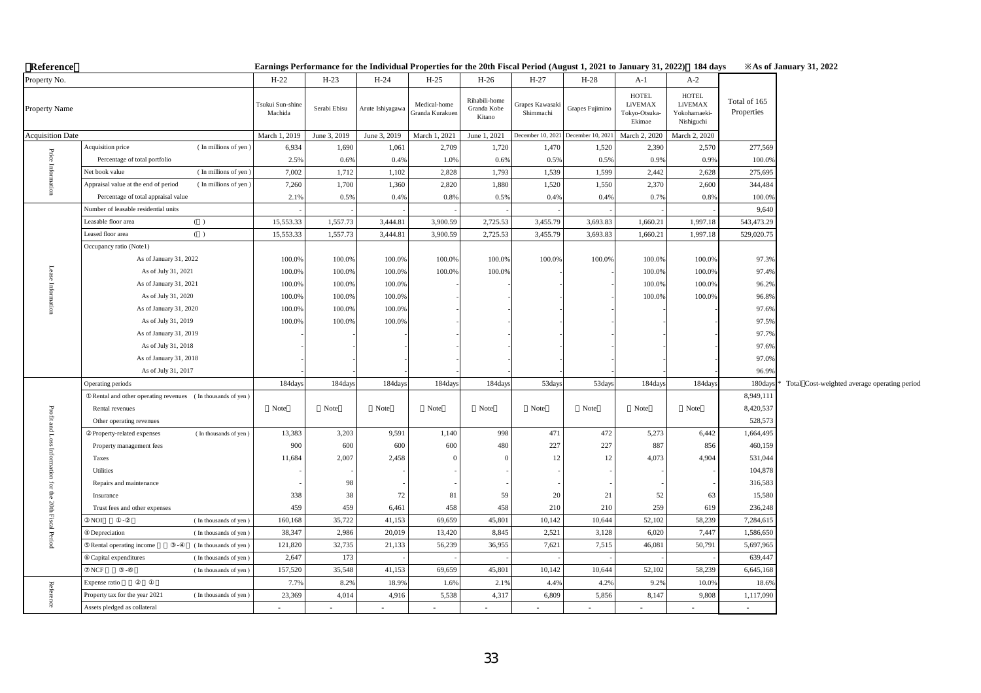| Reference                   |                                                              |                                              |                              | Earnings Performance for the Individual Properties for the 20th Fiscal Period (August 1, 2021 to January 31, 2022) 184 days |                                                  |                                                        |                              |                                                       |                                                                     |                                                                        |                            | <b>Example 31, 2022</b> X As of January 31, 2022 |
|-----------------------------|--------------------------------------------------------------|----------------------------------------------|------------------------------|-----------------------------------------------------------------------------------------------------------------------------|--------------------------------------------------|--------------------------------------------------------|------------------------------|-------------------------------------------------------|---------------------------------------------------------------------|------------------------------------------------------------------------|----------------------------|--------------------------------------------------|
| Property No.                |                                                              | $H-22$                                       | $H-23$                       | $H-24$                                                                                                                      | $H-25$                                           | $H-26$                                                 | $H-27$                       | $H-28$                                                | $A-1$                                                               | $A-2$                                                                  |                            |                                                  |
| Property Name               |                                                              | Tsukui Sun-shine<br>Machida<br>March 1, 2019 | Serabi Ebisu<br>June 3, 2019 | Arute Ishiyagawa<br>June 3, 2019                                                                                            | Medical-home<br>Granda Kurakuen<br>March 1, 2021 | Rihabili-home<br>Granda Kobe<br>Kitano<br>June 1, 2021 | 3rapes Kawasaki<br>Shimmachi | Grapes Fujimino<br>December 10, 2021 December 10, 202 | <b>HOTEL</b><br>LiVEMAX<br>Tokyo-Otsuka-<br>Ekimae<br>March 2, 2020 | <b>HOTEL</b><br>LiVEMAX<br>Yokohamaeki-<br>Nishiguchi<br>March 2, 2020 | Total of 165<br>Properties |                                                  |
| <b>Acquisition Date</b>     | Acquisition price<br>(In millions of yen)                    | 6,934                                        | 1,690                        | 1,061                                                                                                                       | 2,709                                            | 1,720                                                  | 1,470                        | 1,520                                                 | 2,390                                                               | 2,570                                                                  | 277,569                    |                                                  |
|                             | Percentage of total portfolio                                |                                              |                              |                                                                                                                             |                                                  |                                                        |                              |                                                       |                                                                     |                                                                        |                            |                                                  |
|                             | (In millions of yen<br>Net book value                        | 2.5%<br>7,002                                | 0.6%<br>1,712                | 0.4%<br>1,102                                                                                                               | 1.0%<br>2,828                                    | 0.6%<br>1,793                                          | 0.5%<br>1,539                | 0.5%<br>1,599                                         | 0.9%<br>2,442                                                       | 0.9%<br>2,628                                                          | 100.0%<br>275,695          |                                                  |
| Price Information           | Appraisal value at the end of period<br>(In millions of yen) | 7,260                                        | 1,700                        | 1,360                                                                                                                       | 2,820                                            | 1,880                                                  | 1,520                        | 1,550                                                 | 2,370                                                               | 2,600                                                                  | 344,484                    |                                                  |
|                             | Percentage of total appraisal value                          | 2.19                                         | 0.5%                         | 0.4%                                                                                                                        | 0.8%                                             | 0.5%                                                   | 0.4%                         | 0.4%                                                  | 0.7%                                                                | 0.8%                                                                   | 100.0%                     |                                                  |
|                             | Number of leasable residential units                         |                                              |                              |                                                                                                                             |                                                  |                                                        |                              |                                                       |                                                                     |                                                                        | 9,640                      |                                                  |
|                             | Leasable floor area<br>( )                                   | 15,553.33                                    | 1,557.73                     | 3,444.81                                                                                                                    | 3,900.59                                         | 2,725.53                                               | 3,455.79                     | 3,693.83                                              | 1,660.21                                                            | 1,997.18                                                               | 543,473.29                 |                                                  |
|                             | Leased floor area<br>( )                                     | 15,553.33                                    | 1,557.73                     | 3,444.81                                                                                                                    | 3,900.59                                         | 2,725.53                                               | 3,455.79                     | 3,693.83                                              | 1,660.21                                                            | 1,997.18                                                               | 529,020.75                 |                                                  |
|                             | Occupancy ratio (Note1)                                      |                                              |                              |                                                                                                                             |                                                  |                                                        |                              |                                                       |                                                                     |                                                                        |                            |                                                  |
|                             | As of January 31, 2022                                       | 100.0%                                       | 100.0%                       | 100.0%                                                                                                                      | 100.0%                                           | 100.0%                                                 | 100.0%                       | 100.0%                                                | 100.0%                                                              | 100.0%                                                                 | 97.3%                      |                                                  |
|                             | As of July 31, 2021                                          | 100.0%                                       | 100.0%                       | 100.0%                                                                                                                      | 100.0%                                           | 100.0%                                                 |                              |                                                       | 100.0%                                                              | 100.0%                                                                 | 97.4%                      |                                                  |
|                             | As of January 31, 2021                                       | 100.0%                                       | 100.0%                       | 100.0%                                                                                                                      |                                                  |                                                        |                              |                                                       | 100.0%                                                              | 100.0%                                                                 | 96.2%                      |                                                  |
|                             | As of July 31, 2020                                          | 100.0%                                       | 100.0%                       | 100.0%                                                                                                                      |                                                  |                                                        |                              |                                                       | 100.0%                                                              | 100.0%                                                                 | 96.8%                      |                                                  |
| Lease Information           | As of January 31, 2020                                       | 100.0%                                       | 100.0%                       | 100.0%                                                                                                                      |                                                  |                                                        |                              |                                                       |                                                                     |                                                                        | 97.6%                      |                                                  |
|                             | As of July 31, 2019                                          | 100.0%                                       | 100.0%                       | 100.0%                                                                                                                      |                                                  |                                                        |                              |                                                       |                                                                     |                                                                        | 97.5%                      |                                                  |
|                             | As of January 31, 2019                                       |                                              |                              |                                                                                                                             |                                                  |                                                        |                              |                                                       |                                                                     |                                                                        | 97.7%                      |                                                  |
|                             | As of July 31, 2018                                          |                                              |                              |                                                                                                                             |                                                  |                                                        |                              |                                                       |                                                                     |                                                                        | 97.6%                      |                                                  |
|                             | As of January 31, 2018                                       |                                              |                              |                                                                                                                             |                                                  |                                                        |                              |                                                       |                                                                     |                                                                        | 97.0%                      |                                                  |
|                             | As of July 31, 2017                                          |                                              |                              |                                                                                                                             |                                                  |                                                        |                              |                                                       |                                                                     |                                                                        | 96.9%                      |                                                  |
|                             | Operating periods                                            | 184days                                      | 184days                      | 184day                                                                                                                      | 184days                                          | 184day                                                 | 53days                       | 53days                                                | 184days                                                             | 184days                                                                | 180day                     | Total Cost-weighted average operating period     |
|                             | Rental and other operating revenues (In thousands of yen)    |                                              |                              |                                                                                                                             |                                                  |                                                        |                              |                                                       |                                                                     |                                                                        | 8,949,111                  |                                                  |
|                             | Rental revenues                                              | Note                                         | Note                         | Note                                                                                                                        | Note                                             | Note                                                   | Note                         | Note                                                  | Note                                                                | Note                                                                   | 8,420,537                  |                                                  |
|                             | Other operating revenues                                     |                                              |                              |                                                                                                                             |                                                  |                                                        |                              |                                                       |                                                                     |                                                                        | 528,573                    |                                                  |
| Profit and Loss Information | (In thousands of yen)<br>Property-related expenses           | 13,383                                       | 3,203                        | 9,591                                                                                                                       | 1,140                                            | 998                                                    | 471                          | 472                                                   | 5,273                                                               | 6,442                                                                  | 1,664,495                  |                                                  |
|                             | Property management fees                                     | 900                                          | 600                          | 600                                                                                                                         | 600                                              | 480                                                    | 227                          | 227                                                   | 887                                                                 | 856                                                                    | 460,159                    |                                                  |
|                             | Taxes                                                        | 11,684                                       | 2,007                        | 2,458                                                                                                                       | $\Omega$                                         |                                                        | 12                           | 12                                                    | 4,073                                                               | 4,904                                                                  | 531,044                    |                                                  |
|                             | Utilities                                                    |                                              |                              |                                                                                                                             |                                                  |                                                        |                              |                                                       |                                                                     |                                                                        | 104,878                    |                                                  |
|                             | Repairs and maintenance                                      |                                              | 98                           |                                                                                                                             |                                                  |                                                        |                              |                                                       |                                                                     |                                                                        | 316,583                    |                                                  |
|                             | Insurance                                                    | 338                                          | 38                           | 72                                                                                                                          | 81                                               | 59                                                     | 20                           | 21                                                    | 52                                                                  | 63                                                                     | 15,580                     |                                                  |
|                             | Trust fees and other expenses                                | 459                                          | 459                          | 6,461                                                                                                                       | 458                                              | 458                                                    | 210                          | 210                                                   | 259                                                                 | 619                                                                    | 236,248                    |                                                  |
| for the 20th Fiscal Period  | NOI<br>(In thousands of yen)                                 | 160,168                                      | 35,722                       | 41,153                                                                                                                      | 69,659                                           | 45,801                                                 | 10,142                       | 10,644                                                | 52,102                                                              | 58,239                                                                 | 7,284,615                  |                                                  |
|                             | Depreciation<br>(In thousands of yen)                        | 38,347                                       | 2,986                        | 20,019                                                                                                                      | 13,420                                           | 8,845                                                  | 2,521                        | 3,128                                                 | 6,020                                                               | 7,447                                                                  | 1,586,650                  |                                                  |
|                             | (In thousands of yen)<br>Rental operating income             | 121,820                                      | 32,735                       | 21,133                                                                                                                      | 56,239                                           | 36,955                                                 | 7,621                        | 7,515                                                 | 46,081                                                              | 50,791                                                                 | 5,697,965                  |                                                  |
|                             | Capital expenditures<br>(In thousands of yen)                | 2,647                                        | 173                          |                                                                                                                             |                                                  |                                                        |                              |                                                       |                                                                     |                                                                        | 639,447                    |                                                  |
|                             | NCF<br>(In thousands of yen)                                 | 157,520                                      | 35,548                       | 41,153                                                                                                                      | 69,659                                           | 45,801                                                 | 10,142                       | 10,644                                                | 52,102                                                              | 58,239                                                                 | 6,645,168                  |                                                  |
|                             | Expense ratio                                                | 7.7%                                         | 8.2%                         | 18.9%                                                                                                                       | 1.6%                                             | 2.1%                                                   | 4.4%                         | 4.2%                                                  | 9.2%                                                                | 10.09                                                                  | 18.69                      |                                                  |
| Reference                   | Property tax for the year 2021<br>(In thousands of yen)      | 23,369                                       | 4,014                        | 4,916                                                                                                                       | 5,538                                            | 4,317                                                  | 6,809                        | 5,856                                                 | 8,147                                                               | 9,808                                                                  | 1,117,090                  |                                                  |
|                             | Assets pledged as collateral                                 | ÷                                            | $\sim$                       | $\sim$                                                                                                                      | $\sim$                                           | $\sim$                                                 | $\sim$                       | $\sim$                                                | $\sim$                                                              | $\sim$                                                                 | $\sim$                     |                                                  |

#### **Earnings Performance for the Individual Properties for the 20th Fiscal Period (August 1, 2021 to January 31, 2022)**:**184 days ※As of January 31, 2022**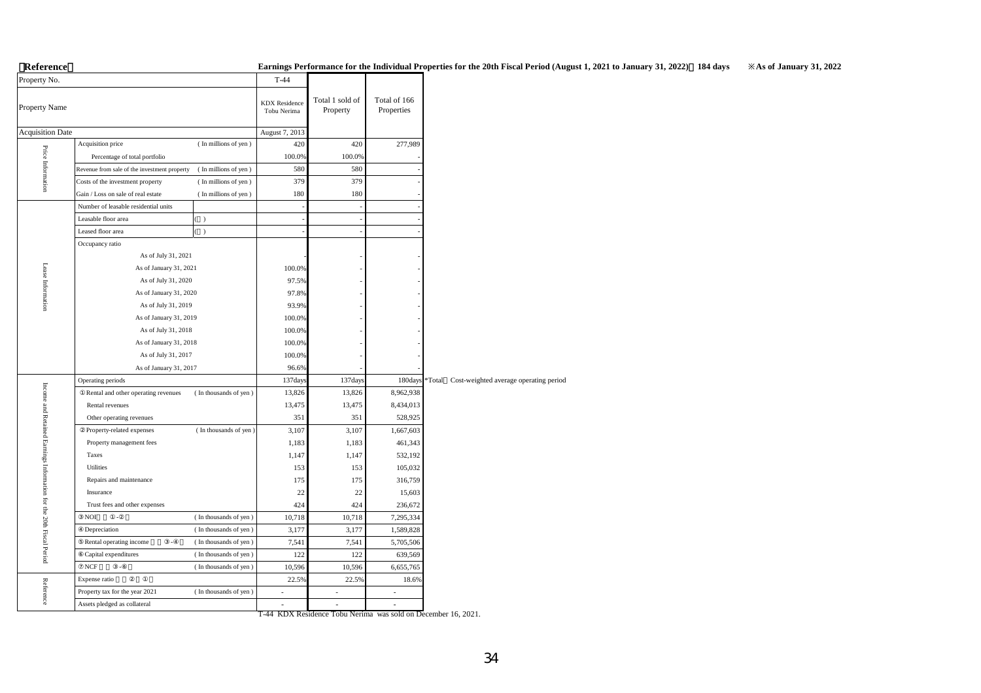# 【**Reference**】 **Earnings Performance for the Individual Properties for the 20th Fiscal Period (August 1, 2021 to January 31, 2022)**:**184 days ※As of January 31, 2022**

| Property No.                                                        |                                              |                       | $T-44$                              |                             |                            |        |                                        |
|---------------------------------------------------------------------|----------------------------------------------|-----------------------|-------------------------------------|-----------------------------|----------------------------|--------|----------------------------------------|
| Property Name                                                       |                                              |                       | <b>KDX</b> Residence<br>Tobu Nerima | Total 1 sold of<br>Property | Total of 166<br>Properties |        |                                        |
| <b>Acquisition Date</b>                                             |                                              |                       | August 7, 2013                      |                             |                            |        |                                        |
|                                                                     | Acquisition price                            | (In millions of yen)  | 420                                 | 420                         | 277,989                    |        |                                        |
|                                                                     | Percentage of total portfolio                |                       | 100.0%                              | 100.0%                      |                            |        |                                        |
|                                                                     | Revenue from sale of the investment property | (In millions of yen)  | 580                                 | 580                         |                            |        |                                        |
| Price Information                                                   | Costs of the investment property             | (In millions of yen)  | 379                                 | 379                         |                            |        |                                        |
|                                                                     | Gain / Loss on sale of real estate           | (In millions of yen)  | 180                                 | 180                         |                            |        |                                        |
|                                                                     | Number of leasable residential units         |                       |                                     |                             |                            |        |                                        |
|                                                                     | Leasable floor area                          | $\lambda$             |                                     |                             |                            |        |                                        |
|                                                                     | Leased floor area                            | $\lambda$             |                                     |                             |                            |        |                                        |
|                                                                     | Occupancy ratio                              |                       |                                     |                             |                            |        |                                        |
|                                                                     | As of July 31, 2021                          |                       |                                     |                             |                            |        |                                        |
|                                                                     | As of January 31, 2021                       |                       | 100.0%                              |                             |                            |        |                                        |
| Lease Information                                                   | As of July 31, 2020                          |                       | 97.5%                               |                             |                            |        |                                        |
|                                                                     | As of January 31, 2020                       |                       | 97.8%                               |                             |                            |        |                                        |
|                                                                     | As of July 31, 2019                          |                       | 93.9%                               |                             |                            |        |                                        |
|                                                                     | As of January 31, 2019                       |                       | 100.0%                              |                             |                            |        |                                        |
|                                                                     | As of July 31, 2018                          |                       | 100.0%                              |                             |                            |        |                                        |
|                                                                     | As of January 31, 2018                       |                       | 100.0%                              |                             |                            |        |                                        |
|                                                                     | As of July 31, 2017                          |                       | 100.0%                              |                             |                            |        |                                        |
|                                                                     | As of January 31, 2017                       |                       | 96.6%                               |                             |                            |        |                                        |
|                                                                     | Operating periods                            |                       | 137days                             | 137days                     | 180days                    | *Total | Cost-weighted average operating period |
|                                                                     | Rental and other operating revenues          | (In thousands of yen) | 13,826                              | 13,826                      | 8,962,938                  |        |                                        |
|                                                                     | Rental revenues                              |                       | 13,475                              | 13,475                      | 8,434,013                  |        |                                        |
| Income and Retained Earnings Information for the 20th Fiscal Period | Other operating revenues                     |                       | 351                                 | 351                         | 528,925                    |        |                                        |
|                                                                     | Property-related expenses                    | (In thousands of yen) | 3,107                               | 3,107                       | 1,667,603                  |        |                                        |
|                                                                     | Property management fees                     |                       | 1,183                               | 1,183                       | 461,343                    |        |                                        |
|                                                                     | Taxes                                        |                       | 1,147                               | 1,147                       | 532,192                    |        |                                        |
|                                                                     | Utilities                                    |                       | 153                                 | 153                         | 105,032                    |        |                                        |
|                                                                     | Repairs and maintenance                      |                       | 175                                 | 175                         | 316,759                    |        |                                        |
|                                                                     | Insurance                                    |                       | 22                                  | 22                          | 15,603                     |        |                                        |
|                                                                     | Trust fees and other expenses                |                       | 424                                 | 424                         | 236,672                    |        |                                        |
|                                                                     | <b>NOI</b>                                   | (In thousands of yen) | 10,718                              | 10,718                      | 7,295,334                  |        |                                        |
|                                                                     | Depreciation                                 | (In thousands of yen) | 3,177                               | 3,177                       | 1,589,828                  |        |                                        |
|                                                                     | Rental operating income<br>÷,                | (In thousands of yen) | 7,541                               | 7,541                       | 5,705,506                  |        |                                        |
|                                                                     | Capital expenditures                         | (In thousands of yen) | 122                                 | 122                         | 639,569                    |        |                                        |
|                                                                     | $_{\rm NCF}$                                 | (In thousands of yen) | 10,596                              | 10,596                      | 6,655,765                  |        |                                        |
|                                                                     | Expense ratio                                |                       | 22.5%                               | 22.5%                       | 18.6%                      |        |                                        |
| Reference                                                           | Property tax for the year 2021               | (In thousands of yen) | ÷                                   | ÷                           | ÷                          |        |                                        |
|                                                                     | Assets pledged as collateral                 |                       | ä,                                  | L.                          | L.                         |        |                                        |

T-44 KDX Residence Tobu Nerima was sold on December 16, 2021.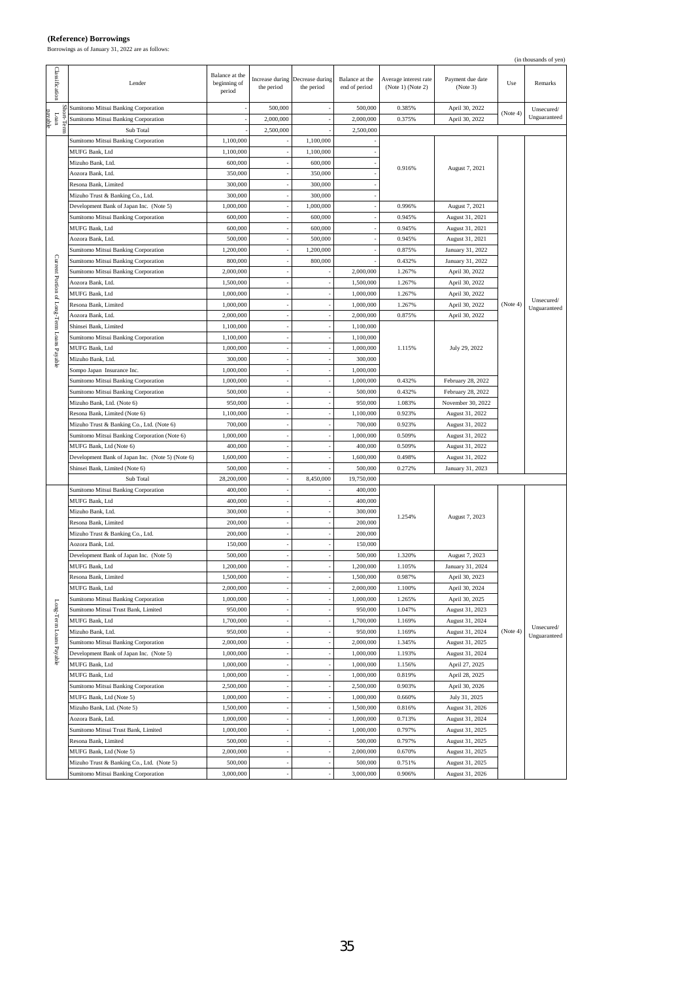H

**(Reference) Borrowings** Borrowings as of January 31, 2022 are as follows:

|                                            |                                                           |                                          |                               |                               |                                 |                                            |                              |          | (in thousands of yen)      |
|--------------------------------------------|-----------------------------------------------------------|------------------------------------------|-------------------------------|-------------------------------|---------------------------------|--------------------------------------------|------------------------------|----------|----------------------------|
| Classification                             | Lender                                                    | Balance at the<br>beginning of<br>period | Increase during<br>the period | Decrease during<br>the period | Balance at the<br>end of period | Average interest rate<br>(Note 1) (Note 2) | Payment due date<br>(Note 3) | Use      | Remarks                    |
|                                            | Sumitomo Mitsui Banking Corporation                       |                                          | 500,000                       |                               | 500,000                         | 0.385%                                     | April 30, 2022               |          | Unsecured/                 |
| Short-Term<br>pavable<br>$\Gamma$ oan      | Sumitomo Mitsui Banking Corporation                       |                                          | 2,000,000                     |                               | 2,000,000                       | 0.375%                                     | April 30, 2022               | (Note 4) | Unguaranteed               |
|                                            | Sub Total                                                 |                                          | 2,500,000                     |                               | 2,500,000                       |                                            |                              |          |                            |
|                                            | Sumitomo Mitsui Banking Corporation                       | 1,100,000                                |                               | 1,100,000                     |                                 |                                            |                              |          |                            |
|                                            | MUFG Bank, Ltd                                            | 1,100,000                                |                               | 1,100,000                     |                                 |                                            |                              |          |                            |
|                                            | Mizuho Bank, Ltd.                                         | 600,000                                  |                               | 600,000                       |                                 |                                            |                              |          |                            |
|                                            | Aozora Bank, Ltd.                                         | 350,000                                  |                               | 350,000                       |                                 | 0.916%                                     | August 7, 2021               |          |                            |
|                                            | Resona Bank, Limited                                      | 300,000                                  |                               | 300,000                       |                                 |                                            |                              |          |                            |
|                                            | Mizuho Trust & Banking Co., Ltd.                          | 300,000                                  |                               | 300,000                       |                                 |                                            |                              |          |                            |
|                                            | Development Bank of Japan Inc. (Note 5)                   | 1,000,000                                |                               | 1,000,000                     |                                 | 0.996%                                     | August 7, 2021               |          |                            |
|                                            | Sumitomo Mitsui Banking Corporation                       | 600,000                                  |                               | 600,000                       |                                 | 0.945%                                     | August 31, 2021              |          |                            |
|                                            | MUFG Bank, Ltd                                            | 600,000                                  |                               | 600,000                       |                                 | 0.945%                                     | August 31, 2021              |          |                            |
|                                            | Aozora Bank, Ltd.                                         | 500,000                                  |                               | 500,000                       |                                 | 0.945%                                     | August 31, 2021              |          |                            |
|                                            | Sumitomo Mitsui Banking Corporation                       | 1,200,000                                |                               | 1,200,000                     |                                 | 0.875%                                     | January 31, 2022             |          |                            |
|                                            | Sumitomo Mitsui Banking Corporation                       | 800,000                                  |                               | 800,000                       |                                 | 0.432%                                     | January 31, 2022             |          |                            |
|                                            | Sumitomo Mitsui Banking Corporation                       | 2,000,000                                |                               |                               | 2,000,000                       | 1.267%                                     | April 30, 2022               |          |                            |
|                                            | Aozora Bank, Ltd.                                         | 1,500,000                                |                               |                               | 1,500,000                       | 1.267%                                     | April 30, 2022               |          |                            |
|                                            | MUFG Bank, Ltd                                            | 1,000,000                                |                               |                               | 1,000,000                       | 1.267%                                     | April 30, 2022               |          |                            |
|                                            | Resona Bank, Limited                                      | 1,000,000                                |                               |                               | 1,000,000                       | 1.267%                                     | April 30, 2022               | (Note 4) | Unsecured/<br>Unguaranteed |
| Current Portion of Long-Term Loans Payable | Aozora Bank, Ltd.                                         | 2,000,000                                | ٠                             |                               | 2,000,000                       | 0.875%                                     | April 30, 2022               |          |                            |
|                                            | Shinsei Bank, Limited                                     | 1,100,000                                |                               |                               | 1,100,000                       |                                            |                              |          |                            |
|                                            | Sumitomo Mitsui Banking Corporation                       | 1,100,000                                |                               |                               | 1,100,000                       |                                            |                              |          |                            |
|                                            | MUFG Bank, Ltd                                            | 1,000,000                                |                               |                               | 1,000,000                       | 1.115%                                     | July 29, 2022                |          |                            |
|                                            | Mizuho Bank, Ltd.                                         | 300,000                                  |                               |                               | 300,000                         |                                            |                              |          |                            |
|                                            | Sompo Japan Insurance Inc.                                | 1,000,000                                |                               |                               | 1,000,000                       |                                            |                              |          |                            |
|                                            | Sumitomo Mitsui Banking Corporation                       | 1,000,000                                |                               |                               | 1,000,000                       | 0.432%                                     | February 28, 2022            |          |                            |
|                                            | Sumitomo Mitsui Banking Corporation                       | 500,000                                  |                               |                               | 500,000                         | 0.432%                                     | February 28, 2022            |          |                            |
|                                            | Vlizuho Bank, Ltd. (Note 6)                               | 950,000                                  |                               |                               | 950,000                         | 1.083%                                     | November 30, 2022            |          |                            |
|                                            | Resona Bank, Limited (Note 6)                             | 1,100,000                                | ٠                             | ٠                             | 1,100,000                       | 0.923%                                     | August 31, 2022              |          |                            |
|                                            | Mizuho Trust & Banking Co., Ltd. (Note 6)                 | 700,000                                  |                               |                               | 700,000                         | 0.923%                                     | August 31, 2022              |          |                            |
|                                            | Sumitomo Mitsui Banking Corporation (Note 6)              | 1,000,000                                |                               |                               | 1,000,000                       | 0.509%                                     | August 31, 2022              |          |                            |
|                                            | MUFG Bank, Ltd (Note 6)                                   | 400,000                                  |                               |                               | 400,000                         | 0.509%                                     | August 31, 2022              |          |                            |
|                                            | Development Bank of Japan Inc. (Note 5) (Note 6)          | 1,600,000                                |                               |                               | 1,600,000                       | 0.498%                                     | August 31, 2022              |          |                            |
|                                            | Shinsei Bank, Limited (Note 6)                            | 500,000                                  |                               |                               | 500,000                         | 0.272%                                     | January 31, 2023             |          |                            |
|                                            | Sub Total                                                 | 28,200,000                               |                               | 8,450,000                     | 19,750,000                      |                                            |                              |          |                            |
|                                            | Sumitomo Mitsui Banking Corporation                       | 400,000                                  |                               |                               | 400,000                         |                                            |                              |          |                            |
|                                            | <b>MUFG Bank</b> , Ltd                                    | 400,000                                  |                               |                               | 400,000                         |                                            |                              |          |                            |
|                                            | Mizuho Bank, Ltd.                                         | 300,000                                  |                               |                               | 300,000                         | 1.254%                                     | August 7, 2023               |          |                            |
|                                            | Resona Bank, Limited<br>Mizuho Trust & Banking Co., Ltd.  | 200,000<br>200,000                       |                               |                               | 200,000<br>200,000              |                                            |                              |          |                            |
|                                            | Aozora Bank, Ltd.                                         | 150,000                                  | ٠                             |                               | 150,000                         |                                            |                              |          |                            |
|                                            |                                                           | 500,000                                  |                               |                               | 500,000                         | 1.320%                                     | August 7, 2023               |          |                            |
|                                            | Development Bank of Japan Inc. (Note 5)<br>MUFG Bank, Ltd | 1,200,000                                |                               |                               | 1,200,000                       | 1.105%                                     | January 31, 2024             |          |                            |
|                                            | Resona Bank, Limited                                      | 1,500,000                                |                               |                               | 1,500,000                       | 0.987%                                     | April 30, 2023               |          |                            |
|                                            | MUFG Bank, Ltd                                            | 2,000,000                                |                               |                               | 2,000,000                       | 1.100%                                     | April 30, 2024               |          |                            |
|                                            | Sumitomo Mitsui Banking Corporation                       | 1,000,000                                |                               |                               | 1,000,000                       | 1.265%                                     | April 30, 2025               |          |                            |
|                                            | Sumitomo Mitsui Trust Bank, Limited                       | 950,000                                  | i.                            |                               | 950,000                         | 1.047%                                     | August 31, 2023              |          |                            |
|                                            | MUFG Bank, Ltd                                            | 1,700,000                                |                               |                               | 1,700,000                       | 1.169%                                     | August 31, 2024              |          |                            |
| Long-Term Loans Payable                    | Mizuho Bank, Ltd.                                         | 950,000                                  |                               |                               | 950,000                         | 1.169%                                     | August 31, 2024              | (Note 4) | Unsecured/                 |
|                                            | Sumitomo Mitsui Banking Corporation                       | 2,000,000                                |                               |                               | 2,000,000                       | 1.345%                                     | August 31, 2025              |          | Unguaranteed               |
|                                            | Development Bank of Japan Inc. (Note 5)                   | 1,000,000                                |                               |                               | 1,000,000                       | 1.193%                                     | August 31, 2024              |          |                            |
|                                            | MUFG Bank, Ltd                                            | 1,000,000                                |                               |                               | 1,000,000                       | 1.156%                                     | April 27, 2025               |          |                            |
|                                            | MUFG Bank, Ltd                                            | 1,000,000                                |                               |                               | 1,000,000                       | 0.819%                                     | April 28, 2025               |          |                            |
|                                            | Sumitomo Mitsui Banking Corporation                       | 2,500,000                                | ٠                             |                               | 2,500,000                       | 0.903%                                     | April 30, 2026               |          |                            |
|                                            | MUFG Bank, Ltd (Note 5)                                   | 1,000,000                                |                               |                               | 1,000,000                       | 0.660%                                     | July 31, 2025                |          |                            |
|                                            | Mizuho Bank, Ltd. (Note 5)                                | 1,500,000                                |                               |                               | 1,500,000                       | 0.816%                                     | August 31, 2026              |          |                            |
|                                            | Aozora Bank, Ltd.                                         | 1,000,000                                |                               |                               | 1,000,000                       | 0.713%                                     | August 31, 2024              |          |                            |
|                                            | Sumitomo Mitsui Trust Bank, Limited                       | 1,000,000                                |                               |                               | 1,000,000                       | 0.797%                                     | August 31, 2025              |          |                            |
|                                            | Resona Bank, Limited                                      | 500,000                                  |                               |                               | 500,000                         | 0.797%                                     | August 31, 2025              |          |                            |
|                                            | MUFG Bank, Ltd (Note 5)                                   | 2,000,000                                |                               |                               | 2,000,000                       | 0.670%                                     | August 31, 2025              |          |                            |
|                                            | Mizuho Trust & Banking Co., Ltd. (Note 5)                 | 500,000                                  |                               |                               | 500,000                         | 0.751%                                     | August 31, 2025              |          |                            |
|                                            | Sumitomo Mitsui Banking Corporation                       | 3,000,000                                |                               |                               | 3,000,000                       | 0.906%                                     | August 31, 2026              |          |                            |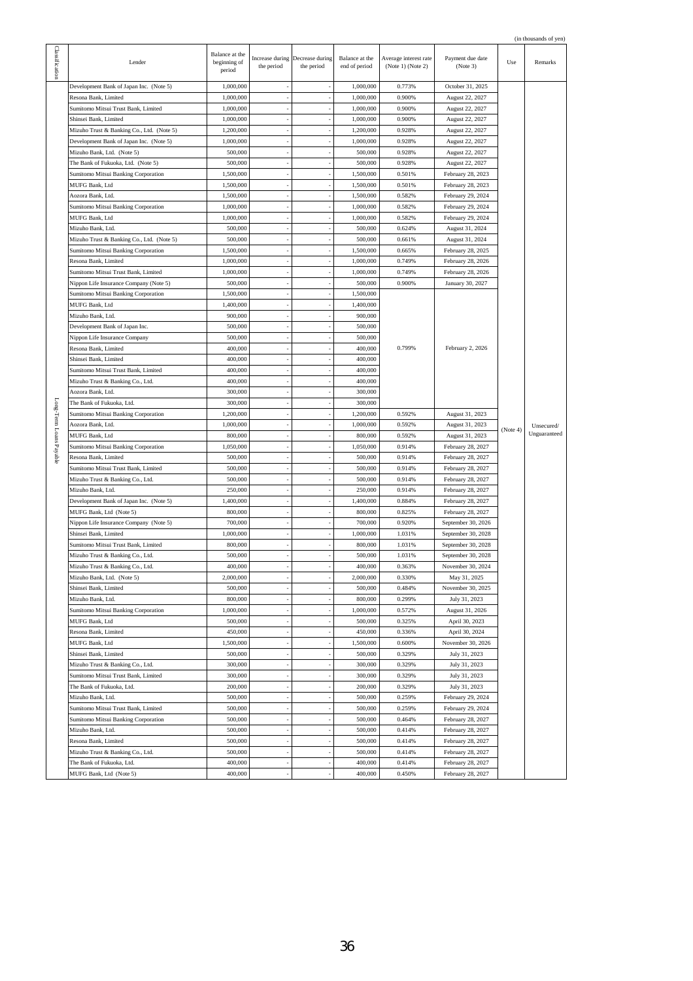|  | (in thousands of yen) |  |  |
|--|-----------------------|--|--|
|  |                       |  |  |

|                         |                                           |                                          |            |                                               |                                 |                                            |                              |          | (in thousands of yen) |
|-------------------------|-------------------------------------------|------------------------------------------|------------|-----------------------------------------------|---------------------------------|--------------------------------------------|------------------------------|----------|-----------------------|
| Classification          | Lender                                    | Balance at the<br>beginning of<br>period | the period | Increase during Decrease during<br>the period | Balance at the<br>end of period | Average interest rate<br>(Note 1) (Note 2) | Payment due date<br>(Note 3) | Use      | Remarks               |
|                         | Development Bank of Japan Inc. (Note 5)   | 1,000,000                                |            |                                               | 1,000,000                       | 0.773%                                     | October 31, 2025             |          |                       |
|                         | Resona Bank, Limited                      | 1,000,000                                |            |                                               | 1,000,000                       | 0.900%                                     | August 22, 2027              |          |                       |
|                         | Sumitomo Mitsui Trust Bank, Limited       | 1,000,000                                |            |                                               | 1,000,000                       | 0.900%                                     | August 22, 2027              |          |                       |
|                         | Shinsei Bank, Limited                     | 1,000,000                                |            |                                               | 1,000,000                       | 0.900%                                     | August 22, 2027              |          |                       |
|                         | Mizuho Trust & Banking Co., Ltd. (Note 5) | 1,200,000                                |            |                                               | 1,200,000                       | 0.928%                                     | August 22, 2027              |          |                       |
|                         |                                           |                                          |            |                                               |                                 |                                            |                              |          |                       |
|                         | Development Bank of Japan Inc. (Note 5)   | 1,000,000                                |            |                                               | 1,000,000                       | 0.928%                                     | August 22, 2027              |          |                       |
|                         | Mizuho Bank, Ltd. (Note 5)                | 500,000                                  |            |                                               | 500,000                         | 0.928%                                     | August 22, 2027              |          |                       |
|                         | The Bank of Fukuoka, Ltd. (Note 5)        | 500,000                                  |            |                                               | 500,000                         | 0.928%                                     | August 22, 2027              |          |                       |
|                         | Sumitomo Mitsui Banking Corporation       | 1,500,000                                |            |                                               | 1,500,000                       | 0.501%                                     | February 28, 2023            |          |                       |
|                         | MUFG Bank, Ltd                            | 1,500,000                                |            |                                               | 1,500,000                       | 0.501%                                     | February 28, 2023            |          |                       |
|                         | Aozora Bank, Ltd.                         | 1,500,000                                |            |                                               | 1,500,000                       | 0.582%                                     | February 29, 2024            |          |                       |
|                         | Sumitomo Mitsui Banking Corporation       | 1,000,000                                |            |                                               | 1,000,000                       | 0.582%                                     | February 29, 2024            |          |                       |
|                         | MUFG Bank, Ltd                            | 1,000,000                                |            |                                               | 1,000,000                       | 0.582%                                     | February 29, 2024            |          |                       |
|                         | Mizuho Bank, Ltd.                         | 500,000                                  |            |                                               | 500,000                         | 0.624%                                     | August 31, 2024              |          |                       |
|                         | Mizuho Trust & Banking Co., Ltd. (Note 5) | 500,000                                  |            |                                               | 500,000                         | 0.661%                                     | August 31, 2024              |          |                       |
|                         | Sumitomo Mitsui Banking Corporation       | 1,500,000                                |            |                                               | 1,500,000                       | 0.665%                                     | February 28, 2025            |          |                       |
|                         | Resona Bank, Limited                      | 1,000,000                                |            |                                               | 1,000,000                       | 0.749%                                     | February 28, 2026            |          |                       |
|                         | Sumitomo Mitsui Trust Bank, Limited       | 1,000,000                                |            |                                               | 1,000,000                       | 0.749%                                     | February 28, 2026            |          |                       |
|                         | Nippon Life Insurance Company (Note 5)    | 500,000                                  |            |                                               | 500,000                         | 0.900%                                     | January 30, 2027             |          |                       |
|                         | Sumitomo Mitsui Banking Corporation       | 1,500,000                                |            |                                               | 1,500,000                       |                                            |                              |          |                       |
|                         |                                           |                                          |            |                                               |                                 |                                            |                              |          |                       |
|                         | MUFG Bank, Ltd                            | 1,400,000                                |            |                                               | 1,400,000                       |                                            |                              |          |                       |
|                         | Mizuho Bank, Ltd.                         | 900,000                                  |            |                                               | 900,000                         |                                            |                              |          |                       |
|                         | Development Bank of Japan Inc.            | 500,000                                  |            |                                               | 500,000                         |                                            |                              |          |                       |
|                         | Nippon Life Insurance Company             | 500,000                                  |            |                                               | 500,000                         |                                            |                              |          |                       |
|                         | Resona Bank, Limited                      | 400,000                                  |            |                                               | 400,000                         | 0.799%                                     | February 2, 2026             |          |                       |
|                         | Shinsei Bank, Limited                     | 400,000                                  |            |                                               | 400,000                         |                                            |                              |          |                       |
|                         | Sumitomo Mitsui Trust Bank, Limited       | 400,000                                  |            |                                               | 400,000                         |                                            |                              |          |                       |
|                         | Mizuho Trust & Banking Co., Ltd.          | 400,000                                  |            |                                               | 400,000                         |                                            |                              |          |                       |
|                         | Aozora Bank, Ltd.                         | 300,000                                  |            |                                               | 300,000                         |                                            |                              |          |                       |
|                         | The Bank of Fukuoka, Ltd.                 | 300,000                                  |            |                                               | 300,000                         |                                            |                              |          |                       |
| Long-Term Loans Payable | Sumitomo Mitsui Banking Corporation       | 1,200,000                                |            |                                               | 1,200,000                       | 0.592%                                     | August 31, 2023              |          |                       |
|                         | Aozora Bank, Ltd.                         | 1,000,000                                |            |                                               | 1,000,000                       | 0.592%                                     | August 31, 2023              |          | Unsecured/            |
|                         | MUFG Bank, Ltd                            | 800,000                                  |            |                                               | 800,000                         | 0.592%                                     | August 31, 2023              | (Note 4) | Unguaranteed          |
|                         | Sumitomo Mitsui Banking Corporation       | 1,050,000                                |            |                                               | 1,050,000                       | 0.914%                                     | February 28, 2027            |          |                       |
|                         | Resona Bank, Limited                      | 500,000                                  |            |                                               | 500,000                         | 0.914%                                     | February 28, 2027            |          |                       |
|                         |                                           |                                          |            |                                               |                                 |                                            |                              |          |                       |
|                         | Sumitomo Mitsui Trust Bank, Limited       | 500,000                                  |            |                                               | 500,000                         | 0.914%                                     | February 28, 2027            |          |                       |
|                         | Mizuho Trust & Banking Co., Ltd.          | 500,000                                  |            |                                               | 500,000                         | 0.914%                                     | February 28, 2027            |          |                       |
|                         | Mizuho Bank, Ltd.                         | 250,000                                  |            |                                               | 250,000                         | 0.914%                                     | February 28, 2027            |          |                       |
|                         | Development Bank of Japan Inc. (Note 5)   | 1,400,000                                |            |                                               | 1,400,000                       | 0.884%                                     | February 28, 2027            |          |                       |
|                         | MUFG Bank, Ltd (Note 5)                   | 800,000                                  |            |                                               | 800,000                         | 0.825%                                     | February 28, 2027            |          |                       |
|                         | Nippon Life Insurance Company (Note 5)    | 700,000                                  |            |                                               | 700,000                         | 0.920%                                     | September 30, 2026           |          |                       |
|                         | Shinsei Bank, Limited                     | 1,000,000                                |            |                                               | 1,000,000                       | 1.031%                                     | September 30, 2028           |          |                       |
|                         | Sumitomo Mitsui Trust Bank, Limited       | 800,000                                  |            |                                               | 800,000                         | 1.031%                                     | September 30, 2028           |          |                       |
|                         | Mizuho Trust & Banking Co., Ltd.          | 500,000                                  |            |                                               | 500,000                         | 1.031%                                     | September 30, 2028           |          |                       |
|                         | Mizuho Trust & Banking Co., Ltd.          | 400,000                                  |            |                                               | 400,000                         | 0.363%                                     | November 30, 2024            |          |                       |
|                         | Mizuho Bank, Ltd. (Note 5)                | 2,000,000                                |            |                                               | 2,000,000                       | 0.330%                                     | May 31, 2025                 |          |                       |
|                         | Shinsei Bank, Limited                     | 500,000                                  |            |                                               | 500,000                         | 0.484%                                     | November 30, 2025            |          |                       |
|                         | Mizuho Bank, Ltd.                         | 800,000                                  |            |                                               | 800,000                         | 0.299%                                     | July 31, 2023                |          |                       |
|                         | Sumitomo Mitsui Banking Corporation       | 1,000,000                                |            |                                               | 1,000,000                       | 0.572%                                     | August 31, 2026              |          |                       |
|                         | MUFG Bank, Ltd                            | 500,000                                  |            |                                               | 500,000                         | 0.325%                                     | April 30, 2023               |          |                       |
|                         | Resona Bank, Limited                      | 450,000                                  |            |                                               | 450,000                         | 0.336%                                     | April 30, 2024               |          |                       |
|                         |                                           |                                          |            |                                               |                                 |                                            |                              |          |                       |
|                         | MUFG Bank, Ltd                            | 1,500,000                                |            |                                               | 1,500,000                       | 0.600%                                     | November 30, 2026            |          |                       |
|                         | Shinsei Bank, Limited                     | 500,000                                  |            |                                               | 500,000                         | 0.329%                                     | July 31, 2023                |          |                       |
|                         | Mizuho Trust & Banking Co., Ltd.          | 300,000                                  |            |                                               | 300,000                         | 0.329%                                     | July 31, 2023                |          |                       |
|                         | Sumitomo Mitsui Trust Bank, Limited       | 300,000                                  |            |                                               | 300,000                         | 0.329%                                     | July 31, 2023                |          |                       |
|                         | The Bank of Fukuoka, Ltd.                 | 200,000                                  |            |                                               | 200,000                         | 0.329%                                     | July 31, 2023                |          |                       |
|                         | Mizuho Bank, Ltd.                         | 500,000                                  |            |                                               | 500,000                         | 0.259%                                     | February 29, 2024            |          |                       |
|                         | Sumitomo Mitsui Trust Bank, Limited       | 500,000                                  |            |                                               | 500,000                         | 0.259%                                     | February 29, 2024            |          |                       |
|                         | Sumitomo Mitsui Banking Corporation       | 500,000                                  |            |                                               | 500,000                         | 0.464%                                     | February 28, 2027            |          |                       |
|                         | Mizuho Bank, Ltd.                         | 500,000                                  |            |                                               | 500,000                         | 0.414%                                     | February 28, 2027            |          |                       |
|                         | Resona Bank, Limited                      | 500,000                                  |            |                                               | 500,000                         | 0.414%                                     | February 28, 2027            |          |                       |
|                         | Mizuho Trust & Banking Co., Ltd.          | 500,000                                  |            |                                               | 500,000                         | 0.414%                                     | February 28, 2027            |          |                       |
|                         | The Bank of Fukuoka, Ltd.                 | 400,000                                  |            |                                               | 400,000                         | 0.414%                                     | February 28, 2027            |          |                       |
|                         | MUFG Bank, Ltd (Note 5)                   | 400,000                                  |            |                                               | 400,000                         | 0.450%                                     | February 28, 2027            |          |                       |
|                         |                                           |                                          |            |                                               |                                 |                                            |                              |          |                       |